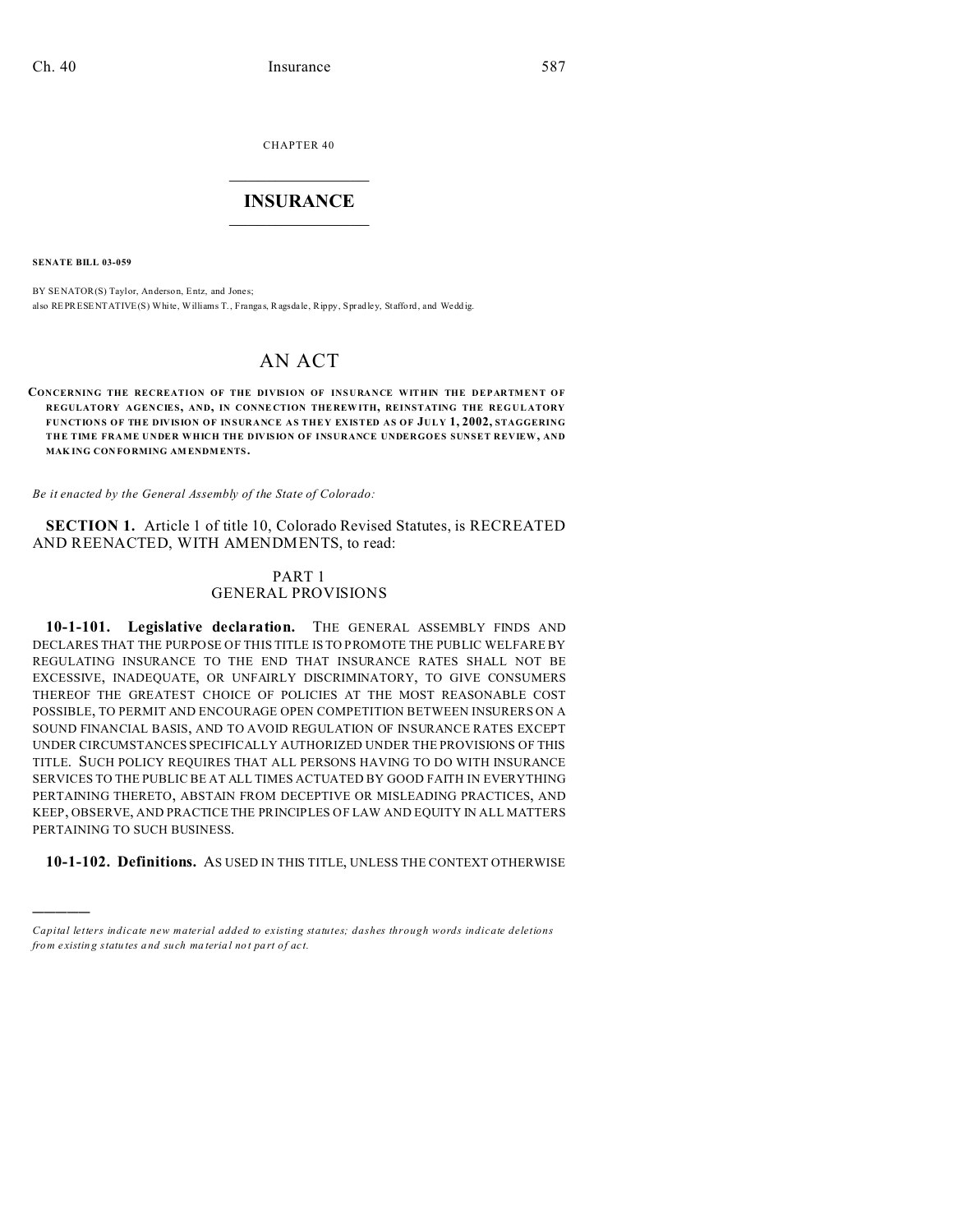CHAPTER 40  $\overline{\phantom{a}}$  , where  $\overline{\phantom{a}}$ 

## **INSURANCE**  $\_$   $\_$   $\_$   $\_$   $\_$   $\_$   $\_$   $\_$

**SENATE BILL 03-059**

)))))

BY SENATOR(S) Taylor, An derson, Entz, and Jones; also REPRESENTATIVE(S) White, Williams T., Frangas, Ragsdale, Rippy, Spradley, Stafford, and Weddig.

# AN ACT

#### **CONCERNING THE RECREATION OF THE DIVISION OF INSURANCE WITHIN THE DEPARTMENT OF REGULATORY AGENCIES, AND, IN CONNE CTION THE REW ITH, REINSTATING THE REGULATORY FUNCTIONS OF THE DIVISION OF INSURANCE AS THEY EXISTED AS OF JULY 1, 2002, STAGGERING THE TIME FRAME UNDER WHICH THE DIVISION OF INSURANCE UNDERGOES SUNSET REVIEW, AND MAK ING CON FORMING AM ENDM ENTS.**

*Be it enacted by the General Assembly of the State of Colorado:*

**SECTION 1.** Article 1 of title 10, Colorado Revised Statutes, is RECREATED AND REENACTED, WITH AMENDMENTS, to read:

### PART 1 GENERAL PROVISIONS

10-1-101. Legislative declaration. THE GENERAL ASSEMBLY FINDS AND DECLARES THAT THE PURPOSE OF THIS TITLE IS TO PROMOTE THE PUBLIC WELFARE BY REGULATING INSURANCE TO THE END THAT INSURANCE RATES SHALL NOT BE EXCESSIVE, INADEQUATE, OR UNFAIRLY DISCRIMINATORY, TO GIVE CONSUMERS THEREOF THE GREATEST CHOICE OF POLICIES AT THE MOST REASONABLE COST POSSIBLE, TO PERMIT AND ENCOURAGE OPEN COMPETITION BETWEEN INSURERS ON A SOUND FINANCIAL BASIS, AND TO AVOID REGULATION OF INSURANCE RATES EXCEPT UNDER CIRCUMSTANCES SPECIFICALLY AUTHORIZED UNDER THE PROVISIONS OF THIS TITLE. SUCH POLICY REQUIRES THAT ALL PERSONS HAVING TO DO WITH INSURANCE SERVICES TO THE PUBLIC BE AT ALL TIMES ACTUATED BY GOOD FAITH IN EVERYTHING PERTAINING THERETO, ABSTAIN FROM DECEPTIVE OR MISLEADING PRACTICES, AND KEEP, OBSERVE, AND PRACTICE THE PRINCIPLES OF LAW AND EQUITY IN ALL MATTERS PERTAINING TO SUCH BUSINESS.

**10-1-102. Definitions.** AS USED IN THIS TITLE, UNLESS THE CONTEXT OTHERWISE

*Capital letters indicate new material added to existing statutes; dashes through words indicate deletions from e xistin g statu tes a nd such ma teria l no t pa rt of ac t.*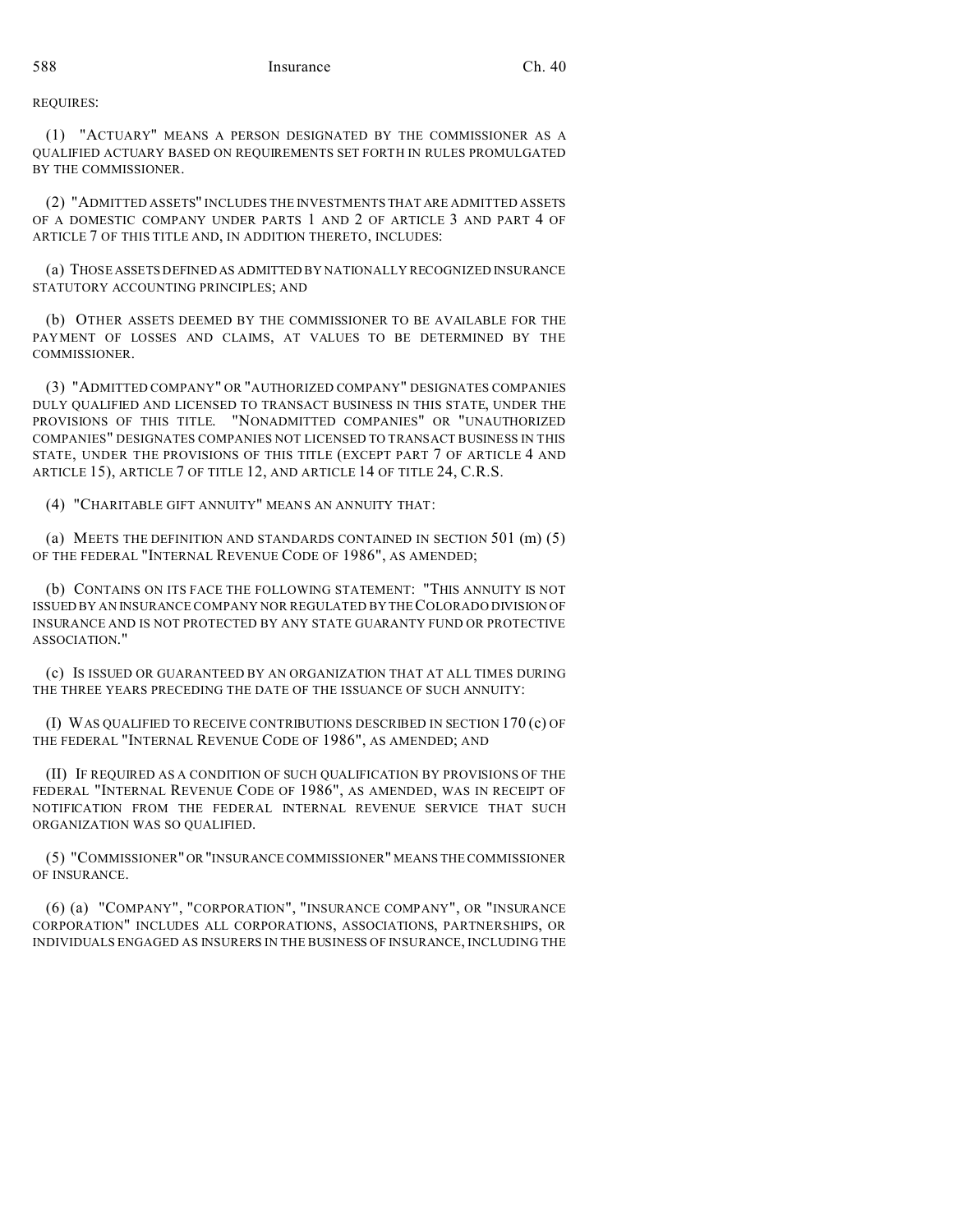REQUIRES:

(1) "ACTUARY" MEANS A PERSON DESIGNATED BY THE COMMISSIONER AS A QUALIFIED ACTUARY BASED ON REQUIREMENTS SET FORTH IN RULES PROMULGATED BY THE COMMISSIONER.

(2) "ADMITTED ASSETS" INCLUDES THE INVESTMENTS THAT ARE ADMITTED ASSETS OF A DOMESTIC COMPANY UNDER PARTS 1 AND 2 OF ARTICLE 3 AND PART 4 OF ARTICLE 7 OF THIS TITLE AND, IN ADDITION THERETO, INCLUDES:

(a) THOSE ASSETS DEFINED AS ADMITTED BY NATIONALLY RECOGNIZED INSURANCE STATUTORY ACCOUNTING PRINCIPLES; AND

(b) OTHER ASSETS DEEMED BY THE COMMISSIONER TO BE AVAILABLE FOR THE PAYMENT OF LOSSES AND CLAIMS, AT VALUES TO BE DETERMINED BY THE COMMISSIONER.

(3) "ADMITTED COMPANY" OR "AUTHORIZED COMPANY" DESIGNATES COMPANIES DULY QUALIFIED AND LICENSED TO TRANSACT BUSINESS IN THIS STATE, UNDER THE PROVISIONS OF THIS TITLE. "NONADMITTED COMPANIES" OR "UNAUTHORIZED COMPANIES" DESIGNATES COMPANIES NOT LICENSED TO TRANSACT BUSINESS IN THIS STATE, UNDER THE PROVISIONS OF THIS TITLE (EXCEPT PART 7 OF ARTICLE 4 AND ARTICLE 15), ARTICLE 7 OF TITLE 12, AND ARTICLE 14 OF TITLE 24, C.R.S.

(4) "CHARITABLE GIFT ANNUITY" MEANS AN ANNUITY THAT:

(a) MEETS THE DEFINITION AND STANDARDS CONTAINED IN SECTION 501 (m) (5) OF THE FEDERAL "INTERNAL REVENUE CODE OF 1986", AS AMENDED;

(b) CONTAINS ON ITS FACE THE FOLLOWING STATEMENT: "THIS ANNUITY IS NOT ISSUED BY AN INSURANCE COMPANY NOR REGULATED BY THE COLORADO DIVISION OF INSURANCE AND IS NOT PROTECTED BY ANY STATE GUARANTY FUND OR PROTECTIVE ASSOCIATION."

(c) IS ISSUED OR GUARANTEED BY AN ORGANIZATION THAT AT ALL TIMES DURING THE THREE YEARS PRECEDING THE DATE OF THE ISSUANCE OF SUCH ANNUITY:

(I) WAS QUALIFIED TO RECEIVE CONTRIBUTIONS DESCRIBED IN SECTION 170 (c) OF THE FEDERAL "INTERNAL REVENUE CODE OF 1986", AS AMENDED; AND

(II) IF REQUIRED AS A CONDITION OF SUCH QUALIFICATION BY PROVISIONS OF THE FEDERAL "INTERNAL REVENUE CODE OF 1986", AS AMENDED, WAS IN RECEIPT OF NOTIFICATION FROM THE FEDERAL INTERNAL REVENUE SERVICE THAT SUCH ORGANIZATION WAS SO QUALIFIED.

(5) "COMMISSIONER" OR"INSURANCE COMMISSIONER" MEANS THE COMMISSIONER OF INSURANCE.

(6) (a) "COMPANY", "CORPORATION", "INSURANCE COMPANY", OR "INSURANCE CORPORATION" INCLUDES ALL CORPORATIONS, ASSOCIATIONS, PARTNERSHIPS, OR INDIVIDUALS ENGAGED AS INSURERS IN THE BUSINESS OF INSURANCE, INCLUDING THE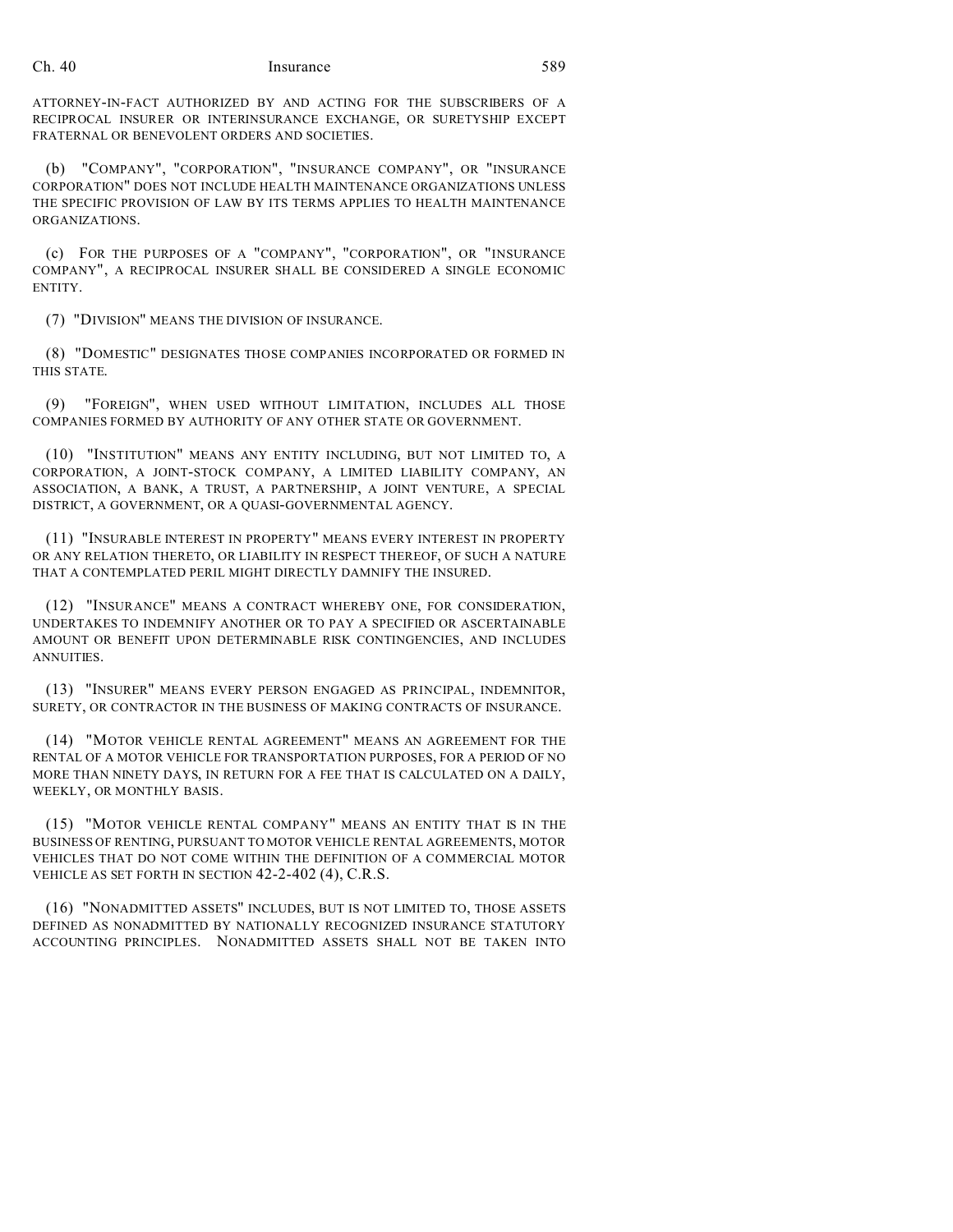ATTORNEY-IN-FACT AUTHORIZED BY AND ACTING FOR THE SUBSCRIBERS OF A RECIPROCAL INSURER OR INTERINSURANCE EXCHANGE, OR SURETYSHIP EXCEPT FRATERNAL OR BENEVOLENT ORDERS AND SOCIETIES.

(b) "COMPANY", "CORPORATION", "INSURANCE COMPANY", OR "INSURANCE CORPORATION" DOES NOT INCLUDE HEALTH MAINTENANCE ORGANIZATIONS UNLESS THE SPECIFIC PROVISION OF LAW BY ITS TERMS APPLIES TO HEALTH MAINTENANCE ORGANIZATIONS.

(c) FOR THE PURPOSES OF A "COMPANY", "CORPORATION", OR "INSURANCE COMPANY", A RECIPROCAL INSURER SHALL BE CONSIDERED A SINGLE ECONOMIC ENTITY.

(7) "DIVISION" MEANS THE DIVISION OF INSURANCE.

(8) "DOMESTIC" DESIGNATES THOSE COMPANIES INCORPORATED OR FORMED IN THIS STATE.

(9) "FOREIGN", WHEN USED WITHOUT LIMITATION, INCLUDES ALL THOSE COMPANIES FORMED BY AUTHORITY OF ANY OTHER STATE OR GOVERNMENT.

(10) "INSTITUTION" MEANS ANY ENTITY INCLUDING, BUT NOT LIMITED TO, A CORPORATION, A JOINT-STOCK COMPANY, A LIMITED LIABILITY COMPANY, AN ASSOCIATION, A BANK, A TRUST, A PARTNERSHIP, A JOINT VENTURE, A SPECIAL DISTRICT, A GOVERNMENT, OR A QUASI-GOVERNMENTAL AGENCY.

(11) "INSURABLE INTEREST IN PROPERTY" MEANS EVERY INTEREST IN PROPERTY OR ANY RELATION THERETO, OR LIABILITY IN RESPECT THEREOF, OF SUCH A NATURE THAT A CONTEMPLATED PERIL MIGHT DIRECTLY DAMNIFY THE INSURED.

(12) "INSURANCE" MEANS A CONTRACT WHEREBY ONE, FOR CONSIDERATION, UNDERTAKES TO INDEMNIFY ANOTHER OR TO PAY A SPECIFIED OR ASCERTAINABLE AMOUNT OR BENEFIT UPON DETERMINABLE RISK CONTINGENCIES, AND INCLUDES ANNUITIES.

(13) "INSURER" MEANS EVERY PERSON ENGAGED AS PRINCIPAL, INDEMNITOR, SURETY, OR CONTRACTOR IN THE BUSINESS OF MAKING CONTRACTS OF INSURANCE.

(14) "MOTOR VEHICLE RENTAL AGREEMENT" MEANS AN AGREEMENT FOR THE RENTAL OF A MOTOR VEHICLE FOR TRANSPORTATION PURPOSES, FOR A PERIOD OF NO MORE THAN NINETY DAYS, IN RETURN FOR A FEE THAT IS CALCULATED ON A DAILY, WEEKLY, OR MONTHLY BASIS.

(15) "MOTOR VEHICLE RENTAL COMPANY" MEANS AN ENTITY THAT IS IN THE BUSINESS OF RENTING, PURSUANT TO MOTOR VEHICLE RENTAL AGREEMENTS, MOTOR VEHICLES THAT DO NOT COME WITHIN THE DEFINITION OF A COMMERCIAL MOTOR VEHICLE AS SET FORTH IN SECTION 42-2-402 (4), C.R.S.

(16) "NONADMITTED ASSETS" INCLUDES, BUT IS NOT LIMITED TO, THOSE ASSETS DEFINED AS NONADMITTED BY NATIONALLY RECOGNIZED INSURANCE STATUTORY ACCOUNTING PRINCIPLES. NONADMITTED ASSETS SHALL NOT BE TAKEN INTO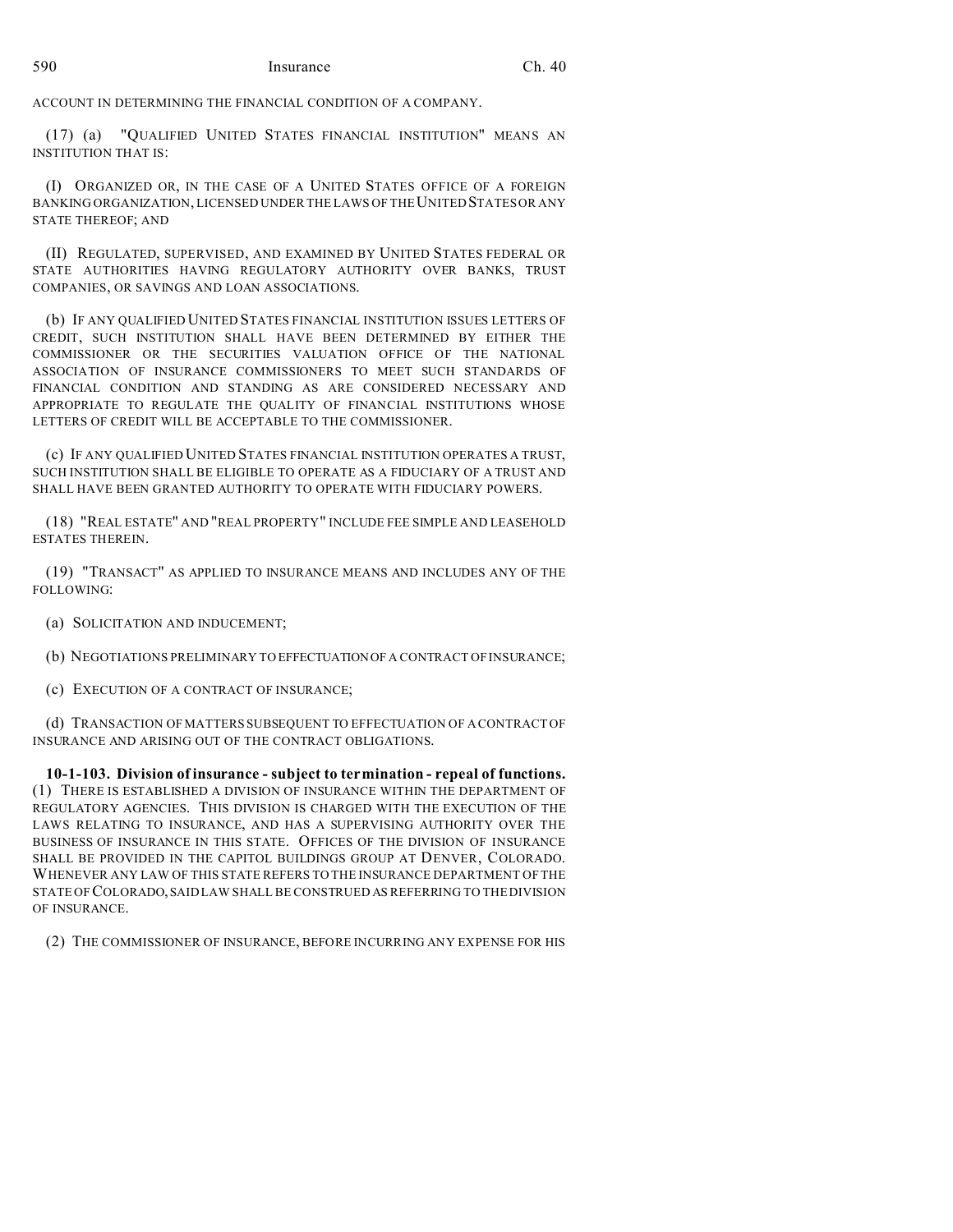ACCOUNT IN DETERMINING THE FINANCIAL CONDITION OF A COMPANY.

(17) (a) "QUALIFIED UNITED STATES FINANCIAL INSTITUTION" MEANS AN INSTITUTION THAT IS:

(I) ORGANIZED OR, IN THE CASE OF A UNITED STATES OFFICE OF A FOREIGN BANKING ORGANIZATION, LICENSED UNDER THE LAWS OF THE UNITED STATES OR ANY STATE THEREOF; AND

(II) REGULATED, SUPERVISED, AND EXAMINED BY UNITED STATES FEDERAL OR STATE AUTHORITIES HAVING REGULATORY AUTHORITY OVER BANKS, TRUST COMPANIES, OR SAVINGS AND LOAN ASSOCIATIONS.

(b) IF ANY QUALIFIED UNITED STATES FINANCIAL INSTITUTION ISSUES LETTERS OF CREDIT, SUCH INSTITUTION SHALL HAVE BEEN DETERMINED BY EITHER THE COMMISSIONER OR THE SECURITIES VALUATION OFFICE OF THE NATIONAL ASSOCIATION OF INSURANCE COMMISSIONERS TO MEET SUCH STANDARDS OF FINANCIAL CONDITION AND STANDING AS ARE CONSIDERED NECESSARY AND APPROPRIATE TO REGULATE THE QUALITY OF FINANCIAL INSTITUTIONS WHOSE LETTERS OF CREDIT WILL BE ACCEPTABLE TO THE COMMISSIONER.

(c) IF ANY QUALIFIED UNITED STATES FINANCIAL INSTITUTION OPERATES A TRUST, SUCH INSTITUTION SHALL BE ELIGIBLE TO OPERATE AS A FIDUCIARY OF A TRUST AND SHALL HAVE BEEN GRANTED AUTHORITY TO OPERATE WITH FIDUCIARY POWERS.

(18) "REAL ESTATE" AND "REAL PROPERTY" INCLUDE FEE SIMPLE AND LEASEHOLD ESTATES THEREIN.

(19) "TRANSACT" AS APPLIED TO INSURANCE MEANS AND INCLUDES ANY OF THE FOLLOWING:

(a) SOLICITATION AND INDUCEMENT;

(b) NEGOTIATIONS PRELIMINARY TO EFFECTUATIONOF A CONTRACT OF INSURANCE;

(c) EXECUTION OF A CONTRACT OF INSURANCE;

(d) TRANSACTION OF MATTERS SUBSEQUENT TO EFFECTUATION OF A CONTRACT OF INSURANCE AND ARISING OUT OF THE CONTRACT OBLIGATIONS.

**10-1-103. Division of insurance - subject to termination - repeal of functions.** (1) THERE IS ESTABLISHED A DIVISION OF INSURANCE WITHIN THE DEPARTMENT OF REGULATORY AGENCIES. THIS DIVISION IS CHARGED WITH THE EXECUTION OF THE LAWS RELATING TO INSURANCE, AND HAS A SUPERVISING AUTHORITY OVER THE BUSINESS OF INSURANCE IN THIS STATE. OFFICES OF THE DIVISION OF INSURANCE SHALL BE PROVIDED IN THE CAPITOL BUILDINGS GROUP AT DENVER, COLORADO. WHENEVER ANY LAW OF THIS STATE REFERS TO THE INSURANCE DEPARTMENT OF THE STATE OF COLORADO, SAID LAW SHALL BE CONSTRUED AS REFERRING TO THE DIVISION OF INSURANCE.

(2) THE COMMISSIONER OF INSURANCE, BEFORE INCURRING ANY EXPENSE FOR HIS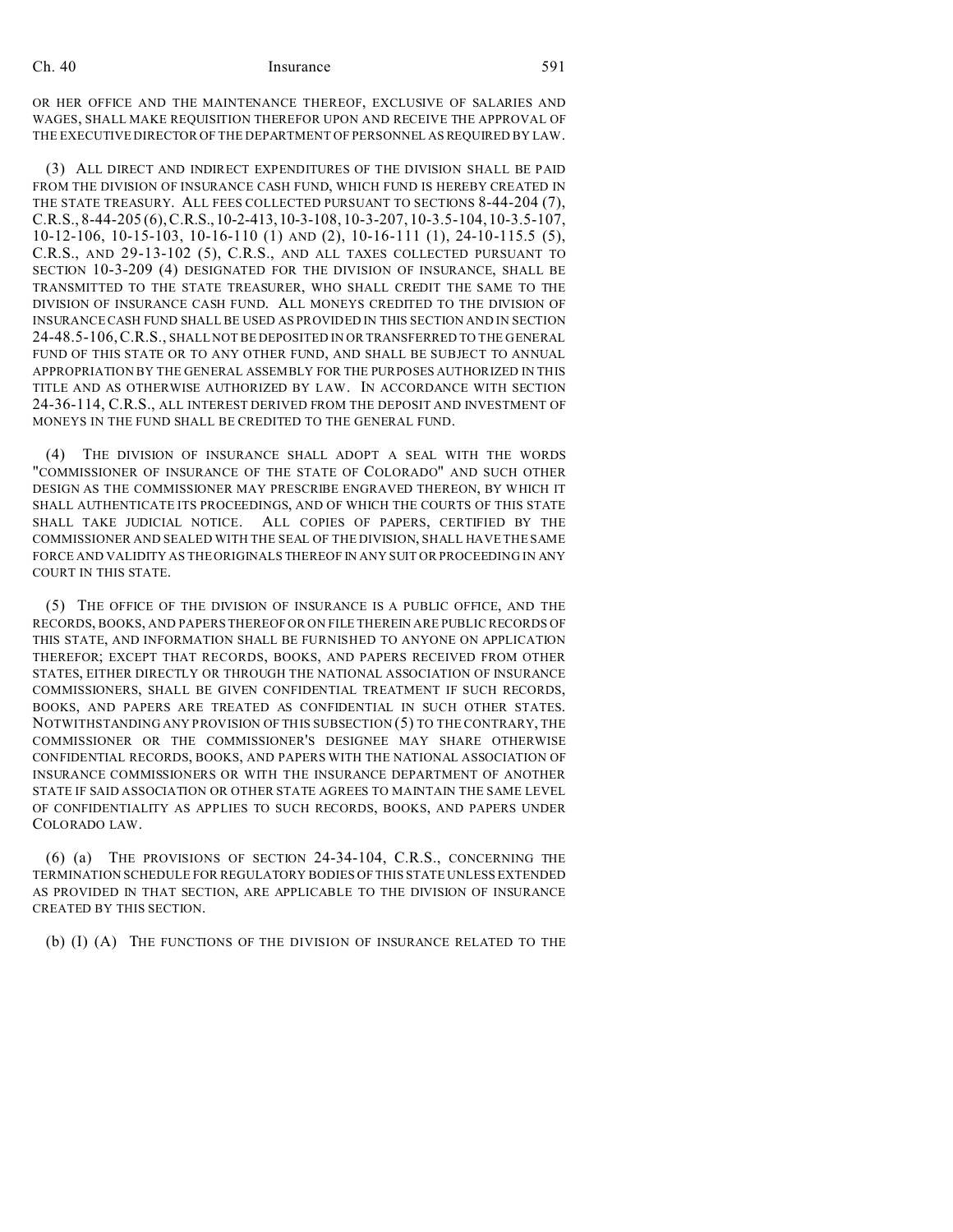OR HER OFFICE AND THE MAINTENANCE THEREOF, EXCLUSIVE OF SALARIES AND WAGES, SHALL MAKE REQUISITION THEREFOR UPON AND RECEIVE THE APPROVAL OF THE EXECUTIVE DIRECTOR OF THE DEPARTMENT OF PERSONNEL AS REQUIRED BY LAW.

(3) ALL DIRECT AND INDIRECT EXPENDITURES OF THE DIVISION SHALL BE PAID FROM THE DIVISION OF INSURANCE CASH FUND, WHICH FUND IS HEREBY CREATED IN THE STATE TREASURY. ALL FEES COLLECTED PURSUANT TO SECTIONS 8-44-204 (7), C.R.S., 8-44-205 (6),C.R.S.,10-2-413,10-3-108, 10-3-207, 10-3.5-104,10-3.5-107, 10-12-106, 10-15-103, 10-16-110 (1) AND (2), 10-16-111 (1), 24-10-115.5 (5), C.R.S., AND 29-13-102 (5), C.R.S., AND ALL TAXES COLLECTED PURSUANT TO SECTION 10-3-209 (4) DESIGNATED FOR THE DIVISION OF INSURANCE, SHALL BE TRANSMITTED TO THE STATE TREASURER, WHO SHALL CREDIT THE SAME TO THE DIVISION OF INSURANCE CASH FUND. ALL MONEYS CREDITED TO THE DIVISION OF INSURANCE CASH FUND SHALL BE USED AS PROVIDED IN THIS SECTION AND IN SECTION 24-48.5-106,C.R.S., SHALL NOT BE DEPOSITED IN OR TRANSFERRED TO THE GENERAL FUND OF THIS STATE OR TO ANY OTHER FUND, AND SHALL BE SUBJECT TO ANNUAL APPROPRIATION BY THE GENERAL ASSEMBLY FOR THE PURPOSES AUTHORIZED IN THIS TITLE AND AS OTHERWISE AUTHORIZED BY LAW. IN ACCORDANCE WITH SECTION 24-36-114, C.R.S., ALL INTEREST DERIVED FROM THE DEPOSIT AND INVESTMENT OF MONEYS IN THE FUND SHALL BE CREDITED TO THE GENERAL FUND.

(4) THE DIVISION OF INSURANCE SHALL ADOPT A SEAL WITH THE WORDS "COMMISSIONER OF INSURANCE OF THE STATE OF COLORADO" AND SUCH OTHER DESIGN AS THE COMMISSIONER MAY PRESCRIBE ENGRAVED THEREON, BY WHICH IT SHALL AUTHENTICATE ITS PROCEEDINGS, AND OF WHICH THE COURTS OF THIS STATE SHALL TAKE JUDICIAL NOTICE. ALL COPIES OF PAPERS, CERTIFIED BY THE COMMISSIONER AND SEALED WITH THE SEAL OF THE DIVISION, SHALL HAVE THE SAME FORCE AND VALIDITY AS THE ORIGINALS THEREOF IN ANY SUIT OR PROCEEDING IN ANY COURT IN THIS STATE.

(5) THE OFFICE OF THE DIVISION OF INSURANCE IS A PUBLIC OFFICE, AND THE RECORDS, BOOKS, AND PAPERS THEREOF OR ON FILE THEREIN ARE PUBLIC RECORDS OF THIS STATE, AND INFORMATION SHALL BE FURNISHED TO ANYONE ON APPLICATION THEREFOR; EXCEPT THAT RECORDS, BOOKS, AND PAPERS RECEIVED FROM OTHER STATES, EITHER DIRECTLY OR THROUGH THE NATIONAL ASSOCIATION OF INSURANCE COMMISSIONERS, SHALL BE GIVEN CONFIDENTIAL TREATMENT IF SUCH RECORDS, BOOKS, AND PAPERS ARE TREATED AS CONFIDENTIAL IN SUCH OTHER STATES. NOTWITHSTANDING ANY PROVISION OF THIS SUBSECTION (5) TO THE CONTRARY, THE COMMISSIONER OR THE COMMISSIONER'S DESIGNEE MAY SHARE OTHERWISE CONFIDENTIAL RECORDS, BOOKS, AND PAPERS WITH THE NATIONAL ASSOCIATION OF INSURANCE COMMISSIONERS OR WITH THE INSURANCE DEPARTMENT OF ANOTHER STATE IF SAID ASSOCIATION OR OTHER STATE AGREES TO MAINTAIN THE SAME LEVEL OF CONFIDENTIALITY AS APPLIES TO SUCH RECORDS, BOOKS, AND PAPERS UNDER COLORADO LAW.

(6) (a) THE PROVISIONS OF SECTION 24-34-104, C.R.S., CONCERNING THE TERMINATION SCHEDULE FOR REGULATORY BODIES OF THIS STATE UNLESS EXTENDED AS PROVIDED IN THAT SECTION, ARE APPLICABLE TO THE DIVISION OF INSURANCE CREATED BY THIS SECTION.

(b) (I) (A) THE FUNCTIONS OF THE DIVISION OF INSURANCE RELATED TO THE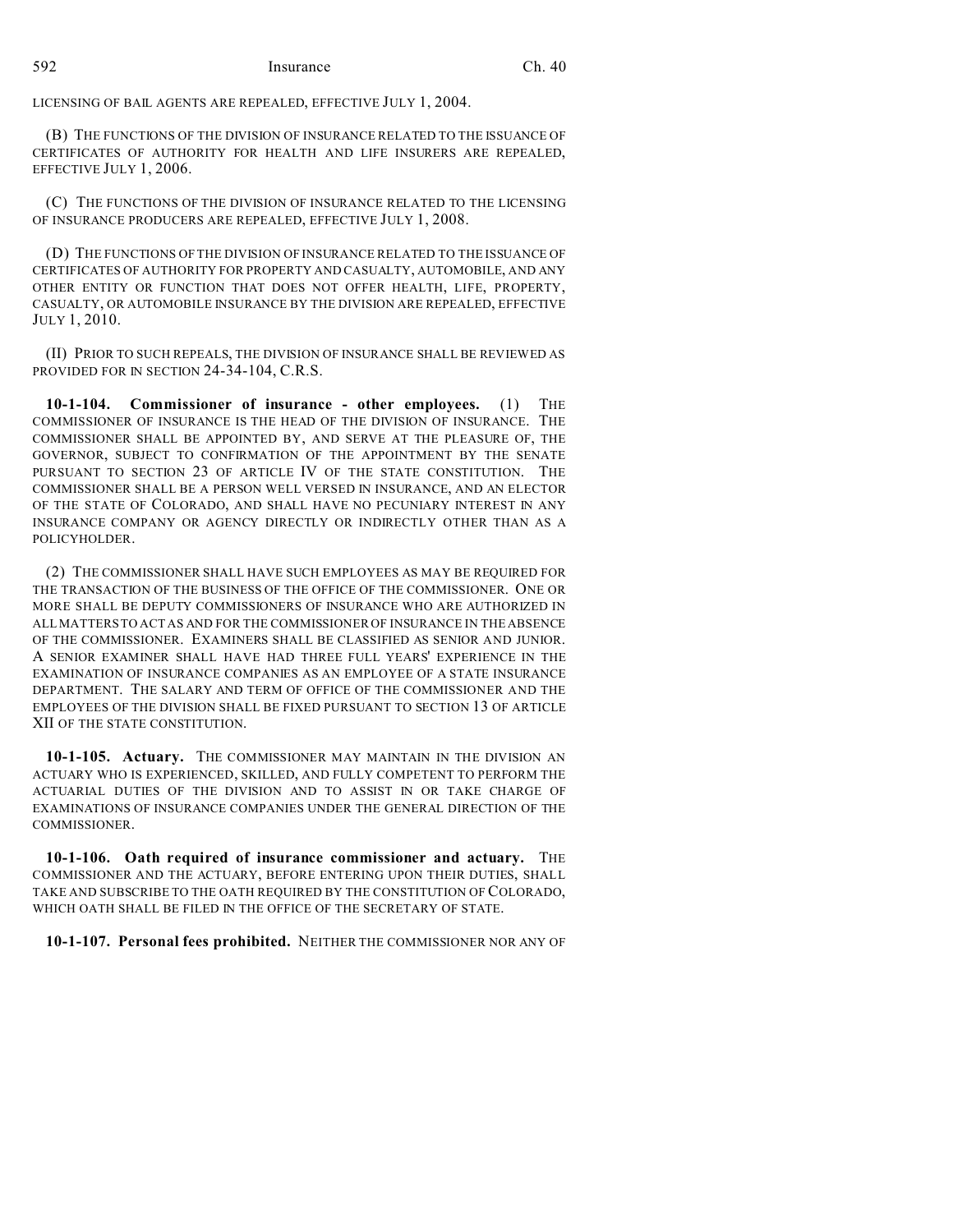LICENSING OF BAIL AGENTS ARE REPEALED, EFFECTIVE JULY 1, 2004.

(B) THE FUNCTIONS OF THE DIVISION OF INSURANCE RELATED TO THE ISSUANCE OF CERTIFICATES OF AUTHORITY FOR HEALTH AND LIFE INSURERS ARE REPEALED, EFFECTIVE JULY 1, 2006.

(C) THE FUNCTIONS OF THE DIVISION OF INSURANCE RELATED TO THE LICENSING OF INSURANCE PRODUCERS ARE REPEALED, EFFECTIVE JULY 1, 2008.

(D) THE FUNCTIONS OF THE DIVISION OF INSURANCE RELATED TO THE ISSUANCE OF CERTIFICATES OF AUTHORITY FOR PROPERTY AND CASUALTY, AUTOMOBILE, AND ANY OTHER ENTITY OR FUNCTION THAT DOES NOT OFFER HEALTH, LIFE, PROPERTY, CASUALTY, OR AUTOMOBILE INSURANCE BY THE DIVISION ARE REPEALED, EFFECTIVE JULY 1, 2010.

(II) PRIOR TO SUCH REPEALS, THE DIVISION OF INSURANCE SHALL BE REVIEWED AS PROVIDED FOR IN SECTION 24-34-104, C.R.S.

**10-1-104. Commissioner of insurance - other employees.** (1) THE COMMISSIONER OF INSURANCE IS THE HEAD OF THE DIVISION OF INSURANCE. THE COMMISSIONER SHALL BE APPOINTED BY, AND SERVE AT THE PLEASURE OF, THE GOVERNOR, SUBJECT TO CONFIRMATION OF THE APPOINTMENT BY THE SENATE PURSUANT TO SECTION 23 OF ARTICLE IV OF THE STATE CONSTITUTION. THE COMMISSIONER SHALL BE A PERSON WELL VERSED IN INSURANCE, AND AN ELECTOR OF THE STATE OF COLORADO, AND SHALL HAVE NO PECUNIARY INTEREST IN ANY INSURANCE COMPANY OR AGENCY DIRECTLY OR INDIRECTLY OTHER THAN AS A POLICYHOLDER.

(2) THE COMMISSIONER SHALL HAVE SUCH EMPLOYEES AS MAY BE REQUIRED FOR THE TRANSACTION OF THE BUSINESS OF THE OFFICE OF THE COMMISSIONER. ONE OR MORE SHALL BE DEPUTY COMMISSIONERS OF INSURANCE WHO ARE AUTHORIZED IN ALL MATTERS TO ACT AS AND FOR THE COMMISSIONER OF INSURANCE IN THE ABSENCE OF THE COMMISSIONER. EXAMINERS SHALL BE CLASSIFIED AS SENIOR AND JUNIOR. A SENIOR EXAMINER SHALL HAVE HAD THREE FULL YEARS' EXPERIENCE IN THE EXAMINATION OF INSURANCE COMPANIES AS AN EMPLOYEE OF A STATE INSURANCE DEPARTMENT. THE SALARY AND TERM OF OFFICE OF THE COMMISSIONER AND THE EMPLOYEES OF THE DIVISION SHALL BE FIXED PURSUANT TO SECTION 13 OF ARTICLE XII OF THE STATE CONSTITUTION.

**10-1-105. Actuary.** THE COMMISSIONER MAY MAINTAIN IN THE DIVISION AN ACTUARY WHO IS EXPERIENCED, SKILLED, AND FULLY COMPETENT TO PERFORM THE ACTUARIAL DUTIES OF THE DIVISION AND TO ASSIST IN OR TAKE CHARGE OF EXAMINATIONS OF INSURANCE COMPANIES UNDER THE GENERAL DIRECTION OF THE COMMISSIONER.

**10-1-106. Oath required of insurance commissioner and actuary.** THE COMMISSIONER AND THE ACTUARY, BEFORE ENTERING UPON THEIR DUTIES, SHALL TAKE AND SUBSCRIBE TO THE OATH REQUIRED BY THE CONSTITUTION OF COLORADO, WHICH OATH SHALL BE FILED IN THE OFFICE OF THE SECRETARY OF STATE.

**10-1-107. Personal fees prohibited.** NEITHER THE COMMISSIONER NOR ANY OF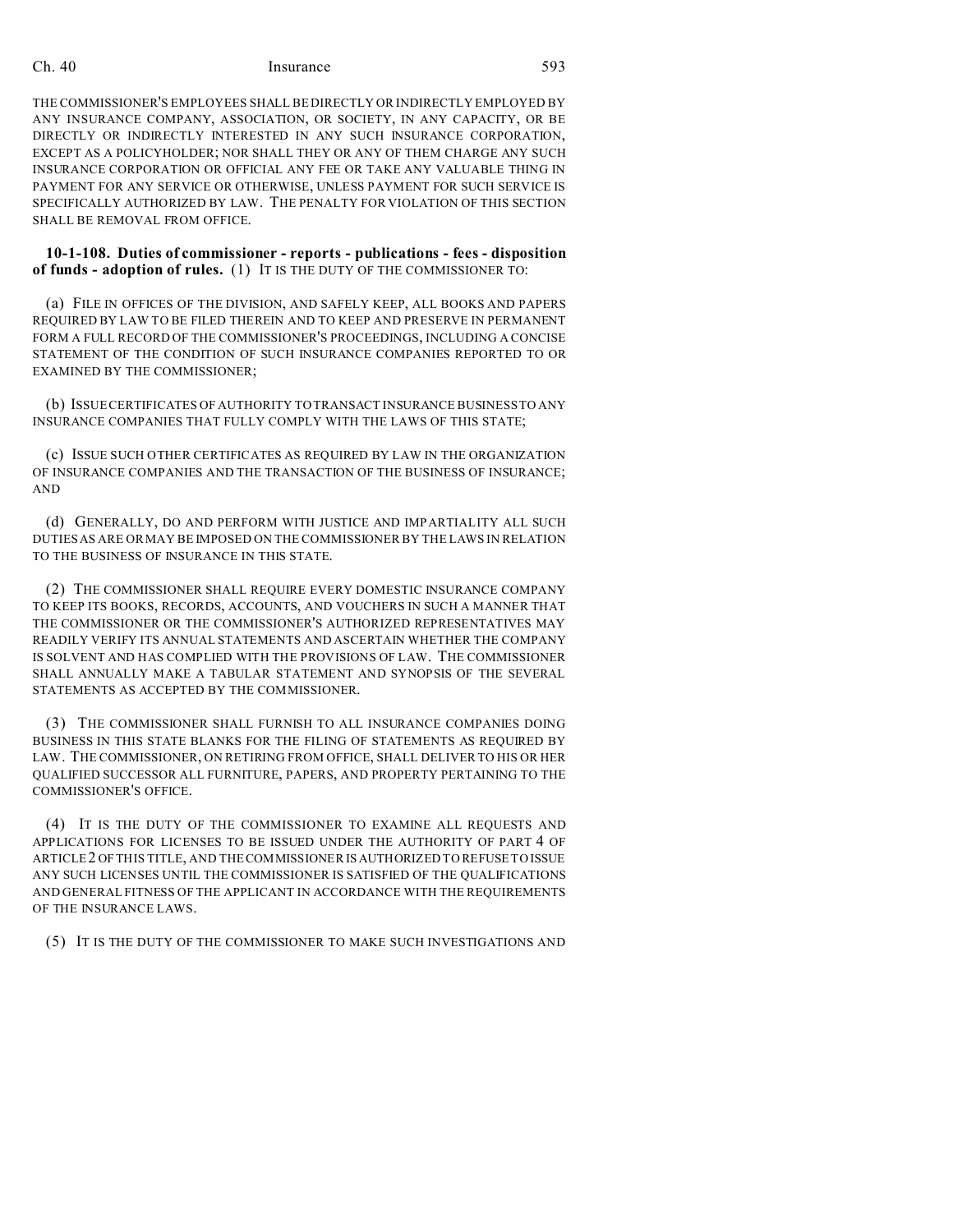THE COMMISSIONER'S EMPLOYEES SHALL BE DIRECTLY OR INDIRECTLY EMPLOYED BY ANY INSURANCE COMPANY, ASSOCIATION, OR SOCIETY, IN ANY CAPACITY, OR BE DIRECTLY OR INDIRECTLY INTERESTED IN ANY SUCH INSURANCE CORPORATION, EXCEPT AS A POLICYHOLDER; NOR SHALL THEY OR ANY OF THEM CHARGE ANY SUCH INSURANCE CORPORATION OR OFFICIAL ANY FEE OR TAKE ANY VALUABLE THING IN PAYMENT FOR ANY SERVICE OR OTHERWISE, UNLESS PAYMENT FOR SUCH SERVICE IS SPECIFICALLY AUTHORIZED BY LAW. THE PENALTY FOR VIOLATION OF THIS SECTION SHALL BE REMOVAL FROM OFFICE.

**10-1-108. Duties of commissioner - reports - publications - fees - disposition of funds - adoption of rules.** (1) IT IS THE DUTY OF THE COMMISSIONER TO:

(a) FILE IN OFFICES OF THE DIVISION, AND SAFELY KEEP, ALL BOOKS AND PAPERS REQUIRED BY LAW TO BE FILED THEREIN AND TO KEEP AND PRESERVE IN PERMANENT FORM A FULL RECORD OF THE COMMISSIONER'S PROCEEDINGS, INCLUDING A CONCISE STATEMENT OF THE CONDITION OF SUCH INSURANCE COMPANIES REPORTED TO OR EXAMINED BY THE COMMISSIONER;

(b) ISSUE CERTIFICATES OF AUTHORITY TO TRANSACT INSURANCE BUSINESS TO ANY INSURANCE COMPANIES THAT FULLY COMPLY WITH THE LAWS OF THIS STATE;

(c) ISSUE SUCH OTHER CERTIFICATES AS REQUIRED BY LAW IN THE ORGANIZATION OF INSURANCE COMPANIES AND THE TRANSACTION OF THE BUSINESS OF INSURANCE; AND

(d) GENERALLY, DO AND PERFORM WITH JUSTICE AND IMPARTIALITY ALL SUCH DUTIES AS ARE OR MAY BE IMPOSED ON THE COMMISSIONER BY THE LAWS IN RELATION TO THE BUSINESS OF INSURANCE IN THIS STATE.

(2) THE COMMISSIONER SHALL REQUIRE EVERY DOMESTIC INSURANCE COMPANY TO KEEP ITS BOOKS, RECORDS, ACCOUNTS, AND VOUCHERS IN SUCH A MANNER THAT THE COMMISSIONER OR THE COMMISSIONER'S AUTHORIZED REPRESENTATIVES MAY READILY VERIFY ITS ANNUAL STATEMENTS AND ASCERTAIN WHETHER THE COMPANY IS SOLVENT AND HAS COMPLIED WITH THE PROVISIONS OF LAW. THE COMMISSIONER SHALL ANNUALLY MAKE A TABULAR STATEMENT AND SYNOPSIS OF THE SEVERAL STATEMENTS AS ACCEPTED BY THE COMMISSIONER.

(3) THE COMMISSIONER SHALL FURNISH TO ALL INSURANCE COMPANIES DOING BUSINESS IN THIS STATE BLANKS FOR THE FILING OF STATEMENTS AS REQUIRED BY LAW. THE COMMISSIONER, ON RETIRING FROM OFFICE, SHALL DELIVER TO HIS OR HER QUALIFIED SUCCESSOR ALL FURNITURE, PAPERS, AND PROPERTY PERTAINING TO THE COMMISSIONER'S OFFICE.

(4) IT IS THE DUTY OF THE COMMISSIONER TO EXAMINE ALL REQUESTS AND APPLICATIONS FOR LICENSES TO BE ISSUED UNDER THE AUTHORITY OF PART 4 OF ARTICLE2 OF THIS TITLE, AND THE COMMISSIONER IS AUTHORIZED TO REFUSE TO ISSUE ANY SUCH LICENSES UNTIL THE COMMISSIONER IS SATISFIED OF THE QUALIFICATIONS AND GENERAL FITNESS OF THE APPLICANT IN ACCORDANCE WITH THE REQUIREMENTS OF THE INSURANCE LAWS.

(5) IT IS THE DUTY OF THE COMMISSIONER TO MAKE SUCH INVESTIGATIONS AND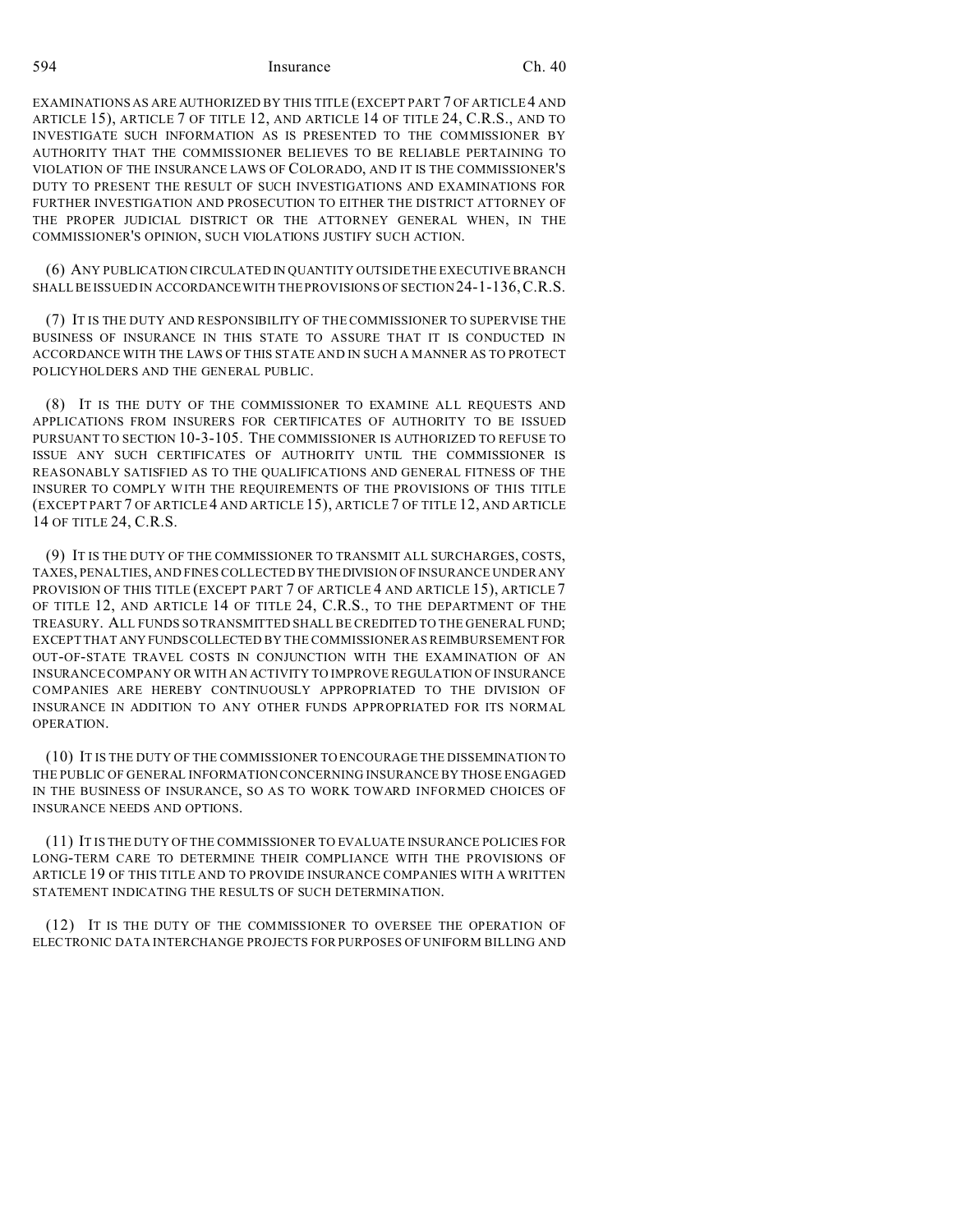EXAMINATIONS AS ARE AUTHORIZED BY THIS TITLE (EXCEPT PART 7 OF ARTICLE4 AND ARTICLE 15), ARTICLE 7 OF TITLE 12, AND ARTICLE 14 OF TITLE 24, C.R.S., AND TO INVESTIGATE SUCH INFORMATION AS IS PRESENTED TO THE COMMISSIONER BY AUTHORITY THAT THE COMMISSIONER BELIEVES TO BE RELIABLE PERTAINING TO VIOLATION OF THE INSURANCE LAWS OF COLORADO, AND IT IS THE COMMISSIONER'S DUTY TO PRESENT THE RESULT OF SUCH INVESTIGATIONS AND EXAMINATIONS FOR FURTHER INVESTIGATION AND PROSECUTION TO EITHER THE DISTRICT ATTORNEY OF THE PROPER JUDICIAL DISTRICT OR THE ATTORNEY GENERAL WHEN, IN THE COMMISSIONER'S OPINION, SUCH VIOLATIONS JUSTIFY SUCH ACTION.

(6) ANY PUBLICATION CIRCULATED IN QUANTITY OUTSIDE THE EXECUTIVE BRANCH SHALL BE ISSUED IN ACCORDANCEWITH THE PROVISIONS OF SECTION 24-1-136,C.R.S.

(7) IT IS THE DUTY AND RESPONSIBILITY OF THE COMMISSIONER TO SUPERVISE THE BUSINESS OF INSURANCE IN THIS STATE TO ASSURE THAT IT IS CONDUCTED IN ACCORDANCE WITH THE LAWS OF THIS STATE AND IN SUCH A MANNER AS TO PROTECT POLICYHOLDERS AND THE GENERAL PUBLIC.

(8) IT IS THE DUTY OF THE COMMISSIONER TO EXAMINE ALL REQUESTS AND APPLICATIONS FROM INSURERS FOR CERTIFICATES OF AUTHORITY TO BE ISSUED PURSUANT TO SECTION 10-3-105. THE COMMISSIONER IS AUTHORIZED TO REFUSE TO ISSUE ANY SUCH CERTIFICATES OF AUTHORITY UNTIL THE COMMISSIONER IS REASONABLY SATISFIED AS TO THE QUALIFICATIONS AND GENERAL FITNESS OF THE INSURER TO COMPLY WITH THE REQUIREMENTS OF THE PROVISIONS OF THIS TITLE (EXCEPT PART 7 OF ARTICLE 4 AND ARTICLE 15), ARTICLE 7 OF TITLE 12, AND ARTICLE 14 OF TITLE 24, C.R.S.

(9) IT IS THE DUTY OF THE COMMISSIONER TO TRANSMIT ALL SURCHARGES, COSTS, TAXES, PENALTIES, AND FINES COLLECTED BY THEDIVISION OF INSURANCE UNDER ANY PROVISION OF THIS TITLE (EXCEPT PART 7 OF ARTICLE 4 AND ARTICLE 15), ARTICLE 7 OF TITLE 12, AND ARTICLE 14 OF TITLE 24, C.R.S., TO THE DEPARTMENT OF THE TREASURY. ALL FUNDS SO TRANSMITTED SHALL BE CREDITED TO THE GENERAL FUND; EXCEPT THAT ANY FUNDSCOLLECTED BY THE COMMISSIONER AS REIMBURSEMENT FOR OUT-OF-STATE TRAVEL COSTS IN CONJUNCTION WITH THE EXAMINATION OF AN INSURANCE COMPANY OR WITH AN ACTIVITY TO IMPROVE REGULATION OF INSURANCE COMPANIES ARE HEREBY CONTINUOUSLY APPROPRIATED TO THE DIVISION OF INSURANCE IN ADDITION TO ANY OTHER FUNDS APPROPRIATED FOR ITS NORMAL OPERATION.

(10) IT IS THE DUTY OF THE COMMISSIONER TO ENCOURAGE THE DISSEMINATION TO THE PUBLIC OF GENERAL INFORMATION CONCERNING INSURANCE BY THOSE ENGAGED IN THE BUSINESS OF INSURANCE, SO AS TO WORK TOWARD INFORMED CHOICES OF INSURANCE NEEDS AND OPTIONS.

(11) IT IS THE DUTY OF THE COMMISSIONER TO EVALUATE INSURANCE POLICIES FOR LONG-TERM CARE TO DETERMINE THEIR COMPLIANCE WITH THE PROVISIONS OF ARTICLE 19 OF THIS TITLE AND TO PROVIDE INSURANCE COMPANIES WITH A WRITTEN STATEMENT INDICATING THE RESULTS OF SUCH DETERMINATION.

(12) IT IS THE DUTY OF THE COMMISSIONER TO OVERSEE THE OPERATION OF ELECTRONIC DATA INTERCHANGE PROJECTS FOR PURPOSES OF UNIFORM BILLING AND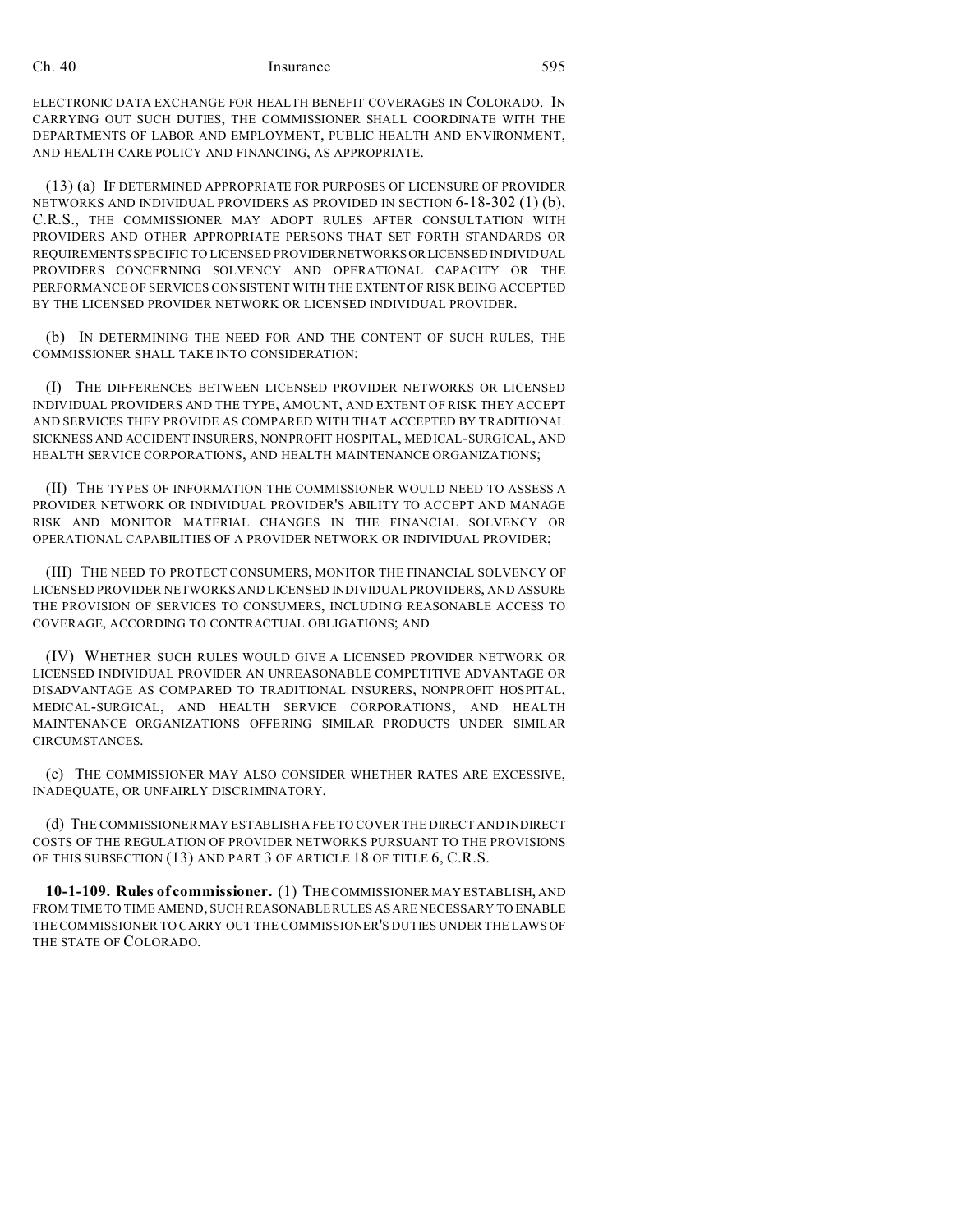ELECTRONIC DATA EXCHANGE FOR HEALTH BENEFIT COVERAGES IN COLORADO. IN CARRYING OUT SUCH DUTIES, THE COMMISSIONER SHALL COORDINATE WITH THE DEPARTMENTS OF LABOR AND EMPLOYMENT, PUBLIC HEALTH AND ENVIRONMENT, AND HEALTH CARE POLICY AND FINANCING, AS APPROPRIATE.

(13) (a) IF DETERMINED APPROPRIATE FOR PURPOSES OF LICENSURE OF PROVIDER NETWORKS AND INDIVIDUAL PROVIDERS AS PROVIDED IN SECTION 6-18-302 (1) (b), C.R.S., THE COMMISSIONER MAY ADOPT RULES AFTER CONSULTATION WITH PROVIDERS AND OTHER APPROPRIATE PERSONS THAT SET FORTH STANDARDS OR REQUIREMENTS SPECIFIC TO LICENSED PROVIDERNETWORKSORLICENSED INDIVIDUAL PROVIDERS CONCERNING SOLVENCY AND OPERATIONAL CAPACITY OR THE PERFORMANCE OF SERVICES CONSISTENT WITH THE EXTENT OF RISK BEING ACCEPTED BY THE LICENSED PROVIDER NETWORK OR LICENSED INDIVIDUAL PROVIDER.

(b) IN DETERMINING THE NEED FOR AND THE CONTENT OF SUCH RULES, THE COMMISSIONER SHALL TAKE INTO CONSIDERATION:

(I) THE DIFFERENCES BETWEEN LICENSED PROVIDER NETWORKS OR LICENSED INDIVIDUAL PROVIDERS AND THE TYPE, AMOUNT, AND EXTENT OF RISK THEY ACCEPT AND SERVICES THEY PROVIDE AS COMPARED WITH THAT ACCEPTED BY TRADITIONAL SICKNESS AND ACCIDENT INSURERS, NONPROFIT HOSPITAL, MEDICAL-SURGICAL, AND HEALTH SERVICE CORPORATIONS, AND HEALTH MAINTENANCE ORGANIZATIONS;

(II) THE TYPES OF INFORMATION THE COMMISSIONER WOULD NEED TO ASSESS A PROVIDER NETWORK OR INDIVIDUAL PROVIDER'S ABILITY TO ACCEPT AND MANAGE RISK AND MONITOR MATERIAL CHANGES IN THE FINANCIAL SOLVENCY OR OPERATIONAL CAPABILITIES OF A PROVIDER NETWORK OR INDIVIDUAL PROVIDER;

(III) THE NEED TO PROTECT CONSUMERS, MONITOR THE FINANCIAL SOLVENCY OF LICENSED PROVIDER NETWORKS AND LICENSED INDIVIDUAL PROVIDERS, AND ASSURE THE PROVISION OF SERVICES TO CONSUMERS, INCLUDING REASONABLE ACCESS TO COVERAGE, ACCORDING TO CONTRACTUAL OBLIGATIONS; AND

(IV) WHETHER SUCH RULES WOULD GIVE A LICENSED PROVIDER NETWORK OR LICENSED INDIVIDUAL PROVIDER AN UNREASONABLE COMPETITIVE ADVANTAGE OR DISADVANTAGE AS COMPARED TO TRADITIONAL INSURERS, NONPROFIT HOSPITAL, MEDICAL-SURGICAL, AND HEALTH SERVICE CORPORATIONS, AND HEALTH MAINTENANCE ORGANIZATIONS OFFERING SIMILAR PRODUCTS UNDER SIMILAR CIRCUMSTANCES.

(c) THE COMMISSIONER MAY ALSO CONSIDER WHETHER RATES ARE EXCESSIVE, INADEQUATE, OR UNFAIRLY DISCRIMINATORY.

(d) THE COMMISSIONER MAY ESTABLISH A FEE TO COVER THE DIRECT AND INDIRECT COSTS OF THE REGULATION OF PROVIDER NETWORKS PURSUANT TO THE PROVISIONS OF THIS SUBSECTION (13) AND PART 3 OF ARTICLE 18 OF TITLE 6, C.R.S.

**10-1-109. Rules of commissioner.** (1) THE COMMISSIONER MAY ESTABLISH, AND FROM TIME TO TIME AMEND, SUCH REASONABLE RULES AS ARE NECESSARY TO ENABLE THE COMMISSIONER TO CARRY OUT THE COMMISSIONER'S DUTIES UNDER THE LAWS OF THE STATE OF COLORADO.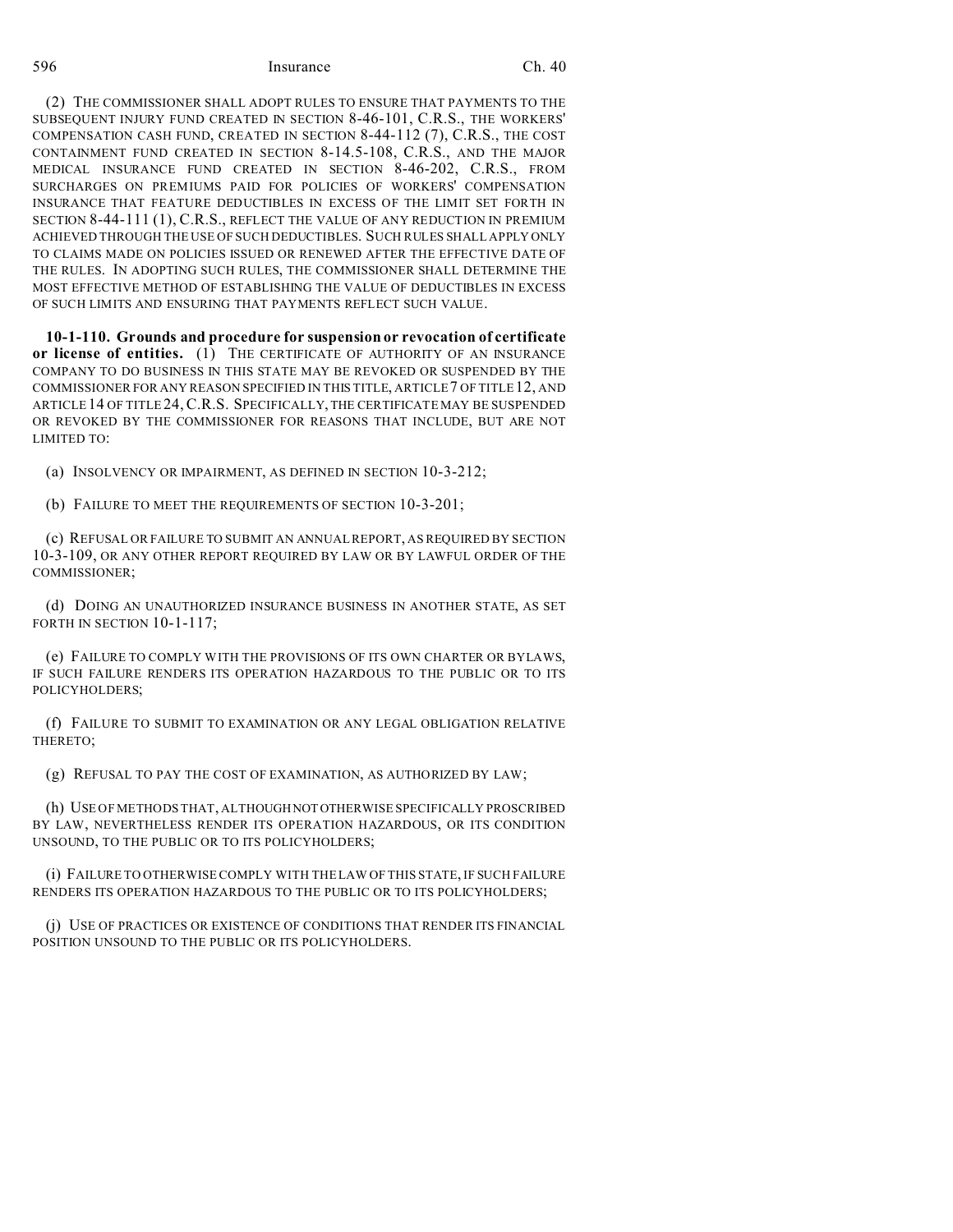(2) THE COMMISSIONER SHALL ADOPT RULES TO ENSURE THAT PAYMENTS TO THE SUBSEQUENT INJURY FUND CREATED IN SECTION 8-46-101, C.R.S., THE WORKERS' COMPENSATION CASH FUND, CREATED IN SECTION 8-44-112 (7), C.R.S., THE COST CONTAINMENT FUND CREATED IN SECTION 8-14.5-108, C.R.S., AND THE MAJOR MEDICAL INSURANCE FUND CREATED IN SECTION 8-46-202, C.R.S., FROM SURCHARGES ON PREMIUMS PAID FOR POLICIES OF WORKERS' COMPENSATION INSURANCE THAT FEATURE DEDUCTIBLES IN EXCESS OF THE LIMIT SET FORTH IN SECTION 8-44-111 (1), C.R.S., REFLECT THE VALUE OF ANY REDUCTION IN PREMIUM ACHIEVED THROUGH THE USE OF SUCH DEDUCTIBLES. SUCH RULES SHALL APPLY ONLY TO CLAIMS MADE ON POLICIES ISSUED OR RENEWED AFTER THE EFFECTIVE DATE OF THE RULES. IN ADOPTING SUCH RULES, THE COMMISSIONER SHALL DETERMINE THE MOST EFFECTIVE METHOD OF ESTABLISHING THE VALUE OF DEDUCTIBLES IN EXCESS OF SUCH LIMITS AND ENSURING THAT PAYMENTS REFLECT SUCH VALUE.

**10-1-110. Grounds and procedure for suspension or revocation of certificate or license of entities.** (1) THE CERTIFICATE OF AUTHORITY OF AN INSURANCE COMPANY TO DO BUSINESS IN THIS STATE MAY BE REVOKED OR SUSPENDED BY THE COMMISSIONER FOR ANY REASON SPECIFIED IN THIS TITLE, ARTICLE 7 OF TITLE 12, AND ARTICLE 14 OF TITLE 24,C.R.S. SPECIFICALLY, THE CERTIFICATE MAY BE SUSPENDED OR REVOKED BY THE COMMISSIONER FOR REASONS THAT INCLUDE, BUT ARE NOT LIMITED TO:

(a) INSOLVENCY OR IMPAIRMENT, AS DEFINED IN SECTION 10-3-212;

(b) FAILURE TO MEET THE REQUIREMENTS OF SECTION 10-3-201;

(c) REFUSAL OR FAILURE TO SUBMIT AN ANNUAL REPORT, AS REQUIRED BY SECTION 10-3-109, OR ANY OTHER REPORT REQUIRED BY LAW OR BY LAWFUL ORDER OF THE COMMISSIONER;

(d) DOING AN UNAUTHORIZED INSURANCE BUSINESS IN ANOTHER STATE, AS SET FORTH IN SECTION 10-1-117;

(e) FAILURE TO COMPLY WITH THE PROVISIONS OF ITS OWN CHARTER OR BYLAWS, IF SUCH FAILURE RENDERS ITS OPERATION HAZARDOUS TO THE PUBLIC OR TO ITS POLICYHOLDERS;

(f) FAILURE TO SUBMIT TO EXAMINATION OR ANY LEGAL OBLIGATION RELATIVE THERETO;

(g) REFUSAL TO PAY THE COST OF EXAMINATION, AS AUTHORIZED BY LAW;

(h) USE OF METHODS THAT, ALTHOUGHNOTOTHERWISE SPECIFICALLY PROSCRIBED BY LAW, NEVERTHELESS RENDER ITS OPERATION HAZARDOUS, OR ITS CONDITION UNSOUND, TO THE PUBLIC OR TO ITS POLICYHOLDERS;

(i) FAILURE TO OTHERWISE COMPLY WITH THE LAW OF THIS STATE, IF SUCH FAILURE RENDERS ITS OPERATION HAZARDOUS TO THE PUBLIC OR TO ITS POLICYHOLDERS;

(j) USE OF PRACTICES OR EXISTENCE OF CONDITIONS THAT RENDER ITS FINANCIAL POSITION UNSOUND TO THE PUBLIC OR ITS POLICYHOLDERS.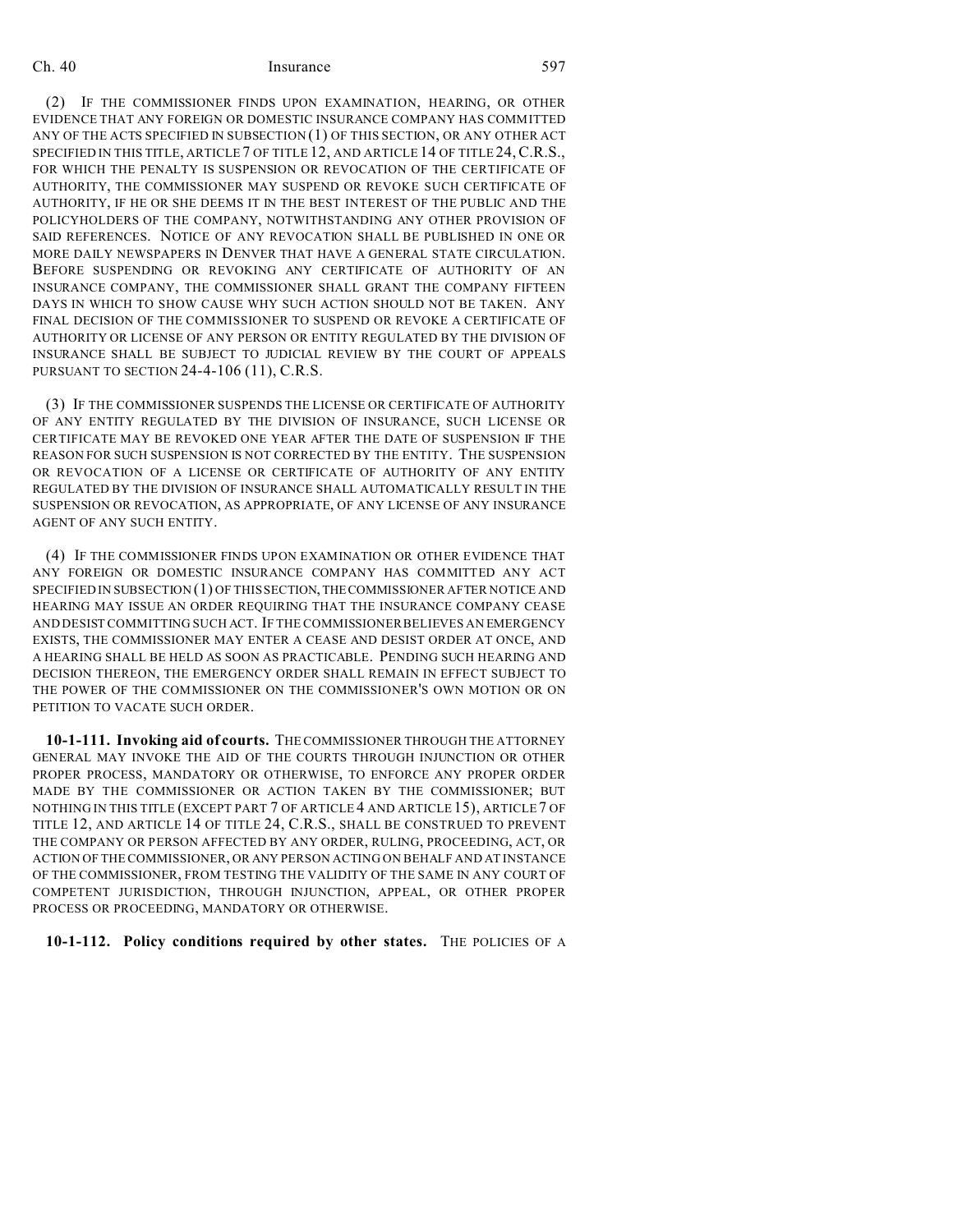(2) IF THE COMMISSIONER FINDS UPON EXAMINATION, HEARING, OR OTHER EVIDENCE THAT ANY FOREIGN OR DOMESTIC INSURANCE COMPANY HAS COMMITTED ANY OF THE ACTS SPECIFIED IN SUBSECTION (1) OF THIS SECTION, OR ANY OTHER ACT SPECIFIED IN THIS TITLE, ARTICLE 7 OF TITLE 12, AND ARTICLE 14 OF TITLE 24,C.R.S., FOR WHICH THE PENALTY IS SUSPENSION OR REVOCATION OF THE CERTIFICATE OF AUTHORITY, THE COMMISSIONER MAY SUSPEND OR REVOKE SUCH CERTIFICATE OF AUTHORITY, IF HE OR SHE DEEMS IT IN THE BEST INTEREST OF THE PUBLIC AND THE POLICYHOLDERS OF THE COMPANY, NOTWITHSTANDING ANY OTHER PROVISION OF SAID REFERENCES. NOTICE OF ANY REVOCATION SHALL BE PUBLISHED IN ONE OR MORE DAILY NEWSPAPERS IN DENVER THAT HAVE A GENERAL STATE CIRCULATION. BEFORE SUSPENDING OR REVOKING ANY CERTIFICATE OF AUTHORITY OF AN INSURANCE COMPANY, THE COMMISSIONER SHALL GRANT THE COMPANY FIFTEEN DAYS IN WHICH TO SHOW CAUSE WHY SUCH ACTION SHOULD NOT BE TAKEN. ANY FINAL DECISION OF THE COMMISSIONER TO SUSPEND OR REVOKE A CERTIFICATE OF AUTHORITY OR LICENSE OF ANY PERSON OR ENTITY REGULATED BY THE DIVISION OF INSURANCE SHALL BE SUBJECT TO JUDICIAL REVIEW BY THE COURT OF APPEALS PURSUANT TO SECTION 24-4-106 (11), C.R.S.

(3) IF THE COMMISSIONER SUSPENDS THE LICENSE OR CERTIFICATE OF AUTHORITY OF ANY ENTITY REGULATED BY THE DIVISION OF INSURANCE, SUCH LICENSE OR CERTIFICATE MAY BE REVOKED ONE YEAR AFTER THE DATE OF SUSPENSION IF THE REASON FOR SUCH SUSPENSION IS NOT CORRECTED BY THE ENTITY. THE SUSPENSION OR REVOCATION OF A LICENSE OR CERTIFICATE OF AUTHORITY OF ANY ENTITY REGULATED BY THE DIVISION OF INSURANCE SHALL AUTOMATICALLY RESULT IN THE SUSPENSION OR REVOCATION, AS APPROPRIATE, OF ANY LICENSE OF ANY INSURANCE AGENT OF ANY SUCH ENTITY.

(4) IF THE COMMISSIONER FINDS UPON EXAMINATION OR OTHER EVIDENCE THAT ANY FOREIGN OR DOMESTIC INSURANCE COMPANY HAS COMMITTED ANY ACT SPECIFIED IN SUBSECTION (1) OF THIS SECTION,THECOMMISSIONER AFTER NOTICE AND HEARING MAY ISSUE AN ORDER REQUIRING THAT THE INSURANCE COMPANY CEASE AND DESIST COMMITTING SUCH ACT. IF THE COMMISSIONER BELIEVES AN EMERGENCY EXISTS, THE COMMISSIONER MAY ENTER A CEASE AND DESIST ORDER AT ONCE, AND A HEARING SHALL BE HELD AS SOON AS PRACTICABLE. PENDING SUCH HEARING AND DECISION THEREON, THE EMERGENCY ORDER SHALL REMAIN IN EFFECT SUBJECT TO THE POWER OF THE COMMISSIONER ON THE COMMISSIONER'S OWN MOTION OR ON PETITION TO VACATE SUCH ORDER.

**10-1-111. Invoking aid of courts.** THE COMMISSIONER THROUGH THE ATTORNEY GENERAL MAY INVOKE THE AID OF THE COURTS THROUGH INJUNCTION OR OTHER PROPER PROCESS, MANDATORY OR OTHERWISE, TO ENFORCE ANY PROPER ORDER MADE BY THE COMMISSIONER OR ACTION TAKEN BY THE COMMISSIONER; BUT NOTHING IN THIS TITLE (EXCEPT PART 7 OF ARTICLE 4 AND ARTICLE 15), ARTICLE7 OF TITLE 12, AND ARTICLE 14 OF TITLE 24, C.R.S., SHALL BE CONSTRUED TO PREVENT THE COMPANY OR PERSON AFFECTED BY ANY ORDER, RULING, PROCEEDING, ACT, OR ACTION OF THE COMMISSIONER, OR ANY PERSON ACTING ON BEHALF AND AT INSTANCE OF THE COMMISSIONER, FROM TESTING THE VALIDITY OF THE SAME IN ANY COURT OF COMPETENT JURISDICTION, THROUGH INJUNCTION, APPEAL, OR OTHER PROPER PROCESS OR PROCEEDING, MANDATORY OR OTHERWISE.

#### **10-1-112. Policy conditions required by other states.** THE POLICIES OF A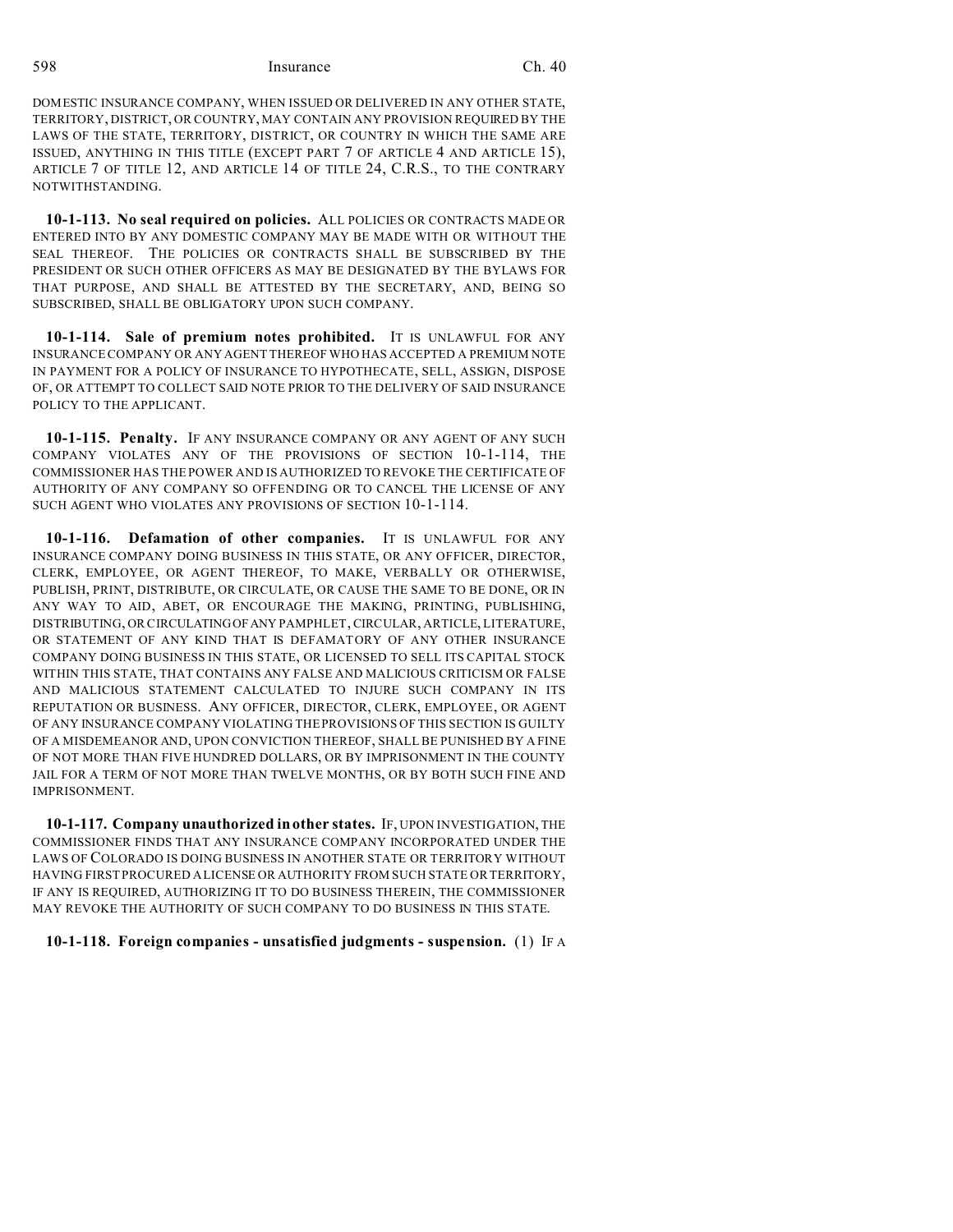DOMESTIC INSURANCE COMPANY, WHEN ISSUED OR DELIVERED IN ANY OTHER STATE, TERRITORY, DISTRICT, OR COUNTRY, MAY CONTAIN ANY PROVISION REQUIRED BY THE LAWS OF THE STATE, TERRITORY, DISTRICT, OR COUNTRY IN WHICH THE SAME ARE ISSUED, ANYTHING IN THIS TITLE (EXCEPT PART 7 OF ARTICLE 4 AND ARTICLE 15), ARTICLE 7 OF TITLE 12, AND ARTICLE 14 OF TITLE 24, C.R.S., TO THE CONTRARY NOTWITHSTANDING.

**10-1-113. No seal required on policies.** ALL POLICIES OR CONTRACTS MADE OR ENTERED INTO BY ANY DOMESTIC COMPANY MAY BE MADE WITH OR WITHOUT THE SEAL THEREOF. THE POLICIES OR CONTRACTS SHALL BE SUBSCRIBED BY THE PRESIDENT OR SUCH OTHER OFFICERS AS MAY BE DESIGNATED BY THE BYLAWS FOR THAT PURPOSE, AND SHALL BE ATTESTED BY THE SECRETARY, AND, BEING SO SUBSCRIBED, SHALL BE OBLIGATORY UPON SUCH COMPANY.

**10-1-114. Sale of premium notes prohibited.** IT IS UNLAWFUL FOR ANY INSURANCE COMPANY OR ANY AGENT THEREOF WHO HAS ACCEPTED A PREMIUM NOTE IN PAYMENT FOR A POLICY OF INSURANCE TO HYPOTHECATE, SELL, ASSIGN, DISPOSE OF, OR ATTEMPT TO COLLECT SAID NOTE PRIOR TO THE DELIVERY OF SAID INSURANCE POLICY TO THE APPLICANT.

**10-1-115. Penalty.** IF ANY INSURANCE COMPANY OR ANY AGENT OF ANY SUCH COMPANY VIOLATES ANY OF THE PROVISIONS OF SECTION 10-1-114, THE COMMISSIONER HAS THE POWER AND IS AUTHORIZED TO REVOKE THE CERTIFICATE OF AUTHORITY OF ANY COMPANY SO OFFENDING OR TO CANCEL THE LICENSE OF ANY SUCH AGENT WHO VIOLATES ANY PROVISIONS OF SECTION 10-1-114.

**10-1-116. Defamation of other companies.** IT IS UNLAWFUL FOR ANY INSURANCE COMPANY DOING BUSINESS IN THIS STATE, OR ANY OFFICER, DIRECTOR, CLERK, EMPLOYEE, OR AGENT THEREOF, TO MAKE, VERBALLY OR OTHERWISE, PUBLISH, PRINT, DISTRIBUTE, OR CIRCULATE, OR CAUSE THE SAME TO BE DONE, OR IN ANY WAY TO AID, ABET, OR ENCOURAGE THE MAKING, PRINTING, PUBLISHING, DISTRIBUTING, OR CIRCULATINGOFANY PAMPHLET, CIRCULAR, ARTICLE, LITERATURE, OR STATEMENT OF ANY KIND THAT IS DEFAMATORY OF ANY OTHER INSURANCE COMPANY DOING BUSINESS IN THIS STATE, OR LICENSED TO SELL ITS CAPITAL STOCK WITHIN THIS STATE, THAT CONTAINS ANY FALSE AND MALICIOUS CRITICISM OR FALSE AND MALICIOUS STATEMENT CALCULATED TO INJURE SUCH COMPANY IN ITS REPUTATION OR BUSINESS. ANY OFFICER, DIRECTOR, CLERK, EMPLOYEE, OR AGENT OF ANY INSURANCE COMPANY VIOLATING THE PROVISIONS OF THIS SECTION IS GUILTY OF A MISDEMEANOR AND, UPON CONVICTION THEREOF, SHALL BE PUNISHED BY A FINE OF NOT MORE THAN FIVE HUNDRED DOLLARS, OR BY IMPRISONMENT IN THE COUNTY JAIL FOR A TERM OF NOT MORE THAN TWELVE MONTHS, OR BY BOTH SUCH FINE AND IMPRISONMENT.

**10-1-117. Company unauthorized in other states.** IF, UPON INVESTIGATION, THE COMMISSIONER FINDS THAT ANY INSURANCE COMPANY INCORPORATED UNDER THE LAWS OF COLORADO IS DOING BUSINESS IN ANOTHER STATE OR TERRITORY WITHOUT HAVING FIRST PROCURED A LICENSE OR AUTHORITY FROM SUCH STATE OR TERRITORY, IF ANY IS REQUIRED, AUTHORIZING IT TO DO BUSINESS THEREIN, THE COMMISSIONER MAY REVOKE THE AUTHORITY OF SUCH COMPANY TO DO BUSINESS IN THIS STATE.

#### **10-1-118. Foreign companies - unsatisfied judgments - suspension.** (1) IF A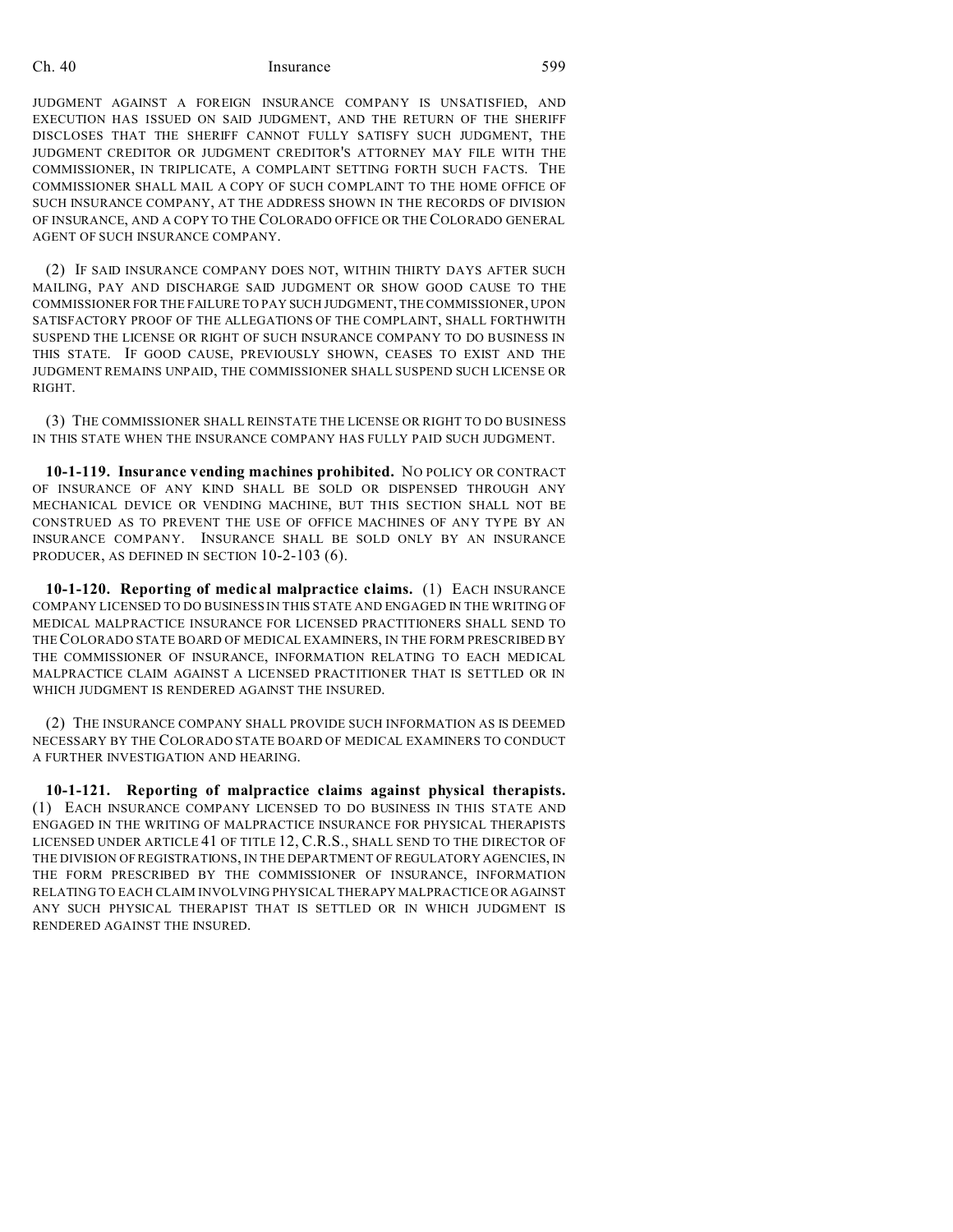JUDGMENT AGAINST A FOREIGN INSURANCE COMPANY IS UNSATISFIED, AND EXECUTION HAS ISSUED ON SAID JUDGMENT, AND THE RETURN OF THE SHERIFF DISCLOSES THAT THE SHERIFF CANNOT FULLY SATISFY SUCH JUDGMENT, THE JUDGMENT CREDITOR OR JUDGMENT CREDITOR'S ATTORNEY MAY FILE WITH THE COMMISSIONER, IN TRIPLICATE, A COMPLAINT SETTING FORTH SUCH FACTS. THE COMMISSIONER SHALL MAIL A COPY OF SUCH COMPLAINT TO THE HOME OFFICE OF SUCH INSURANCE COMPANY, AT THE ADDRESS SHOWN IN THE RECORDS OF DIVISION OF INSURANCE, AND A COPY TO THE COLORADO OFFICE OR THE COLORADO GENERAL AGENT OF SUCH INSURANCE COMPANY.

(2) IF SAID INSURANCE COMPANY DOES NOT, WITHIN THIRTY DAYS AFTER SUCH MAILING, PAY AND DISCHARGE SAID JUDGMENT OR SHOW GOOD CAUSE TO THE COMMISSIONER FOR THE FAILURE TO PAY SUCH JUDGMENT, THE COMMISSIONER, UPON SATISFACTORY PROOF OF THE ALLEGATIONS OF THE COMPLAINT, SHALL FORTHWITH SUSPEND THE LICENSE OR RIGHT OF SUCH INSURANCE COMPANY TO DO BUSINESS IN THIS STATE. IF GOOD CAUSE, PREVIOUSLY SHOWN, CEASES TO EXIST AND THE JUDGMENT REMAINS UNPAID, THE COMMISSIONER SHALL SUSPEND SUCH LICENSE OR RIGHT.

(3) THE COMMISSIONER SHALL REINSTATE THE LICENSE OR RIGHT TO DO BUSINESS IN THIS STATE WHEN THE INSURANCE COMPANY HAS FULLY PAID SUCH JUDGMENT.

**10-1-119. Insurance vending machines prohibited.** NO POLICY OR CONTRACT OF INSURANCE OF ANY KIND SHALL BE SOLD OR DISPENSED THROUGH ANY MECHANICAL DEVICE OR VENDING MACHINE, BUT THIS SECTION SHALL NOT BE CONSTRUED AS TO PREVENT THE USE OF OFFICE MACHINES OF ANY TYPE BY AN INSURANCE COMPANY. INSURANCE SHALL BE SOLD ONLY BY AN INSURANCE PRODUCER, AS DEFINED IN SECTION 10-2-103 (6).

**10-1-120. Reporting of medical malpractice claims.** (1) EACH INSURANCE COMPANY LICENSED TO DO BUSINESS IN THIS STATE AND ENGAGED IN THE WRITING OF MEDICAL MALPRACTICE INSURANCE FOR LICENSED PRACTITIONERS SHALL SEND TO THECOLORADO STATE BOARD OF MEDICAL EXAMINERS, IN THE FORM PRESCRIBED BY THE COMMISSIONER OF INSURANCE, INFORMATION RELATING TO EACH MEDICAL MALPRACTICE CLAIM AGAINST A LICENSED PRACTITIONER THAT IS SETTLED OR IN WHICH JUDGMENT IS RENDERED AGAINST THE INSURED.

(2) THE INSURANCE COMPANY SHALL PROVIDE SUCH INFORMATION AS IS DEEMED NECESSARY BY THE COLORADO STATE BOARD OF MEDICAL EXAMINERS TO CONDUCT A FURTHER INVESTIGATION AND HEARING.

**10-1-121. Reporting of malpractice claims against physical therapists.** (1) EACH INSURANCE COMPANY LICENSED TO DO BUSINESS IN THIS STATE AND ENGAGED IN THE WRITING OF MALPRACTICE INSURANCE FOR PHYSICAL THERAPISTS LICENSED UNDER ARTICLE 41 OF TITLE 12, C.R.S., SHALL SEND TO THE DIRECTOR OF THE DIVISION OF REGISTRATIONS, IN THE DEPARTMENT OF REGULATORY AGENCIES, IN THE FORM PRESCRIBED BY THE COMMISSIONER OF INSURANCE, INFORMATION RELATING TO EACH CLAIM INVOLVING PHYSICAL THERAPY MALPRACTICE OR AGAINST ANY SUCH PHYSICAL THERAPIST THAT IS SETTLED OR IN WHICH JUDGMENT IS RENDERED AGAINST THE INSURED.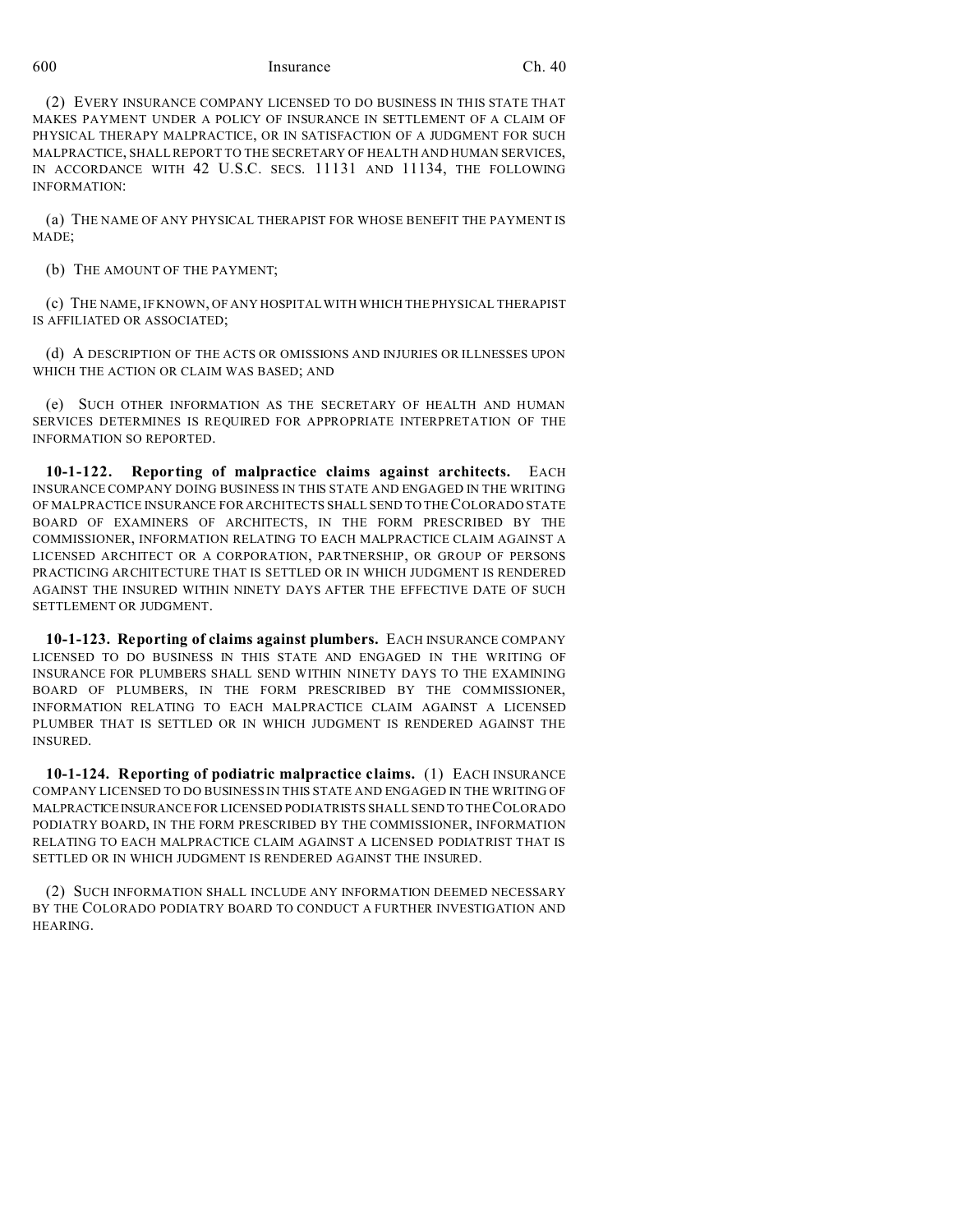(2) EVERY INSURANCE COMPANY LICENSED TO DO BUSINESS IN THIS STATE THAT MAKES PAYMENT UNDER A POLICY OF INSURANCE IN SETTLEMENT OF A CLAIM OF PHYSICAL THERAPY MALPRACTICE, OR IN SATISFACTION OF A JUDGMENT FOR SUCH MALPRACTICE, SHALL REPORT TO THE SECRETARY OF HEALTH AND HUMAN SERVICES, IN ACCORDANCE WITH 42 U.S.C. SECS. 11131 AND 11134, THE FOLLOWING INFORMATION:

(a) THE NAME OF ANY PHYSICAL THERAPIST FOR WHOSE BENEFIT THE PAYMENT IS MADE;

(b) THE AMOUNT OF THE PAYMENT;

(c) THE NAME, IF KNOWN, OF ANY HOSPITAL WITH WHICH THE PHYSICAL THERAPIST IS AFFILIATED OR ASSOCIATED;

(d) A DESCRIPTION OF THE ACTS OR OMISSIONS AND INJURIES OR ILLNESSES UPON WHICH THE ACTION OR CLAIM WAS BASED; AND

(e) SUCH OTHER INFORMATION AS THE SECRETARY OF HEALTH AND HUMAN SERVICES DETERMINES IS REQUIRED FOR APPROPRIATE INTERPRETATION OF THE INFORMATION SO REPORTED.

**10-1-122. Reporting of malpractice claims against architects.** EACH INSURANCE COMPANY DOING BUSINESS IN THIS STATE AND ENGAGED IN THE WRITING OF MALPRACTICE INSURANCE FOR ARCHITECTS SHALL SEND TO THE COLORADO STATE BOARD OF EXAMINERS OF ARCHITECTS, IN THE FORM PRESCRIBED BY THE COMMISSIONER, INFORMATION RELATING TO EACH MALPRACTICE CLAIM AGAINST A LICENSED ARCHITECT OR A CORPORATION, PARTNERSHIP, OR GROUP OF PERSONS PRACTICING ARCHITECTURE THAT IS SETTLED OR IN WHICH JUDGMENT IS RENDERED AGAINST THE INSURED WITHIN NINETY DAYS AFTER THE EFFECTIVE DATE OF SUCH SETTLEMENT OR JUDGMENT.

**10-1-123. Reporting of claims against plumbers.** EACH INSURANCE COMPANY LICENSED TO DO BUSINESS IN THIS STATE AND ENGAGED IN THE WRITING OF INSURANCE FOR PLUMBERS SHALL SEND WITHIN NINETY DAYS TO THE EXAMINING BOARD OF PLUMBERS, IN THE FORM PRESCRIBED BY THE COMMISSIONER, INFORMATION RELATING TO EACH MALPRACTICE CLAIM AGAINST A LICENSED PLUMBER THAT IS SETTLED OR IN WHICH JUDGMENT IS RENDERED AGAINST THE INSURED.

**10-1-124. Reporting of podiatric malpractice claims.** (1) EACH INSURANCE COMPANY LICENSED TO DO BUSINESS IN THIS STATE AND ENGAGED IN THE WRITING OF MALPRACTICE INSURANCE FOR LICENSED PODIATRISTS SHALL SEND TO THE COLORADO PODIATRY BOARD, IN THE FORM PRESCRIBED BY THE COMMISSIONER, INFORMATION RELATING TO EACH MALPRACTICE CLAIM AGAINST A LICENSED PODIATRIST THAT IS SETTLED OR IN WHICH JUDGMENT IS RENDERED AGAINST THE INSURED.

(2) SUCH INFORMATION SHALL INCLUDE ANY INFORMATION DEEMED NECESSARY BY THE COLORADO PODIATRY BOARD TO CONDUCT A FURTHER INVESTIGATION AND HEARING.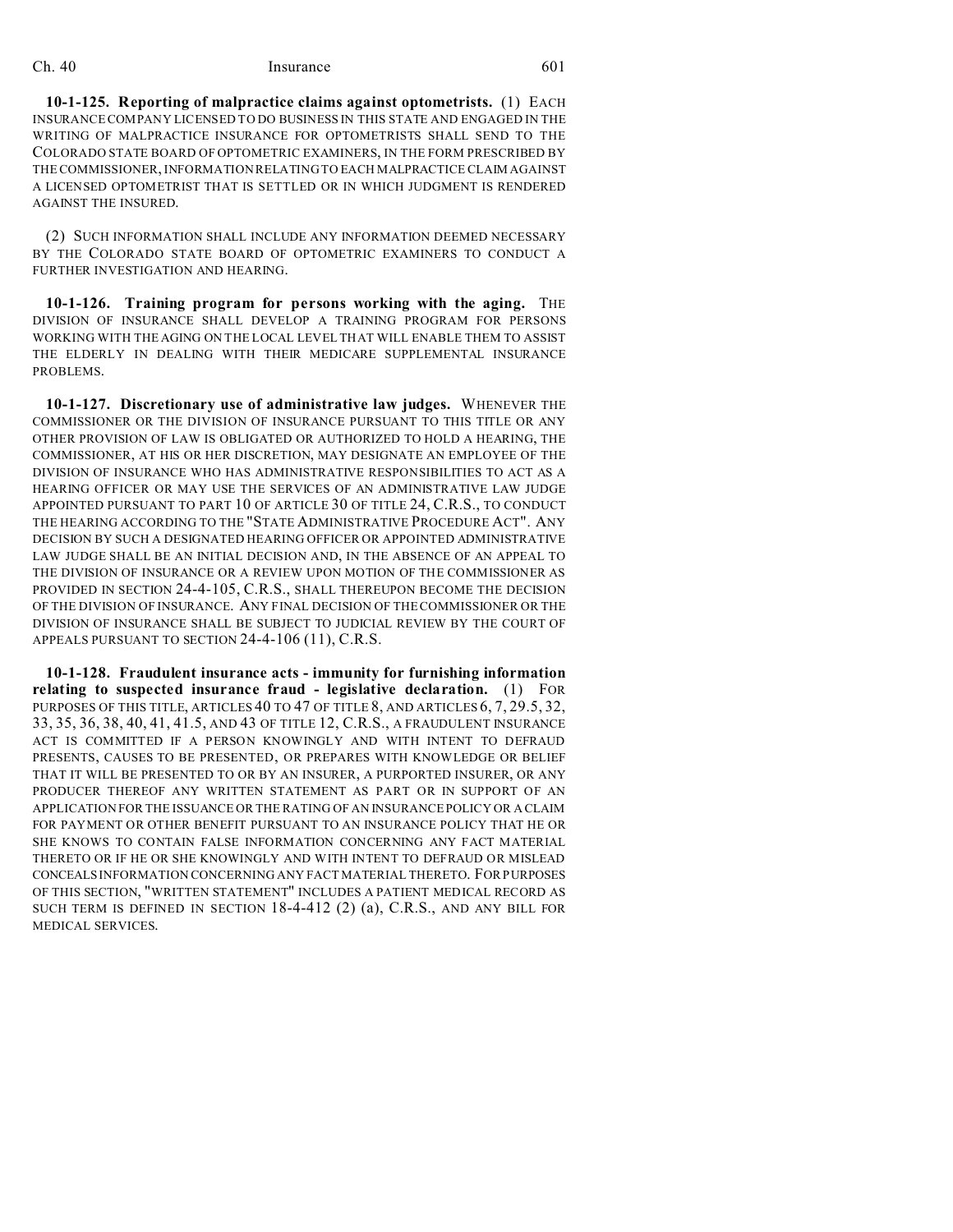**10-1-125. Reporting of malpractice claims against optometrists.** (1) EACH INSURANCE COMPANY LICENSED TO DO BUSINESS IN THIS STATE AND ENGAGED IN THE WRITING OF MALPRACTICE INSURANCE FOR OPTOMETRISTS SHALL SEND TO THE COLORADO STATE BOARD OF OPTOMETRIC EXAMINERS, IN THE FORM PRESCRIBED BY THE COMMISSIONER, INFORMATION RELATING TO EACH MALPRACTICE CLAIM AGAINST A LICENSED OPTOMETRIST THAT IS SETTLED OR IN WHICH JUDGMENT IS RENDERED AGAINST THE INSURED.

(2) SUCH INFORMATION SHALL INCLUDE ANY INFORMATION DEEMED NECESSARY BY THE COLORADO STATE BOARD OF OPTOMETRIC EXAMINERS TO CONDUCT A FURTHER INVESTIGATION AND HEARING.

**10-1-126. Training program for persons working with the aging.** THE DIVISION OF INSURANCE SHALL DEVELOP A TRAINING PROGRAM FOR PERSONS WORKING WITH THE AGING ON THE LOCAL LEVEL THAT WILL ENABLE THEM TO ASSIST THE ELDERLY IN DEALING WITH THEIR MEDICARE SUPPLEMENTAL INSURANCE PROBLEMS.

**10-1-127. Discretionary use of administrative law judges.** WHENEVER THE COMMISSIONER OR THE DIVISION OF INSURANCE PURSUANT TO THIS TITLE OR ANY OTHER PROVISION OF LAW IS OBLIGATED OR AUTHORIZED TO HOLD A HEARING, THE COMMISSIONER, AT HIS OR HER DISCRETION, MAY DESIGNATE AN EMPLOYEE OF THE DIVISION OF INSURANCE WHO HAS ADMINISTRATIVE RESPONSIBILITIES TO ACT AS A HEARING OFFICER OR MAY USE THE SERVICES OF AN ADMINISTRATIVE LAW JUDGE APPOINTED PURSUANT TO PART 10 OF ARTICLE 30 OF TITLE 24, C.R.S., TO CONDUCT THE HEARING ACCORDING TO THE "STATE ADMINISTRATIVE PROCEDURE ACT". ANY DECISION BY SUCH A DESIGNATED HEARING OFFICER OR APPOINTED ADMINISTRATIVE LAW JUDGE SHALL BE AN INITIAL DECISION AND, IN THE ABSENCE OF AN APPEAL TO THE DIVISION OF INSURANCE OR A REVIEW UPON MOTION OF THE COMMISSIONER AS PROVIDED IN SECTION 24-4-105, C.R.S., SHALL THEREUPON BECOME THE DECISION OF THE DIVISION OF INSURANCE. ANY FINAL DECISION OF THE COMMISSIONER OR THE DIVISION OF INSURANCE SHALL BE SUBJECT TO JUDICIAL REVIEW BY THE COURT OF APPEALS PURSUANT TO SECTION 24-4-106 (11), C.R.S.

**10-1-128. Fraudulent insurance acts - immunity for furnishing information relating to suspected insurance fraud - legislative declaration.** (1) FOR PURPOSES OF THIS TITLE, ARTICLES 40 TO 47 OF TITLE 8, AND ARTICLES 6, 7, 29.5, 32, 33, 35, 36, 38, 40, 41, 41.5, AND 43 OF TITLE 12, C.R.S., A FRAUDULENT INSURANCE ACT IS COMMITTED IF A PERSON KNOWINGLY AND WITH INTENT TO DEFRAUD PRESENTS, CAUSES TO BE PRESENTED, OR PREPARES WITH KNOWLEDGE OR BELIEF THAT IT WILL BE PRESENTED TO OR BY AN INSURER, A PURPORTED INSURER, OR ANY PRODUCER THEREOF ANY WRITTEN STATEMENT AS PART OR IN SUPPORT OF AN APPLICATION FOR THE ISSUANCE OR THE RATING OF AN INSURANCE POLICY OR A CLAIM FOR PAYMENT OR OTHER BENEFIT PURSUANT TO AN INSURANCE POLICY THAT HE OR SHE KNOWS TO CONTAIN FALSE INFORMATION CONCERNING ANY FACT MATERIAL THERETO OR IF HE OR SHE KNOWINGLY AND WITH INTENT TO DEFRAUD OR MISLEAD CONCEALS INFORMATION CONCERNING ANY FACT MATERIAL THERETO. FOR PURPOSES OF THIS SECTION, "WRITTEN STATEMENT" INCLUDES A PATIENT MEDICAL RECORD AS SUCH TERM IS DEFINED IN SECTION 18-4-412 (2) (a), C.R.S., AND ANY BILL FOR MEDICAL SERVICES.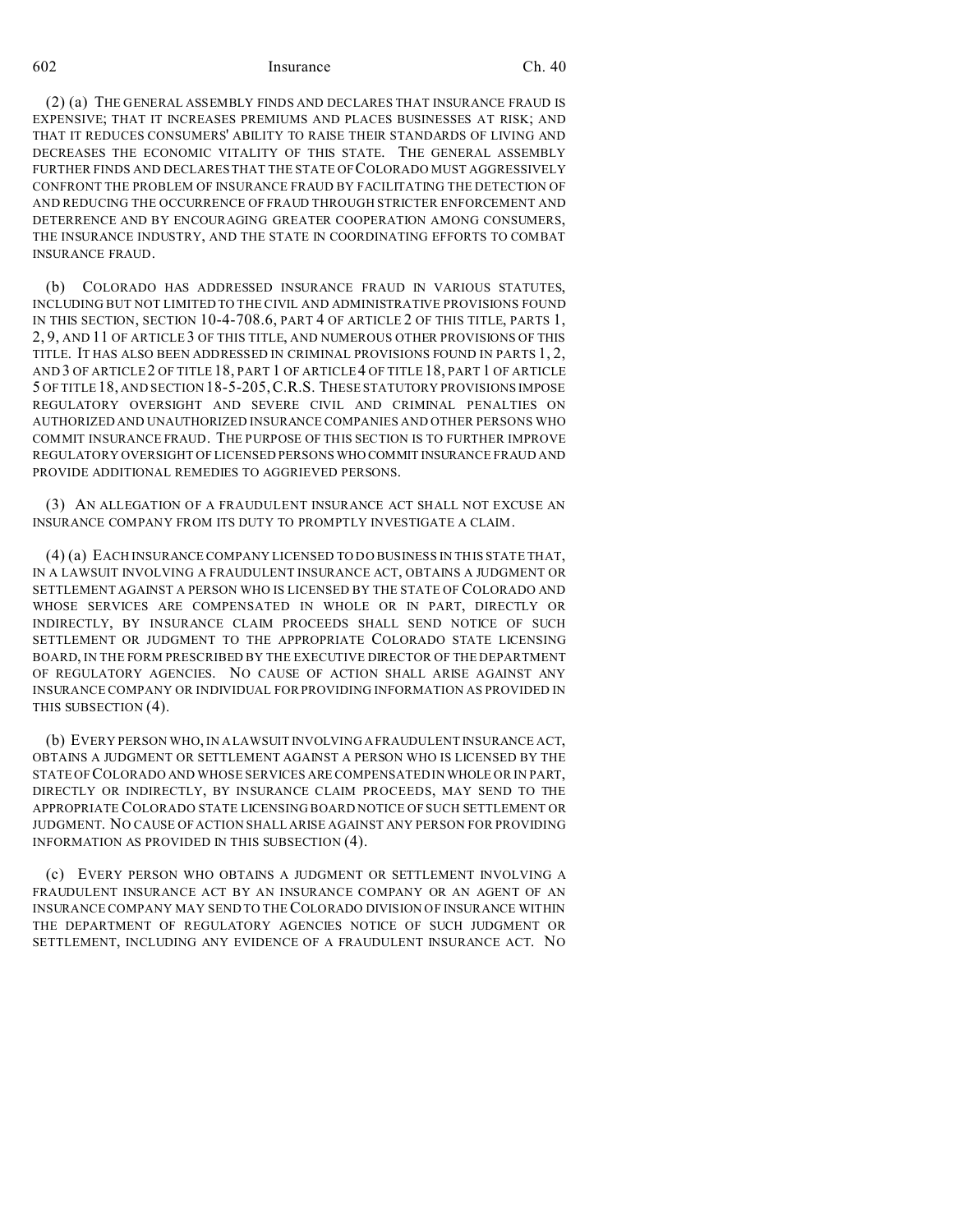(2) (a) THE GENERAL ASSEMBLY FINDS AND DECLARES THAT INSURANCE FRAUD IS EXPENSIVE; THAT IT INCREASES PREMIUMS AND PLACES BUSINESSES AT RISK; AND THAT IT REDUCES CONSUMERS' ABILITY TO RAISE THEIR STANDARDS OF LIVING AND DECREASES THE ECONOMIC VITALITY OF THIS STATE. THE GENERAL ASSEMBLY FURTHER FINDS AND DECLARES THAT THE STATE OF COLORADO MUST AGGRESSIVELY CONFRONT THE PROBLEM OF INSURANCE FRAUD BY FACILITATING THE DETECTION OF AND REDUCING THE OCCURRENCE OF FRAUD THROUGH STRICTER ENFORCEMENT AND DETERRENCE AND BY ENCOURAGING GREATER COOPERATION AMONG CONSUMERS, THE INSURANCE INDUSTRY, AND THE STATE IN COORDINATING EFFORTS TO COMBAT INSURANCE FRAUD.

(b) COLORADO HAS ADDRESSED INSURANCE FRAUD IN VARIOUS STATUTES, INCLUDING BUT NOT LIMITED TO THE CIVIL AND ADMINISTRATIVE PROVISIONS FOUND IN THIS SECTION, SECTION 10-4-708.6, PART 4 OF ARTICLE 2 OF THIS TITLE, PARTS 1, 2, 9, AND 11 OF ARTICLE 3 OF THIS TITLE, AND NUMEROUS OTHER PROVISIONS OF THIS TITLE. IT HAS ALSO BEEN ADDRESSED IN CRIMINAL PROVISIONS FOUND IN PARTS 1, 2, AND 3 OF ARTICLE 2 OF TITLE 18, PART 1 OF ARTICLE 4 OF TITLE 18, PART 1 OF ARTICLE 5 OF TITLE 18, AND SECTION 18-5-205,C.R.S. THESE STATUTORY PROVISIONS IMPOSE REGULATORY OVERSIGHT AND SEVERE CIVIL AND CRIMINAL PENALTIES ON AUTHORIZED AND UNAUTHORIZED INSURANCE COMPANIES AND OTHER PERSONS WHO COMMIT INSURANCE FRAUD. THE PURPOSE OF THIS SECTION IS TO FURTHER IMPROVE REGULATORY OVERSIGHT OF LICENSED PERSONS WHO COMMIT INSURANCE FRAUD AND PROVIDE ADDITIONAL REMEDIES TO AGGRIEVED PERSONS.

(3) AN ALLEGATION OF A FRAUDULENT INSURANCE ACT SHALL NOT EXCUSE AN INSURANCE COMPANY FROM ITS DUTY TO PROMPTLY INVESTIGATE A CLAIM.

(4) (a) EACH INSURANCE COMPANY LICENSED TO DO BUSINESS IN THIS STATE THAT, IN A LAWSUIT INVOLVING A FRAUDULENT INSURANCE ACT, OBTAINS A JUDGMENT OR SETTLEMENT AGAINST A PERSON WHO IS LICENSED BY THE STATE OF COLORADO AND WHOSE SERVICES ARE COMPENSATED IN WHOLE OR IN PART, DIRECTLY OR INDIRECTLY, BY INSURANCE CLAIM PROCEEDS SHALL SEND NOTICE OF SUCH SETTLEMENT OR JUDGMENT TO THE APPROPRIATE COLORADO STATE LICENSING BOARD, IN THE FORM PRESCRIBED BY THE EXECUTIVE DIRECTOR OF THE DEPARTMENT OF REGULATORY AGENCIES. NO CAUSE OF ACTION SHALL ARISE AGAINST ANY INSURANCE COMPANY OR INDIVIDUAL FOR PROVIDING INFORMATION AS PROVIDED IN THIS SUBSECTION (4).

(b) EVERY PERSON WHO, IN A LAWSUIT INVOLVING A FRAUDULENT INSURANCE ACT, OBTAINS A JUDGMENT OR SETTLEMENT AGAINST A PERSON WHO IS LICENSED BY THE STATE OF COLORADO AND WHOSE SERVICES ARE COMPENSATED IN WHOLE OR IN PART, DIRECTLY OR INDIRECTLY, BY INSURANCE CLAIM PROCEEDS, MAY SEND TO THE APPROPRIATE COLORADO STATE LICENSING BOARD NOTICE OF SUCH SETTLEMENT OR JUDGMENT. NO CAUSE OF ACTION SHALL ARISE AGAINST ANY PERSON FOR PROVIDING INFORMATION AS PROVIDED IN THIS SUBSECTION (4).

(c) EVERY PERSON WHO OBTAINS A JUDGMENT OR SETTLEMENT INVOLVING A FRAUDULENT INSURANCE ACT BY AN INSURANCE COMPANY OR AN AGENT OF AN INSURANCE COMPANY MAY SEND TO THE COLORADO DIVISION OF INSURANCE WITHIN THE DEPARTMENT OF REGULATORY AGENCIES NOTICE OF SUCH JUDGMENT OR SETTLEMENT, INCLUDING ANY EVIDENCE OF A FRAUDULENT INSURANCE ACT. NO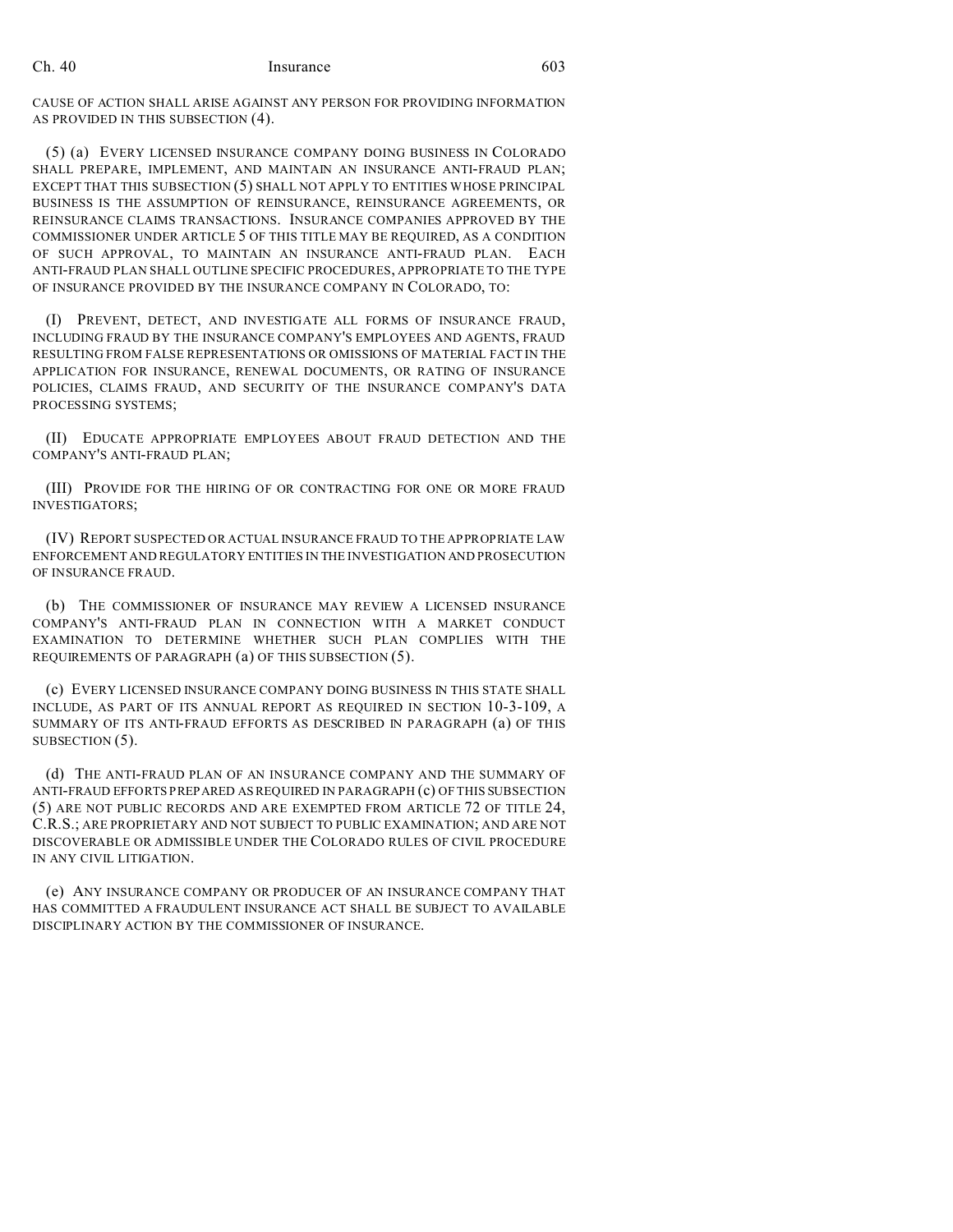CAUSE OF ACTION SHALL ARISE AGAINST ANY PERSON FOR PROVIDING INFORMATION AS PROVIDED IN THIS SUBSECTION (4).

(5) (a) EVERY LICENSED INSURANCE COMPANY DOING BUSINESS IN COLORADO SHALL PREPARE, IMPLEMENT, AND MAINTAIN AN INSURANCE ANTI-FRAUD PLAN; EXCEPT THAT THIS SUBSECTION (5) SHALL NOT APPLY TO ENTITIES WHOSE PRINCIPAL BUSINESS IS THE ASSUMPTION OF REINSURANCE, REINSURANCE AGREEMENTS, OR REINSURANCE CLAIMS TRANSACTIONS. INSURANCE COMPANIES APPROVED BY THE COMMISSIONER UNDER ARTICLE 5 OF THIS TITLE MAY BE REQUIRED, AS A CONDITION OF SUCH APPROVAL, TO MAINTAIN AN INSURANCE ANTI-FRAUD PLAN. EACH ANTI-FRAUD PLAN SHALL OUTLINE SPECIFIC PROCEDURES, APPROPRIATE TO THE TYPE OF INSURANCE PROVIDED BY THE INSURANCE COMPANY IN COLORADO, TO:

(I) PREVENT, DETECT, AND INVESTIGATE ALL FORMS OF INSURANCE FRAUD, INCLUDING FRAUD BY THE INSURANCE COMPANY'S EMPLOYEES AND AGENTS, FRAUD RESULTING FROM FALSE REPRESENTATIONS OR OMISSIONS OF MATERIAL FACT IN THE APPLICATION FOR INSURANCE, RENEWAL DOCUMENTS, OR RATING OF INSURANCE POLICIES, CLAIMS FRAUD, AND SECURITY OF THE INSURANCE COMPANY'S DATA PROCESSING SYSTEMS;

(II) EDUCATE APPROPRIATE EMPLOYEES ABOUT FRAUD DETECTION AND THE COMPANY'S ANTI-FRAUD PLAN;

(III) PROVIDE FOR THE HIRING OF OR CONTRACTING FOR ONE OR MORE FRAUD INVESTIGATORS;

(IV) REPORT SUSPECTED OR ACTUAL INSURANCE FRAUD TO THE APPROPRIATE LAW ENFORCEMENT AND REGULATORY ENTITIES IN THE INVESTIGATION AND PROSECUTION OF INSURANCE FRAUD.

(b) THE COMMISSIONER OF INSURANCE MAY REVIEW A LICENSED INSURANCE COMPANY'S ANTI-FRAUD PLAN IN CONNECTION WITH A MARKET CONDUCT EXAMINATION TO DETERMINE WHETHER SUCH PLAN COMPLIES WITH THE REQUIREMENTS OF PARAGRAPH (a) OF THIS SUBSECTION (5).

(c) EVERY LICENSED INSURANCE COMPANY DOING BUSINESS IN THIS STATE SHALL INCLUDE, AS PART OF ITS ANNUAL REPORT AS REQUIRED IN SECTION 10-3-109, A SUMMARY OF ITS ANTI-FRAUD EFFORTS AS DESCRIBED IN PARAGRAPH (a) OF THIS SUBSECTION  $(5)$ .

(d) THE ANTI-FRAUD PLAN OF AN INSURANCE COMPANY AND THE SUMMARY OF ANTI-FRAUD EFFORTS PREPARED AS REQUIRED IN PARAGRAPH (c) OF THIS SUBSECTION (5) ARE NOT PUBLIC RECORDS AND ARE EXEMPTED FROM ARTICLE 72 OF TITLE 24, C.R.S.; ARE PROPRIETARY AND NOT SUBJECT TO PUBLIC EXAMINATION; AND ARE NOT DISCOVERABLE OR ADMISSIBLE UNDER THE COLORADO RULES OF CIVIL PROCEDURE IN ANY CIVIL LITIGATION.

(e) ANY INSURANCE COMPANY OR PRODUCER OF AN INSURANCE COMPANY THAT HAS COMMITTED A FRAUDULENT INSURANCE ACT SHALL BE SUBJECT TO AVAILABLE DISCIPLINARY ACTION BY THE COMMISSIONER OF INSURANCE.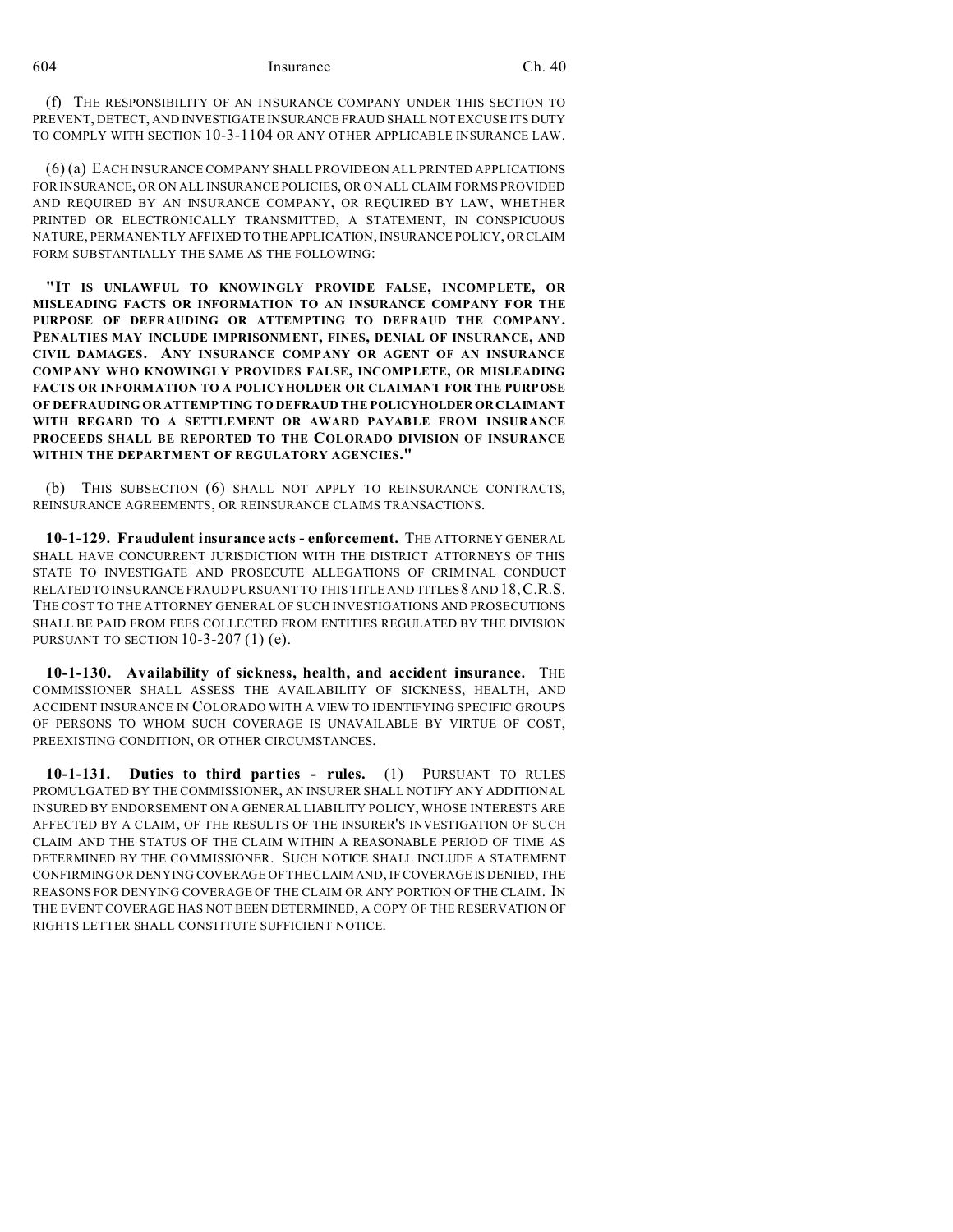(f) THE RESPONSIBILITY OF AN INSURANCE COMPANY UNDER THIS SECTION TO PREVENT, DETECT, AND INVESTIGATE INSURANCE FRAUD SHALL NOT EXCUSE ITS DUTY TO COMPLY WITH SECTION 10-3-1104 OR ANY OTHER APPLICABLE INSURANCE LAW.

(6) (a) EACH INSURANCE COMPANY SHALL PROVIDEON ALL PRINTED APPLICATIONS FOR INSURANCE, OR ON ALL INSURANCE POLICIES, OR ON ALL CLAIM FORMS PROVIDED AND REQUIRED BY AN INSURANCE COMPANY, OR REQUIRED BY LAW, WHETHER PRINTED OR ELECTRONICALLY TRANSMITTED, A STATEMENT, IN CONSPICUOUS NATURE, PERMANENTLY AFFIXED TO THE APPLICATION, INSURANCE POLICY, ORCLAIM FORM SUBSTANTIALLY THE SAME AS THE FOLLOWING:

**"IT IS UNLAWFUL TO KNOWINGLY PROVIDE FALSE, INCOMPLETE, OR MISLEADING FACTS OR INFORMATION TO AN INSURANCE COMPANY FOR THE PURPOSE OF DEFRAUDING OR ATTEMPTING TO DEFRAUD THE COMPANY. PENALTIES MAY INCLUDE IMPRISONMENT, FINES, DENIAL OF INSURANCE, AND CIVIL DAMAGES. ANY INSURANCE COMPANY OR AGENT OF AN INSURANCE COMPANY WHO KNOWINGLY PROVIDES FALSE, INCOMPLETE, OR MISLEADING FACTS OR INFORMATION TO A POLICYHOLDER OR CLAIMANT FOR THE PURPOSE OF DEFRAUDING OR ATTEMPTING TO DEFRAUD THE POLICYHOLDER OR CLAIMANT WITH REGARD TO A SETTLEMENT OR AWARD PAYABLE FROM INSURANCE PROCEEDS SHALL BE REPORTED TO THE COLORADO DIVISION OF INSURANCE WITHIN THE DEPARTMENT OF REGULATORY AGENCIES."**

(b) THIS SUBSECTION (6) SHALL NOT APPLY TO REINSURANCE CONTRACTS, REINSURANCE AGREEMENTS, OR REINSURANCE CLAIMS TRANSACTIONS.

**10-1-129. Fraudulent insurance acts - enforcement.** THE ATTORNEY GENERAL SHALL HAVE CONCURRENT JURISDICTION WITH THE DISTRICT ATTORNEYS OF THIS STATE TO INVESTIGATE AND PROSECUTE ALLEGATIONS OF CRIMINAL CONDUCT RELATED TO INSURANCE FRAUD PURSUANT TO THIS TITLE AND TITLES 8 AND 18,C.R.S. THE COST TO THE ATTORNEY GENERAL OF SUCH INVESTIGATIONS AND PROSECUTIONS SHALL BE PAID FROM FEES COLLECTED FROM ENTITIES REGULATED BY THE DIVISION PURSUANT TO SECTION 10-3-207 (1) (e).

**10-1-130. Availability of sickness, health, and accident insurance.** THE COMMISSIONER SHALL ASSESS THE AVAILABILITY OF SICKNESS, HEALTH, AND ACCIDENT INSURANCE IN COLORADO WITH A VIEW TO IDENTIFYING SPECIFIC GROUPS OF PERSONS TO WHOM SUCH COVERAGE IS UNAVAILABLE BY VIRTUE OF COST, PREEXISTING CONDITION, OR OTHER CIRCUMSTANCES.

**10-1-131. Duties to third parties - rules.** (1) PURSUANT TO RULES PROMULGATED BY THE COMMISSIONER, AN INSURER SHALL NOTIFY ANY ADDITIONAL INSURED BY ENDORSEMENT ON A GENERAL LIABILITY POLICY, WHOSE INTERESTS ARE AFFECTED BY A CLAIM, OF THE RESULTS OF THE INSURER'S INVESTIGATION OF SUCH CLAIM AND THE STATUS OF THE CLAIM WITHIN A REASONABLE PERIOD OF TIME AS DETERMINED BY THE COMMISSIONER. SUCH NOTICE SHALL INCLUDE A STATEMENT CONFIRMING OR DENYING COVERAGE OF THE CLAIM AND, IF COVERAGE IS DENIED, THE REASONS FOR DENYING COVERAGE OF THE CLAIM OR ANY PORTION OF THE CLAIM. IN THE EVENT COVERAGE HAS NOT BEEN DETERMINED, A COPY OF THE RESERVATION OF RIGHTS LETTER SHALL CONSTITUTE SUFFICIENT NOTICE.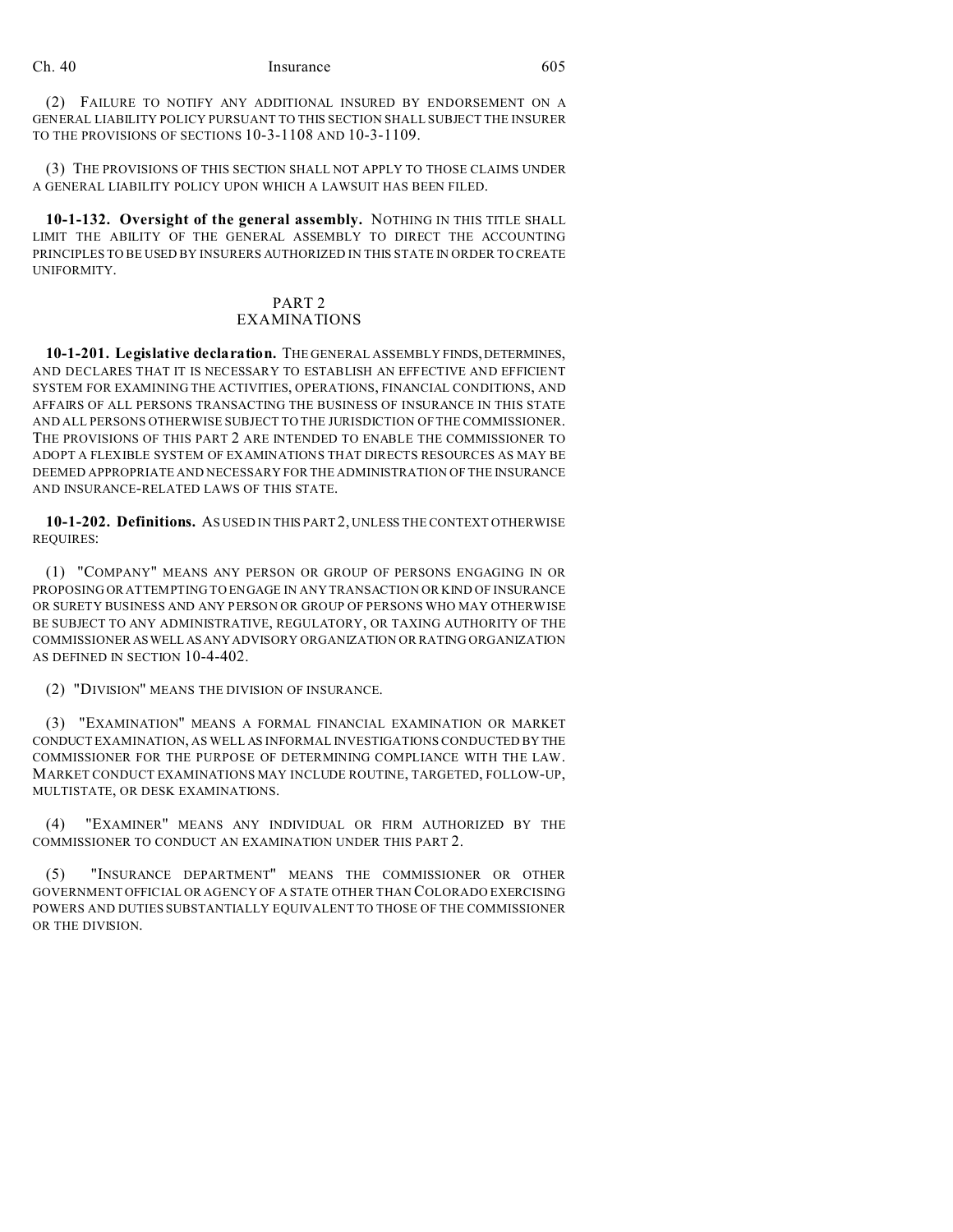(2) FAILURE TO NOTIFY ANY ADDITIONAL INSURED BY ENDORSEMENT ON A GENERAL LIABILITY POLICY PURSUANT TO THIS SECTION SHALL SUBJECT THE INSURER TO THE PROVISIONS OF SECTIONS 10-3-1108 AND 10-3-1109.

(3) THE PROVISIONS OF THIS SECTION SHALL NOT APPLY TO THOSE CLAIMS UNDER A GENERAL LIABILITY POLICY UPON WHICH A LAWSUIT HAS BEEN FILED.

**10-1-132. Oversight of the general assembly.** NOTHING IN THIS TITLE SHALL LIMIT THE ABILITY OF THE GENERAL ASSEMBLY TO DIRECT THE ACCOUNTING PRINCIPLES TO BE USED BY INSURERS AUTHORIZED IN THIS STATE IN ORDER TO CREATE UNIFORMITY.

## PART 2

## EXAMINATIONS

10-1-201. Legislative declaration. THE GENERAL ASSEMBLY FINDS, DETERMINES, AND DECLARES THAT IT IS NECESSARY TO ESTABLISH AN EFFECTIVE AND EFFICIENT SYSTEM FOR EXAMINING THE ACTIVITIES, OPERATIONS, FINANCIAL CONDITIONS, AND AFFAIRS OF ALL PERSONS TRANSACTING THE BUSINESS OF INSURANCE IN THIS STATE AND ALL PERSONS OTHERWISE SUBJECT TO THE JURISDICTION OF THE COMMISSIONER. THE PROVISIONS OF THIS PART 2 ARE INTENDED TO ENABLE THE COMMISSIONER TO ADOPT A FLEXIBLE SYSTEM OF EXAMINATIONS THAT DIRECTS RESOURCES AS MAY BE DEEMED APPROPRIATE AND NECESSARY FOR THE ADMINISTRATION OF THE INSURANCE AND INSURANCE-RELATED LAWS OF THIS STATE.

**10-1-202. Definitions.** AS USED IN THIS PART 2, UNLESS THE CONTEXT OTHERWISE REQUIRES:

(1) "COMPANY" MEANS ANY PERSON OR GROUP OF PERSONS ENGAGING IN OR PROPOSING OR ATTEMPTING TO ENGAGE IN ANY TRANSACTION OR KIND OF INSURANCE OR SURETY BUSINESS AND ANY PERSON OR GROUP OF PERSONS WHO MAY OTHERWISE BE SUBJECT TO ANY ADMINISTRATIVE, REGULATORY, OR TAXING AUTHORITY OF THE COMMISSIONER ASWELL ASANY ADVISORY ORGANIZATION OR RATING ORGANIZATION AS DEFINED IN SECTION 10-4-402.

(2) "DIVISION" MEANS THE DIVISION OF INSURANCE.

(3) "EXAMINATION" MEANS A FORMAL FINANCIAL EXAMINATION OR MARKET CONDUCT EXAMINATION, AS WELL AS INFORMAL INVESTIGATIONS CONDUCTED BY THE COMMISSIONER FOR THE PURPOSE OF DETERMINING COMPLIANCE WITH THE LAW. MARKET CONDUCT EXAMINATIONS MAY INCLUDE ROUTINE, TARGETED, FOLLOW-UP, MULTISTATE, OR DESK EXAMINATIONS.

(4) "EXAMINER" MEANS ANY INDIVIDUAL OR FIRM AUTHORIZED BY THE COMMISSIONER TO CONDUCT AN EXAMINATION UNDER THIS PART 2.

(5) "INSURANCE DEPARTMENT" MEANS THE COMMISSIONER OR OTHER GOVERNMENT OFFICIAL OR AGENCY OF A STATE OTHER THAN COLORADO EXERCISING POWERS AND DUTIES SUBSTANTIALLY EQUIVALENT TO THOSE OF THE COMMISSIONER OR THE DIVISION.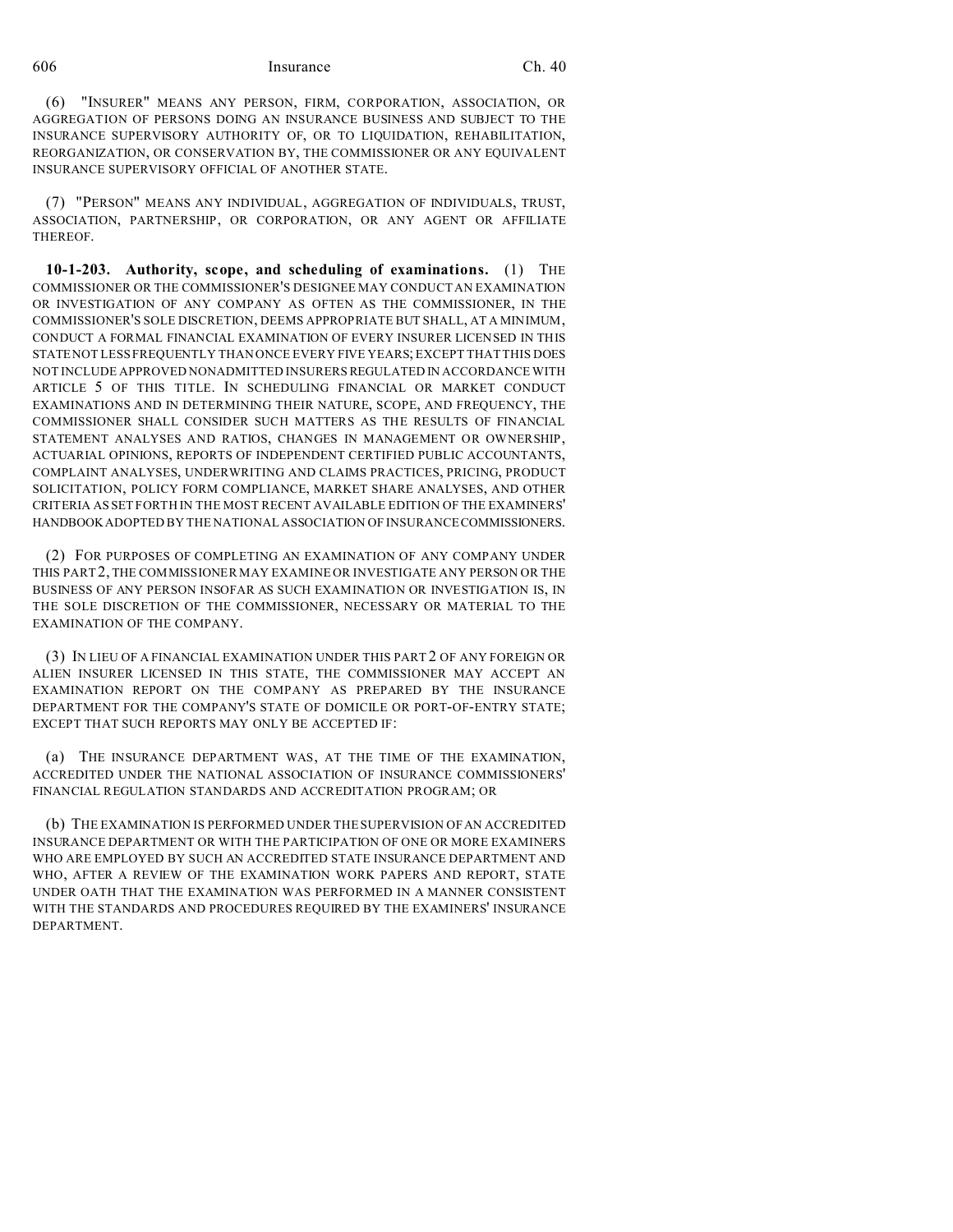(6) "INSURER" MEANS ANY PERSON, FIRM, CORPORATION, ASSOCIATION, OR AGGREGATION OF PERSONS DOING AN INSURANCE BUSINESS AND SUBJECT TO THE INSURANCE SUPERVISORY AUTHORITY OF, OR TO LIQUIDATION, REHABILITATION, REORGANIZATION, OR CONSERVATION BY, THE COMMISSIONER OR ANY EQUIVALENT INSURANCE SUPERVISORY OFFICIAL OF ANOTHER STATE.

(7) "PERSON" MEANS ANY INDIVIDUAL, AGGREGATION OF INDIVIDUALS, TRUST, ASSOCIATION, PARTNERSHIP, OR CORPORATION, OR ANY AGENT OR AFFILIATE THEREOF.

**10-1-203. Authority, scope, and scheduling of examinations.** (1) THE COMMISSIONER OR THE COMMISSIONER'S DESIGNEE MAY CONDUCT AN EXAMINATION OR INVESTIGATION OF ANY COMPANY AS OFTEN AS THE COMMISSIONER, IN THE COMMISSIONER'S SOLE DISCRETION, DEEMS APPROPRIATE BUT SHALL, AT A MINIMUM, CONDUCT A FORMAL FINANCIAL EXAMINATION OF EVERY INSURER LICENSED IN THIS STATE NOT LESS FREQUENTLY THAN ONCE EVERY FIVE YEARS; EXCEPT THAT THIS DOES NOT INCLUDE APPROVED NONADMITTED INSURERS REGULATED IN ACCORDANCE WITH ARTICLE 5 OF THIS TITLE. IN SCHEDULING FINANCIAL OR MARKET CONDUCT EXAMINATIONS AND IN DETERMINING THEIR NATURE, SCOPE, AND FREQUENCY, THE COMMISSIONER SHALL CONSIDER SUCH MATTERS AS THE RESULTS OF FINANCIAL STATEMENT ANALYSES AND RATIOS, CHANGES IN MANAGEMENT OR OWNERSHIP, ACTUARIAL OPINIONS, REPORTS OF INDEPENDENT CERTIFIED PUBLIC ACCOUNTANTS, COMPLAINT ANALYSES, UNDERWRITING AND CLAIMS PRACTICES, PRICING, PRODUCT SOLICITATION, POLICY FORM COMPLIANCE, MARKET SHARE ANALYSES, AND OTHER CRITERIA AS SET FORTH IN THE MOST RECENT AVAILABLE EDITION OF THE EXAMINERS' HANDBOOK ADOPTED BY THE NATIONAL ASSOCIATION OF INSURANCE COMMISSIONERS.

(2) FOR PURPOSES OF COMPLETING AN EXAMINATION OF ANY COMPANY UNDER THIS PART2, THE COMMISSIONER MAY EXAMINE OR INVESTIGATE ANY PERSON OR THE BUSINESS OF ANY PERSON INSOFAR AS SUCH EXAMINATION OR INVESTIGATION IS, IN THE SOLE DISCRETION OF THE COMMISSIONER, NECESSARY OR MATERIAL TO THE EXAMINATION OF THE COMPANY.

(3) IN LIEU OF A FINANCIAL EXAMINATION UNDER THIS PART 2 OF ANY FOREIGN OR ALIEN INSURER LICENSED IN THIS STATE, THE COMMISSIONER MAY ACCEPT AN EXAMINATION REPORT ON THE COMPANY AS PREPARED BY THE INSURANCE DEPARTMENT FOR THE COMPANY'S STATE OF DOMICILE OR PORT-OF-ENTRY STATE; EXCEPT THAT SUCH REPORTS MAY ONLY BE ACCEPTED IF:

(a) THE INSURANCE DEPARTMENT WAS, AT THE TIME OF THE EXAMINATION, ACCREDITED UNDER THE NATIONAL ASSOCIATION OF INSURANCE COMMISSIONERS' FINANCIAL REGULATION STANDARDS AND ACCREDITATION PROGRAM; OR

(b) THE EXAMINATION IS PERFORMED UNDER THE SUPERVISION OF AN ACCREDITED INSURANCE DEPARTMENT OR WITH THE PARTICIPATION OF ONE OR MORE EXAMINERS WHO ARE EMPLOYED BY SUCH AN ACCREDITED STATE INSURANCE DEPARTMENT AND WHO, AFTER A REVIEW OF THE EXAMINATION WORK PAPERS AND REPORT, STATE UNDER OATH THAT THE EXAMINATION WAS PERFORMED IN A MANNER CONSISTENT WITH THE STANDARDS AND PROCEDURES REQUIRED BY THE EXAMINERS' INSURANCE DEPARTMENT.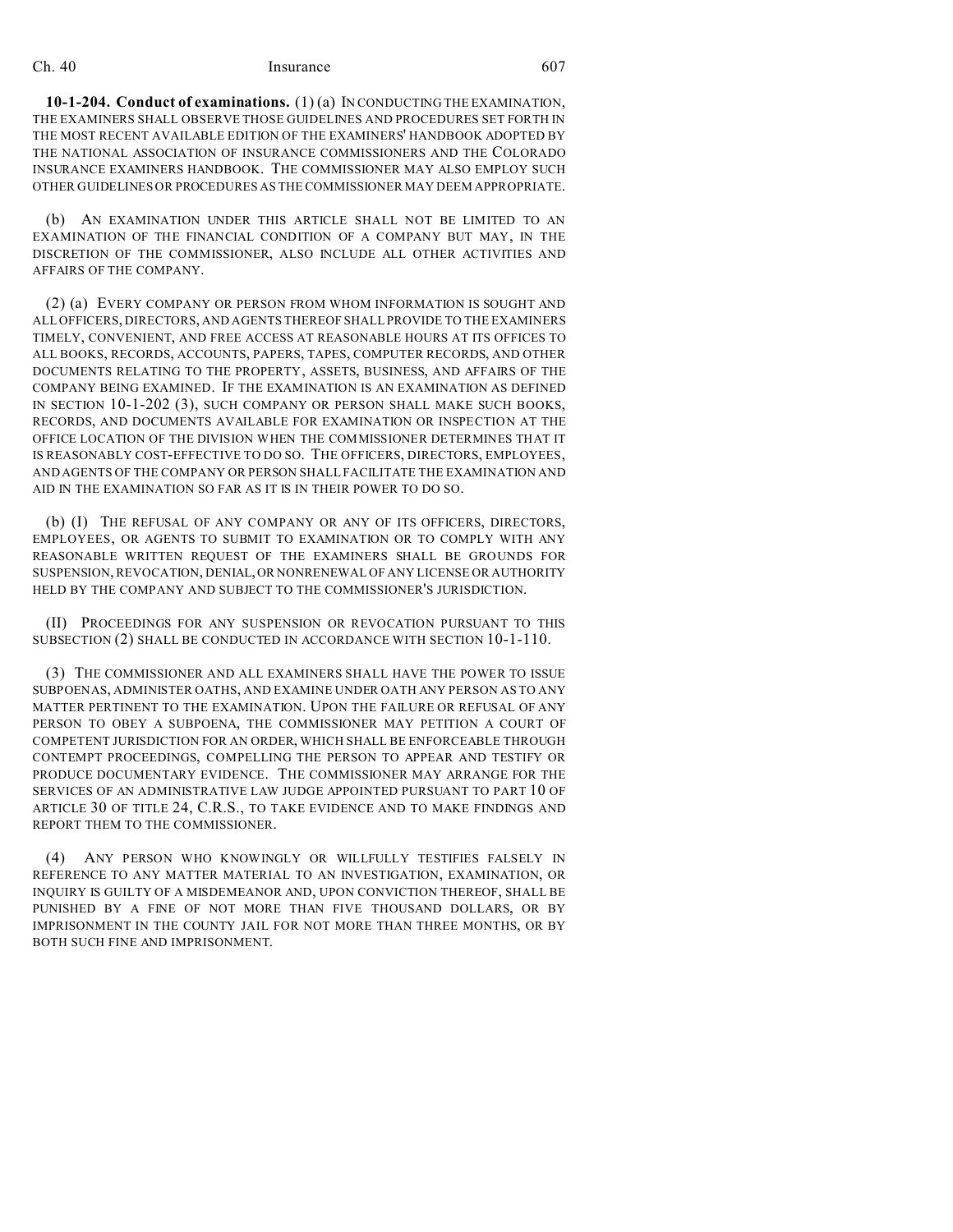**10-1-204. Conduct of examinations.** (1) (a) IN CONDUCTING THE EXAMINATION, THE EXAMINERS SHALL OBSERVE THOSE GUIDELINES AND PROCEDURES SET FORTH IN THE MOST RECENT AVAILABLE EDITION OF THE EXAMINERS' HANDBOOK ADOPTED BY THE NATIONAL ASSOCIATION OF INSURANCE COMMISSIONERS AND THE COLORADO INSURANCE EXAMINERS HANDBOOK. THE COMMISSIONER MAY ALSO EMPLOY SUCH OTHER GUIDELINES OR PROCEDURES AS THE COMMISSIONER MAY DEEM APPROPRIATE.

(b) AN EXAMINATION UNDER THIS ARTICLE SHALL NOT BE LIMITED TO AN EXAMINATION OF THE FINANCIAL CONDITION OF A COMPANY BUT MAY, IN THE DISCRETION OF THE COMMISSIONER, ALSO INCLUDE ALL OTHER ACTIVITIES AND AFFAIRS OF THE COMPANY.

(2) (a) EVERY COMPANY OR PERSON FROM WHOM INFORMATION IS SOUGHT AND ALL OFFICERS, DIRECTORS, AND AGENTS THEREOF SHALL PROVIDE TO THE EXAMINERS TIMELY, CONVENIENT, AND FREE ACCESS AT REASONABLE HOURS AT ITS OFFICES TO ALL BOOKS, RECORDS, ACCOUNTS, PAPERS, TAPES, COMPUTER RECORDS, AND OTHER DOCUMENTS RELATING TO THE PROPERTY, ASSETS, BUSINESS, AND AFFAIRS OF THE COMPANY BEING EXAMINED. IF THE EXAMINATION IS AN EXAMINATION AS DEFINED IN SECTION 10-1-202 (3), SUCH COMPANY OR PERSON SHALL MAKE SUCH BOOKS, RECORDS, AND DOCUMENTS AVAILABLE FOR EXAMINATION OR INSPECTION AT THE OFFICE LOCATION OF THE DIVISION WHEN THE COMMISSIONER DETERMINES THAT IT IS REASONABLY COST-EFFECTIVE TO DO SO. THE OFFICERS, DIRECTORS, EMPLOYEES, AND AGENTS OF THE COMPANY OR PERSON SHALL FACILITATE THE EXAMINATION AND AID IN THE EXAMINATION SO FAR AS IT IS IN THEIR POWER TO DO SO.

(b) (I) THE REFUSAL OF ANY COMPANY OR ANY OF ITS OFFICERS, DIRECTORS, EMPLOYEES, OR AGENTS TO SUBMIT TO EXAMINATION OR TO COMPLY WITH ANY REASONABLE WRITTEN REQUEST OF THE EXAMINERS SHALL BE GROUNDS FOR SUSPENSION, REVOCATION, DENIAL,OR NONRENEWAL OF ANY LICENSE OR AUTHORITY HELD BY THE COMPANY AND SUBJECT TO THE COMMISSIONER'S JURISDICTION.

(II) PROCEEDINGS FOR ANY SUSPENSION OR REVOCATION PURSUANT TO THIS SUBSECTION (2) SHALL BE CONDUCTED IN ACCORDANCE WITH SECTION 10-1-110.

(3) THE COMMISSIONER AND ALL EXAMINERS SHALL HAVE THE POWER TO ISSUE SUBPOENAS, ADMINISTER OATHS, AND EXAMINE UNDER OATH ANY PERSON AS TO ANY MATTER PERTINENT TO THE EXAMINATION. UPON THE FAILURE OR REFUSAL OF ANY PERSON TO OBEY A SUBPOENA, THE COMMISSIONER MAY PETITION A COURT OF COMPETENT JURISDICTION FOR AN ORDER, WHICH SHALL BE ENFORCEABLE THROUGH CONTEMPT PROCEEDINGS, COMPELLING THE PERSON TO APPEAR AND TESTIFY OR PRODUCE DOCUMENTARY EVIDENCE. THE COMMISSIONER MAY ARRANGE FOR THE SERVICES OF AN ADMINISTRATIVE LAW JUDGE APPOINTED PURSUANT TO PART 10 OF ARTICLE 30 OF TITLE 24, C.R.S., TO TAKE EVIDENCE AND TO MAKE FINDINGS AND REPORT THEM TO THE COMMISSIONER.

(4) ANY PERSON WHO KNOWINGLY OR WILLFULLY TESTIFIES FALSELY IN REFERENCE TO ANY MATTER MATERIAL TO AN INVESTIGATION, EXAMINATION, OR INQUIRY IS GUILTY OF A MISDEMEANOR AND, UPON CONVICTION THEREOF, SHALL BE PUNISHED BY A FINE OF NOT MORE THAN FIVE THOUSAND DOLLARS, OR BY IMPRISONMENT IN THE COUNTY JAIL FOR NOT MORE THAN THREE MONTHS, OR BY BOTH SUCH FINE AND IMPRISONMENT.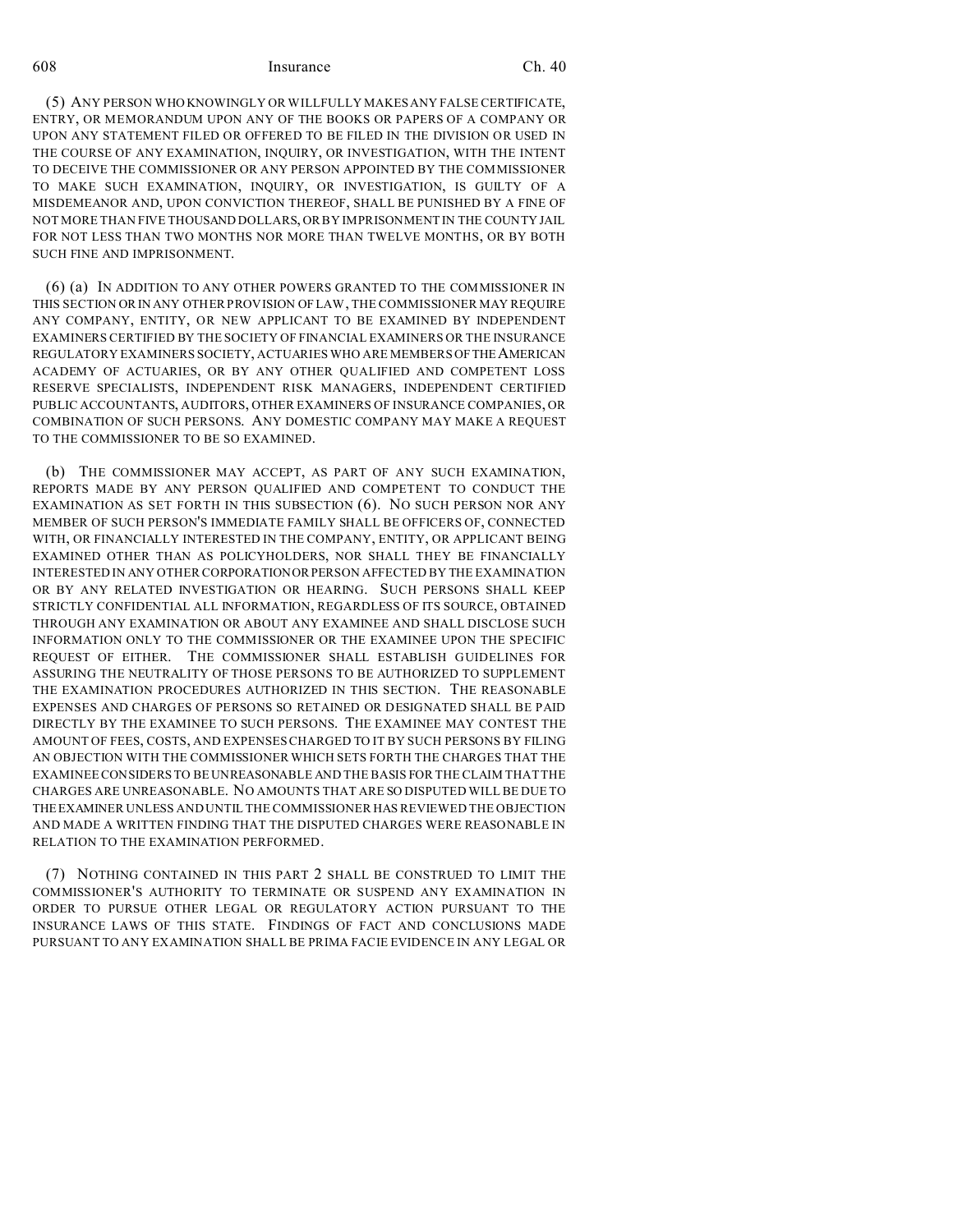(5) ANY PERSON WHO KNOWINGLY OR WILLFULLY MAKES ANY FALSE CERTIFICATE, ENTRY, OR MEMORANDUM UPON ANY OF THE BOOKS OR PAPERS OF A COMPANY OR UPON ANY STATEMENT FILED OR OFFERED TO BE FILED IN THE DIVISION OR USED IN THE COURSE OF ANY EXAMINATION, INQUIRY, OR INVESTIGATION, WITH THE INTENT TO DECEIVE THE COMMISSIONER OR ANY PERSON APPOINTED BY THE COMMISSIONER TO MAKE SUCH EXAMINATION, INQUIRY, OR INVESTIGATION, IS GUILTY OF A MISDEMEANOR AND, UPON CONVICTION THEREOF, SHALL BE PUNISHED BY A FINE OF NOT MORE THAN FIVE THOUSAND DOLLARS, OR BY IMPRISONMENT IN THE COUNTY JAIL FOR NOT LESS THAN TWO MONTHS NOR MORE THAN TWELVE MONTHS, OR BY BOTH SUCH FINE AND IMPRISONMENT.

(6) (a) IN ADDITION TO ANY OTHER POWERS GRANTED TO THE COMMISSIONER IN THIS SECTION OR IN ANY OTHER PROVISION OF LAW, THE COMMISSIONER MAY REQUIRE ANY COMPANY, ENTITY, OR NEW APPLICANT TO BE EXAMINED BY INDEPENDENT EXAMINERS CERTIFIED BY THE SOCIETY OF FINANCIAL EXAMINERS OR THE INSURANCE REGULATORY EXAMINERS SOCIETY, ACTUARIES WHO ARE MEMBERS OF THE AMERICAN ACADEMY OF ACTUARIES, OR BY ANY OTHER QUALIFIED AND COMPETENT LOSS RESERVE SPECIALISTS, INDEPENDENT RISK MANAGERS, INDEPENDENT CERTIFIED PUBLIC ACCOUNTANTS, AUDITORS, OTHER EXAMINERS OF INSURANCE COMPANIES, OR COMBINATION OF SUCH PERSONS. ANY DOMESTIC COMPANY MAY MAKE A REQUEST TO THE COMMISSIONER TO BE SO EXAMINED.

(b) THE COMMISSIONER MAY ACCEPT, AS PART OF ANY SUCH EXAMINATION, REPORTS MADE BY ANY PERSON QUALIFIED AND COMPETENT TO CONDUCT THE EXAMINATION AS SET FORTH IN THIS SUBSECTION (6). NO SUCH PERSON NOR ANY MEMBER OF SUCH PERSON'S IMMEDIATE FAMILY SHALL BE OFFICERS OF, CONNECTED WITH, OR FINANCIALLY INTERESTED IN THE COMPANY, ENTITY, OR APPLICANT BEING EXAMINED OTHER THAN AS POLICYHOLDERS, NOR SHALL THEY BE FINANCIALLY INTERESTED IN ANY OTHER CORPORATIONORPERSON AFFECTED BY THE EXAMINATION OR BY ANY RELATED INVESTIGATION OR HEARING. SUCH PERSONS SHALL KEEP STRICTLY CONFIDENTIAL ALL INFORMATION, REGARDLESS OF ITS SOURCE, OBTAINED THROUGH ANY EXAMINATION OR ABOUT ANY EXAMINEE AND SHALL DISCLOSE SUCH INFORMATION ONLY TO THE COMMISSIONER OR THE EXAMINEE UPON THE SPECIFIC REQUEST OF EITHER. THE COMMISSIONER SHALL ESTABLISH GUIDELINES FOR ASSURING THE NEUTRALITY OF THOSE PERSONS TO BE AUTHORIZED TO SUPPLEMENT THE EXAMINATION PROCEDURES AUTHORIZED IN THIS SECTION. THE REASONABLE EXPENSES AND CHARGES OF PERSONS SO RETAINED OR DESIGNATED SHALL BE PAID DIRECTLY BY THE EXAMINEE TO SUCH PERSONS. THE EXAMINEE MAY CONTEST THE AMOUNT OF FEES, COSTS, AND EXPENSES CHARGED TO IT BY SUCH PERSONS BY FILING AN OBJECTION WITH THE COMMISSIONER WHICH SETS FORTH THE CHARGES THAT THE EXAMINEE CONSIDERS TO BE UNREASONABLE AND THE BASIS FOR THE CLAIM THAT THE CHARGES ARE UNREASONABLE. NO AMOUNTS THAT ARE SO DISPUTED WILL BE DUE TO THEEXAMINER UNLESS AND UNTIL THE COMMISSIONER HAS REVIEWED THE OBJECTION AND MADE A WRITTEN FINDING THAT THE DISPUTED CHARGES WERE REASONABLE IN RELATION TO THE EXAMINATION PERFORMED.

(7) NOTHING CONTAINED IN THIS PART 2 SHALL BE CONSTRUED TO LIMIT THE COMMISSIONER'S AUTHORITY TO TERMINATE OR SUSPEND ANY EXAMINATION IN ORDER TO PURSUE OTHER LEGAL OR REGULATORY ACTION PURSUANT TO THE INSURANCE LAWS OF THIS STATE. FINDINGS OF FACT AND CONCLUSIONS MADE PURSUANT TO ANY EXAMINATION SHALL BE PRIMA FACIE EVIDENCE IN ANY LEGAL OR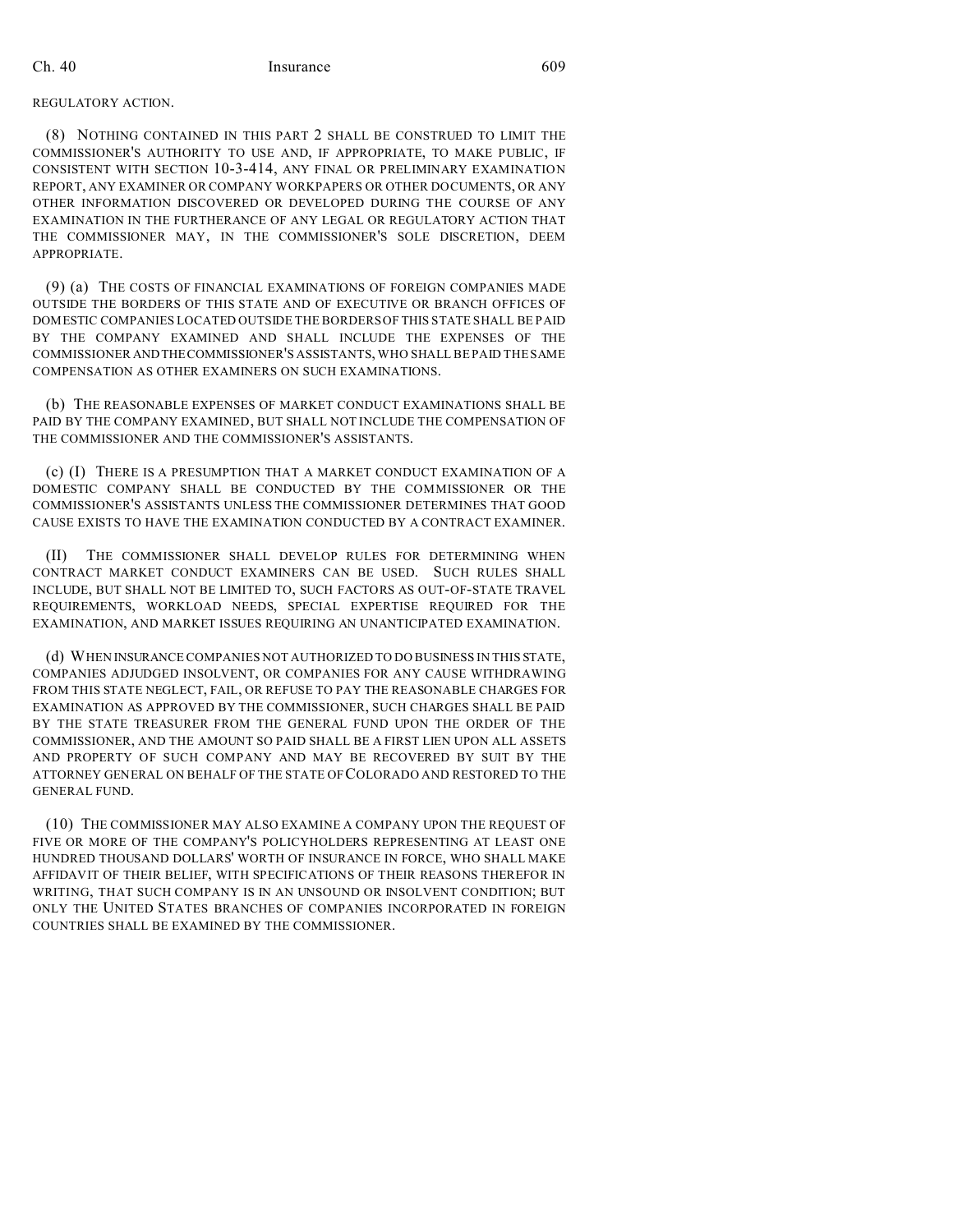#### REGULATORY ACTION.

(8) NOTHING CONTAINED IN THIS PART 2 SHALL BE CONSTRUED TO LIMIT THE COMMISSIONER'S AUTHORITY TO USE AND, IF APPROPRIATE, TO MAKE PUBLIC, IF CONSISTENT WITH SECTION 10-3-414, ANY FINAL OR PRELIMINARY EXAMINATION REPORT, ANY EXAMINER OR COMPANY WORKPAPERS OR OTHER DOCUMENTS, OR ANY OTHER INFORMATION DISCOVERED OR DEVELOPED DURING THE COURSE OF ANY EXAMINATION IN THE FURTHERANCE OF ANY LEGAL OR REGULATORY ACTION THAT THE COMMISSIONER MAY, IN THE COMMISSIONER'S SOLE DISCRETION, DEEM APPROPRIATE.

(9) (a) THE COSTS OF FINANCIAL EXAMINATIONS OF FOREIGN COMPANIES MADE OUTSIDE THE BORDERS OF THIS STATE AND OF EXECUTIVE OR BRANCH OFFICES OF DOMESTIC COMPANIES LOCATED OUTSIDE THE BORDERS OF THIS STATE SHALL BE PAID BY THE COMPANY EXAMINED AND SHALL INCLUDE THE EXPENSES OF THE COMMISSIONER ANDTHECOMMISSIONER'S ASSISTANTS, WHO SHALL BE PAID THE SAME COMPENSATION AS OTHER EXAMINERS ON SUCH EXAMINATIONS.

(b) THE REASONABLE EXPENSES OF MARKET CONDUCT EXAMINATIONS SHALL BE PAID BY THE COMPANY EXAMINED, BUT SHALL NOT INCLUDE THE COMPENSATION OF THE COMMISSIONER AND THE COMMISSIONER'S ASSISTANTS.

(c) (I) THERE IS A PRESUMPTION THAT A MARKET CONDUCT EXAMINATION OF A DOMESTIC COMPANY SHALL BE CONDUCTED BY THE COMMISSIONER OR THE COMMISSIONER'S ASSISTANTS UNLESS THE COMMISSIONER DETERMINES THAT GOOD CAUSE EXISTS TO HAVE THE EXAMINATION CONDUCTED BY A CONTRACT EXAMINER.

(II) THE COMMISSIONER SHALL DEVELOP RULES FOR DETERMINING WHEN CONTRACT MARKET CONDUCT EXAMINERS CAN BE USED. SUCH RULES SHALL INCLUDE, BUT SHALL NOT BE LIMITED TO, SUCH FACTORS AS OUT-OF-STATE TRAVEL REQUIREMENTS, WORKLOAD NEEDS, SPECIAL EXPERTISE REQUIRED FOR THE EXAMINATION, AND MARKET ISSUES REQUIRING AN UNANTICIPATED EXAMINATION.

(d) WHEN INSURANCE COMPANIES NOT AUTHORIZED TO DO BUSINESS IN THIS STATE, COMPANIES ADJUDGED INSOLVENT, OR COMPANIES FOR ANY CAUSE WITHDRAWING FROM THIS STATE NEGLECT, FAIL, OR REFUSE TO PAY THE REASONABLE CHARGES FOR EXAMINATION AS APPROVED BY THE COMMISSIONER, SUCH CHARGES SHALL BE PAID BY THE STATE TREASURER FROM THE GENERAL FUND UPON THE ORDER OF THE COMMISSIONER, AND THE AMOUNT SO PAID SHALL BE A FIRST LIEN UPON ALL ASSETS AND PROPERTY OF SUCH COMPANY AND MAY BE RECOVERED BY SUIT BY THE ATTORNEY GENERAL ON BEHALF OF THE STATE OF COLORADO AND RESTORED TO THE GENERAL FUND.

(10) THE COMMISSIONER MAY ALSO EXAMINE A COMPANY UPON THE REQUEST OF FIVE OR MORE OF THE COMPANY'S POLICYHOLDERS REPRESENTING AT LEAST ONE HUNDRED THOUSAND DOLLARS' WORTH OF INSURANCE IN FORCE, WHO SHALL MAKE AFFIDAVIT OF THEIR BELIEF, WITH SPECIFICATIONS OF THEIR REASONS THEREFOR IN WRITING, THAT SUCH COMPANY IS IN AN UNSOUND OR INSOLVENT CONDITION; BUT ONLY THE UNITED STATES BRANCHES OF COMPANIES INCORPORATED IN FOREIGN COUNTRIES SHALL BE EXAMINED BY THE COMMISSIONER.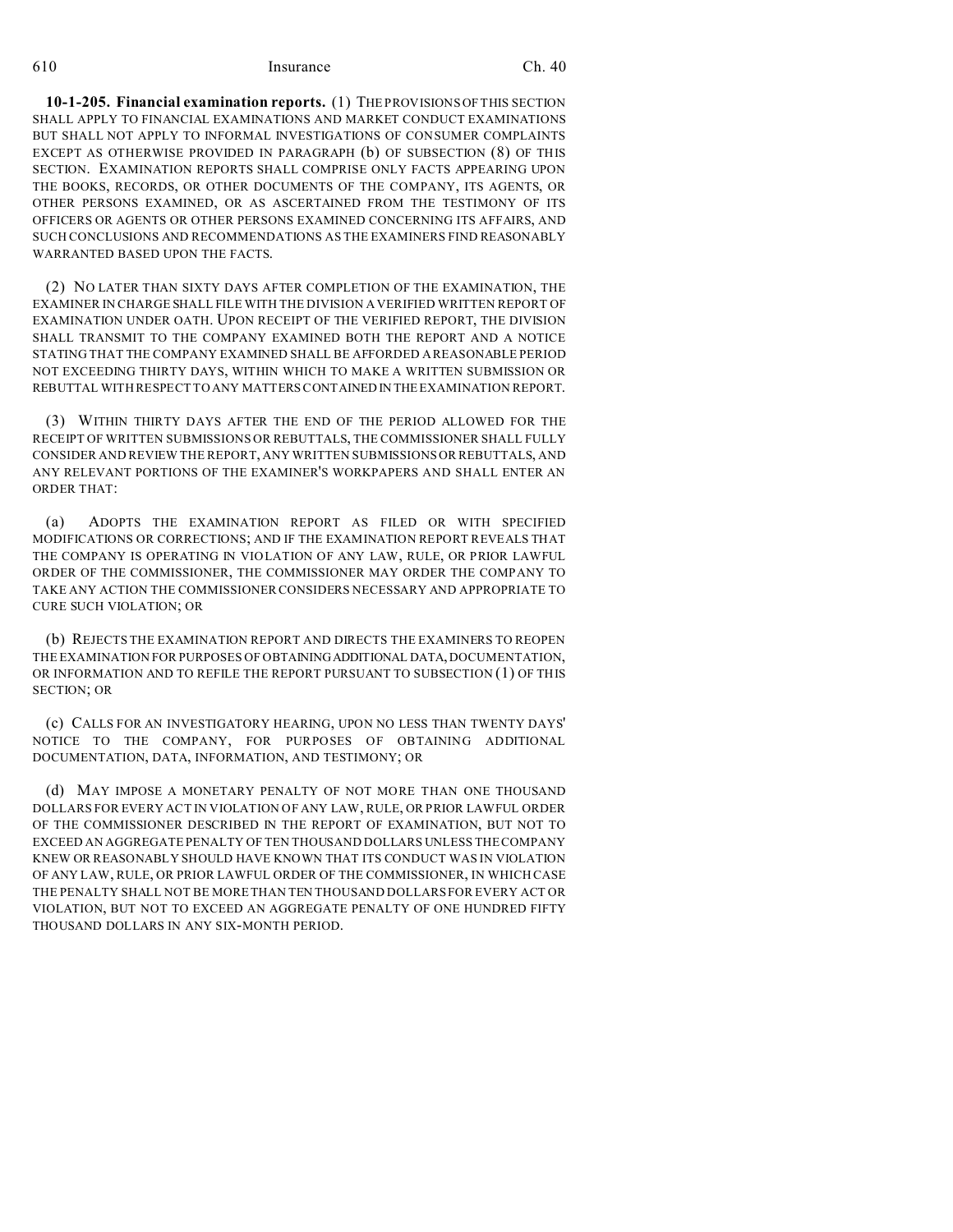**10-1-205. Financial examination reports.** (1) THE PROVISIONS OF THIS SECTION SHALL APPLY TO FINANCIAL EXAMINATIONS AND MARKET CONDUCT EXAMINATIONS BUT SHALL NOT APPLY TO INFORMAL INVESTIGATIONS OF CONSUMER COMPLAINTS EXCEPT AS OTHERWISE PROVIDED IN PARAGRAPH (b) OF SUBSECTION (8) OF THIS SECTION. EXAMINATION REPORTS SHALL COMPRISE ONLY FACTS APPEARING UPON THE BOOKS, RECORDS, OR OTHER DOCUMENTS OF THE COMPANY, ITS AGENTS, OR OTHER PERSONS EXAMINED, OR AS ASCERTAINED FROM THE TESTIMONY OF ITS OFFICERS OR AGENTS OR OTHER PERSONS EXAMINED CONCERNING ITS AFFAIRS, AND SUCH CONCLUSIONS AND RECOMMENDATIONS AS THE EXAMINERS FIND REASONABLY WARRANTED BASED UPON THE FACTS.

(2) NO LATER THAN SIXTY DAYS AFTER COMPLETION OF THE EXAMINATION, THE EXAMINER IN CHARGE SHALL FILE WITH THE DIVISION A VERIFIED WRITTEN REPORT OF EXAMINATION UNDER OATH. UPON RECEIPT OF THE VERIFIED REPORT, THE DIVISION SHALL TRANSMIT TO THE COMPANY EXAMINED BOTH THE REPORT AND A NOTICE STATING THAT THE COMPANY EXAMINED SHALL BE AFFORDED A REASONABLE PERIOD NOT EXCEEDING THIRTY DAYS, WITHIN WHICH TO MAKE A WRITTEN SUBMISSION OR REBUTTAL WITH RESPECT TO ANY MATTERS CONTAINED IN THE EXAMINATION REPORT.

(3) WITHIN THIRTY DAYS AFTER THE END OF THE PERIOD ALLOWED FOR THE RECEIPT OF WRITTEN SUBMISSIONS OR REBUTTALS, THE COMMISSIONER SHALL FULLY CONSIDER AND REVIEW THE REPORT, ANY WRITTEN SUBMISSIONS OR REBUTTALS, AND ANY RELEVANT PORTIONS OF THE EXAMINER'S WORKPAPERS AND SHALL ENTER AN ORDER THAT:

(a) ADOPTS THE EXAMINATION REPORT AS FILED OR WITH SPECIFIED MODIFICATIONS OR CORRECTIONS; AND IF THE EXAMINATION REPORT REVEALS THAT THE COMPANY IS OPERATING IN VIOLATION OF ANY LAW, RULE, OR PRIOR LAWFUL ORDER OF THE COMMISSIONER, THE COMMISSIONER MAY ORDER THE COMPANY TO TAKE ANY ACTION THE COMMISSIONER CONSIDERS NECESSARY AND APPROPRIATE TO CURE SUCH VIOLATION; OR

(b) REJECTS THE EXAMINATION REPORT AND DIRECTS THE EXAMINERS TO REOPEN THE EXAMINATION FOR PURPOSES OF OBTAININGADDITIONAL DATA, DOCUMENTATION, OR INFORMATION AND TO REFILE THE REPORT PURSUANT TO SUBSECTION (1) OF THIS SECTION; OR

(c) CALLS FOR AN INVESTIGATORY HEARING, UPON NO LESS THAN TWENTY DAYS' NOTICE TO THE COMPANY, FOR PURPOSES OF OBTAINING ADDITIONAL DOCUMENTATION, DATA, INFORMATION, AND TESTIMONY; OR

(d) MAY IMPOSE A MONETARY PENALTY OF NOT MORE THAN ONE THOUSAND DOLLARS FOR EVERY ACT IN VIOLATION OF ANY LAW, RULE, OR PRIOR LAWFUL ORDER OF THE COMMISSIONER DESCRIBED IN THE REPORT OF EXAMINATION, BUT NOT TO EXCEED AN AGGREGATE PENALTY OF TEN THOUSAND DOLLARS UNLESS THE COMPANY KNEW OR REASONABLY SHOULD HAVE KNOWN THAT ITS CONDUCT WAS IN VIOLATION OF ANY LAW, RULE, OR PRIOR LAWFUL ORDER OF THE COMMISSIONER, IN WHICH CASE THE PENALTY SHALL NOT BE MORE THAN TEN THOUSAND DOLLARS FOR EVERY ACT OR VIOLATION, BUT NOT TO EXCEED AN AGGREGATE PENALTY OF ONE HUNDRED FIFTY THOUSAND DOLLARS IN ANY SIX-MONTH PERIOD.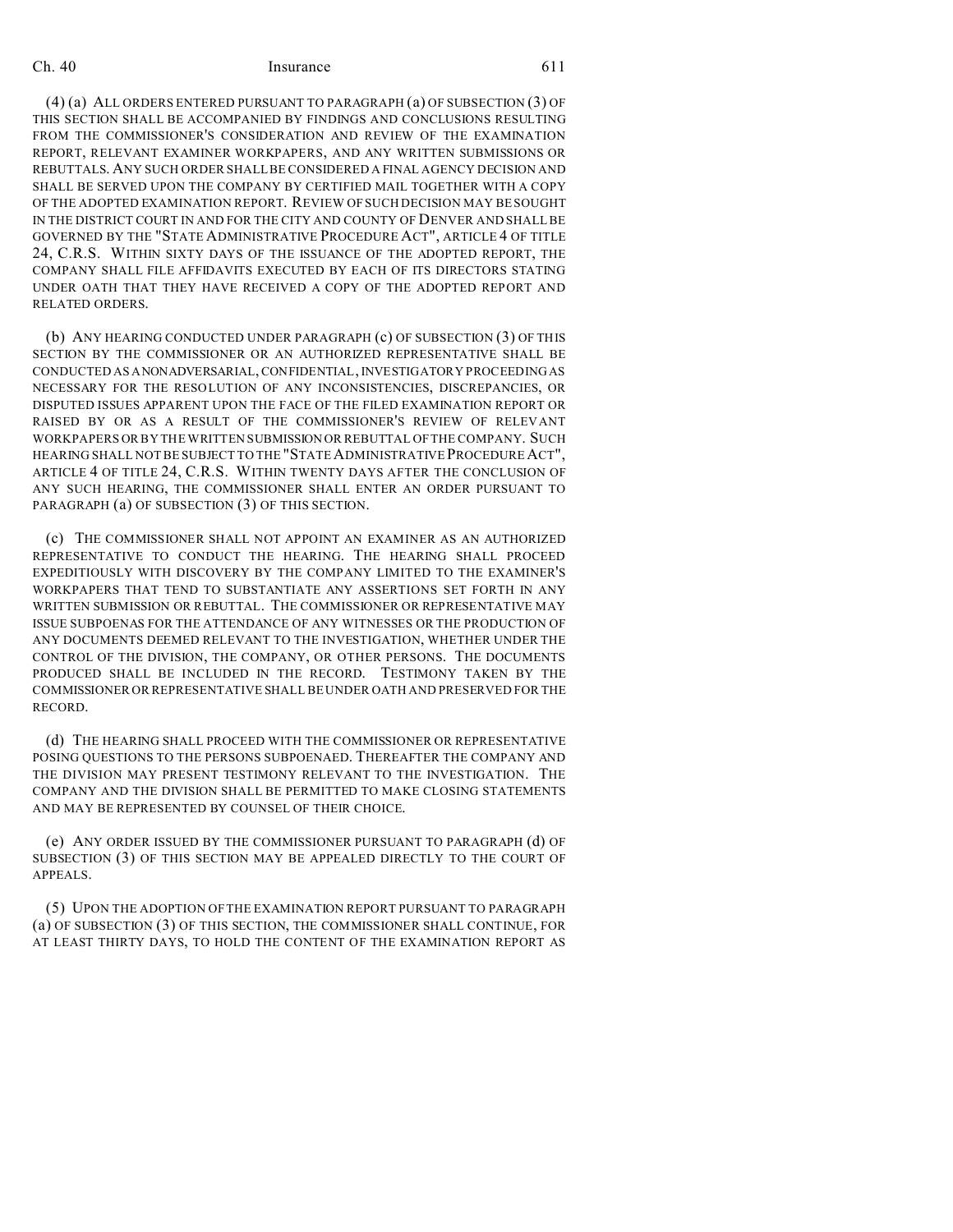(4) (a) ALL ORDERS ENTERED PURSUANT TO PARAGRAPH (a) OF SUBSECTION (3) OF THIS SECTION SHALL BE ACCOMPANIED BY FINDINGS AND CONCLUSIONS RESULTING FROM THE COMMISSIONER'S CONSIDERATION AND REVIEW OF THE EXAMINATION REPORT, RELEVANT EXAMINER WORKPAPERS, AND ANY WRITTEN SUBMISSIONS OR REBUTTALS. ANY SUCH ORDER SHALL BE CONSIDERED A FINAL AGENCY DECISION AND SHALL BE SERVED UPON THE COMPANY BY CERTIFIED MAIL TOGETHER WITH A COPY OF THE ADOPTED EXAMINATION REPORT. REVIEW OF SUCH DECISION MAY BE SOUGHT IN THE DISTRICT COURT IN AND FOR THE CITY AND COUNTY OF DENVER AND SHALL BE GOVERNED BY THE "STATE ADMINISTRATIVE PROCEDURE ACT", ARTICLE 4 OF TITLE 24, C.R.S. WITHIN SIXTY DAYS OF THE ISSUANCE OF THE ADOPTED REPORT, THE COMPANY SHALL FILE AFFIDAVITS EXECUTED BY EACH OF ITS DIRECTORS STATING UNDER OATH THAT THEY HAVE RECEIVED A COPY OF THE ADOPTED REPORT AND RELATED ORDERS.

(b) ANY HEARING CONDUCTED UNDER PARAGRAPH (c) OF SUBSECTION (3) OF THIS SECTION BY THE COMMISSIONER OR AN AUTHORIZED REPRESENTATIVE SHALL BE CONDUCTED AS ANONADVERSARIAL, CONFIDENTIAL, INVESTIGATORY PROCEEDING AS NECESSARY FOR THE RESOLUTION OF ANY INCONSISTENCIES, DISCREPANCIES, OR DISPUTED ISSUES APPARENT UPON THE FACE OF THE FILED EXAMINATION REPORT OR RAISED BY OR AS A RESULT OF THE COMMISSIONER'S REVIEW OF RELEVANT WORKPAPERS OR BY THE WRITTEN SUBMISSION OR REBUTTAL OF THE COMPANY. SUCH HEARING SHALL NOT BE SUBJECT TO THE "STATEADMINISTRATIVE PROCEDURE ACT", ARTICLE 4 OF TITLE 24, C.R.S. WITHIN TWENTY DAYS AFTER THE CONCLUSION OF ANY SUCH HEARING, THE COMMISSIONER SHALL ENTER AN ORDER PURSUANT TO PARAGRAPH (a) OF SUBSECTION (3) OF THIS SECTION.

(c) THE COMMISSIONER SHALL NOT APPOINT AN EXAMINER AS AN AUTHORIZED REPRESENTATIVE TO CONDUCT THE HEARING. THE HEARING SHALL PROCEED EXPEDITIOUSLY WITH DISCOVERY BY THE COMPANY LIMITED TO THE EXAMINER'S WORKPAPERS THAT TEND TO SUBSTANTIATE ANY ASSERTIONS SET FORTH IN ANY WRITTEN SUBMISSION OR REBUTTAL. THE COMMISSIONER OR REPRESENTATIVE MAY ISSUE SUBPOENAS FOR THE ATTENDANCE OF ANY WITNESSES OR THE PRODUCTION OF ANY DOCUMENTS DEEMED RELEVANT TO THE INVESTIGATION, WHETHER UNDER THE CONTROL OF THE DIVISION, THE COMPANY, OR OTHER PERSONS. THE DOCUMENTS PRODUCED SHALL BE INCLUDED IN THE RECORD. TESTIMONY TAKEN BY THE COMMISSIONER OR REPRESENTATIVE SHALL BE UNDER OATH AND PRESERVED FOR THE RECORD.

(d) THE HEARING SHALL PROCEED WITH THE COMMISSIONER OR REPRESENTATIVE POSING QUESTIONS TO THE PERSONS SUBPOENAED. THEREAFTER THE COMPANY AND THE DIVISION MAY PRESENT TESTIMONY RELEVANT TO THE INVESTIGATION. THE COMPANY AND THE DIVISION SHALL BE PERMITTED TO MAKE CLOSING STATEMENTS AND MAY BE REPRESENTED BY COUNSEL OF THEIR CHOICE.

(e) ANY ORDER ISSUED BY THE COMMISSIONER PURSUANT TO PARAGRAPH (d) OF SUBSECTION (3) OF THIS SECTION MAY BE APPEALED DIRECTLY TO THE COURT OF APPEALS.

(5) UPON THE ADOPTION OF THE EXAMINATION REPORT PURSUANT TO PARAGRAPH (a) OF SUBSECTION (3) OF THIS SECTION, THE COMMISSIONER SHALL CONTINUE, FOR AT LEAST THIRTY DAYS, TO HOLD THE CONTENT OF THE EXAMINATION REPORT AS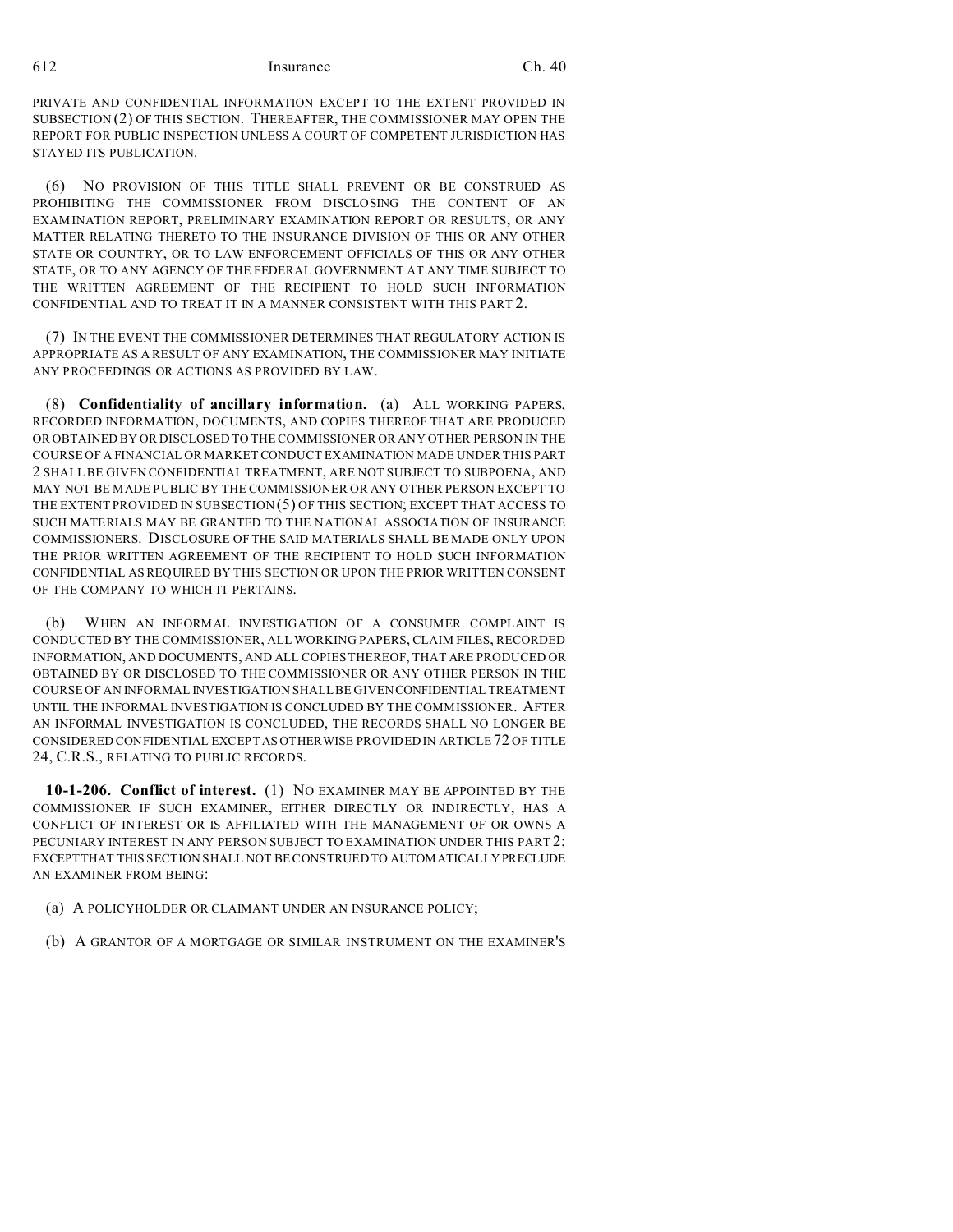PRIVATE AND CONFIDENTIAL INFORMATION EXCEPT TO THE EXTENT PROVIDED IN SUBSECTION (2) OF THIS SECTION. THEREAFTER, THE COMMISSIONER MAY OPEN THE REPORT FOR PUBLIC INSPECTION UNLESS A COURT OF COMPETENT JURISDICTION HAS STAYED ITS PUBLICATION.

(6) NO PROVISION OF THIS TITLE SHALL PREVENT OR BE CONSTRUED AS PROHIBITING THE COMMISSIONER FROM DISCLOSING THE CONTENT OF AN EXAMINATION REPORT, PRELIMINARY EXAMINATION REPORT OR RESULTS, OR ANY MATTER RELATING THERETO TO THE INSURANCE DIVISION OF THIS OR ANY OTHER STATE OR COUNTRY, OR TO LAW ENFORCEMENT OFFICIALS OF THIS OR ANY OTHER STATE, OR TO ANY AGENCY OF THE FEDERAL GOVERNMENT AT ANY TIME SUBJECT TO THE WRITTEN AGREEMENT OF THE RECIPIENT TO HOLD SUCH INFORMATION CONFIDENTIAL AND TO TREAT IT IN A MANNER CONSISTENT WITH THIS PART 2.

(7) IN THE EVENT THE COMMISSIONER DETERMINES THAT REGULATORY ACTION IS APPROPRIATE AS A RESULT OF ANY EXAMINATION, THE COMMISSIONER MAY INITIATE ANY PROCEEDINGS OR ACTIONS AS PROVIDED BY LAW.

(8) **Confidentiality of ancillary information.** (a) ALL WORKING PAPERS, RECORDED INFORMATION, DOCUMENTS, AND COPIES THEREOF THAT ARE PRODUCED OR OBTAINED BY OR DISCLOSED TO THE COMMISSIONER OR ANY OTHER PERSON IN THE COURSE OF A FINANCIAL OR MARKET CONDUCT EXAMINATION MADE UNDER THIS PART 2 SHALL BE GIVEN CONFIDENTIAL TREATMENT, ARE NOT SUBJECT TO SUBPOENA, AND MAY NOT BE MADE PUBLIC BY THE COMMISSIONER OR ANY OTHER PERSON EXCEPT TO THE EXTENT PROVIDED IN SUBSECTION (5) OF THIS SECTION; EXCEPT THAT ACCESS TO SUCH MATERIALS MAY BE GRANTED TO THE NATIONAL ASSOCIATION OF INSURANCE COMMISSIONERS. DISCLOSURE OF THE SAID MATERIALS SHALL BE MADE ONLY UPON THE PRIOR WRITTEN AGREEMENT OF THE RECIPIENT TO HOLD SUCH INFORMATION CONFIDENTIAL AS REQUIRED BY THIS SECTION OR UPON THE PRIOR WRITTEN CONSENT OF THE COMPANY TO WHICH IT PERTAINS.

(b) WHEN AN INFORMAL INVESTIGATION OF A CONSUMER COMPLAINT IS CONDUCTED BY THE COMMISSIONER, ALL WORKING PAPERS, CLAIM FILES, RECORDED INFORMATION, AND DOCUMENTS, AND ALL COPIES THEREOF, THAT ARE PRODUCED OR OBTAINED BY OR DISCLOSED TO THE COMMISSIONER OR ANY OTHER PERSON IN THE COURSE OF AN INFORMAL INVESTIGATION SHALL BE GIVEN CONFIDENTIAL TREATMENT UNTIL THE INFORMAL INVESTIGATION IS CONCLUDED BY THE COMMISSIONER. AFTER AN INFORMAL INVESTIGATION IS CONCLUDED, THE RECORDS SHALL NO LONGER BE CONSIDERED CONFIDENTIAL EXCEPT AS OTHERWISE PROVIDED IN ARTICLE 72 OF TITLE 24, C.R.S., RELATING TO PUBLIC RECORDS.

**10-1-206. Conflict of interest.** (1) NO EXAMINER MAY BE APPOINTED BY THE COMMISSIONER IF SUCH EXAMINER, EITHER DIRECTLY OR INDIRECTLY, HAS A CONFLICT OF INTEREST OR IS AFFILIATED WITH THE MANAGEMENT OF OR OWNS A PECUNIARY INTEREST IN ANY PERSON SUBJECT TO EXAMINATION UNDER THIS PART 2; EXCEPT THAT THIS SECTION SHALL NOT BE CONSTRUED TO AUTOMATICALLY PRECLUDE AN EXAMINER FROM BEING:

- (a) A POLICYHOLDER OR CLAIMANT UNDER AN INSURANCE POLICY;
- (b) A GRANTOR OF A MORTGAGE OR SIMILAR INSTRUMENT ON THE EXAMINER'S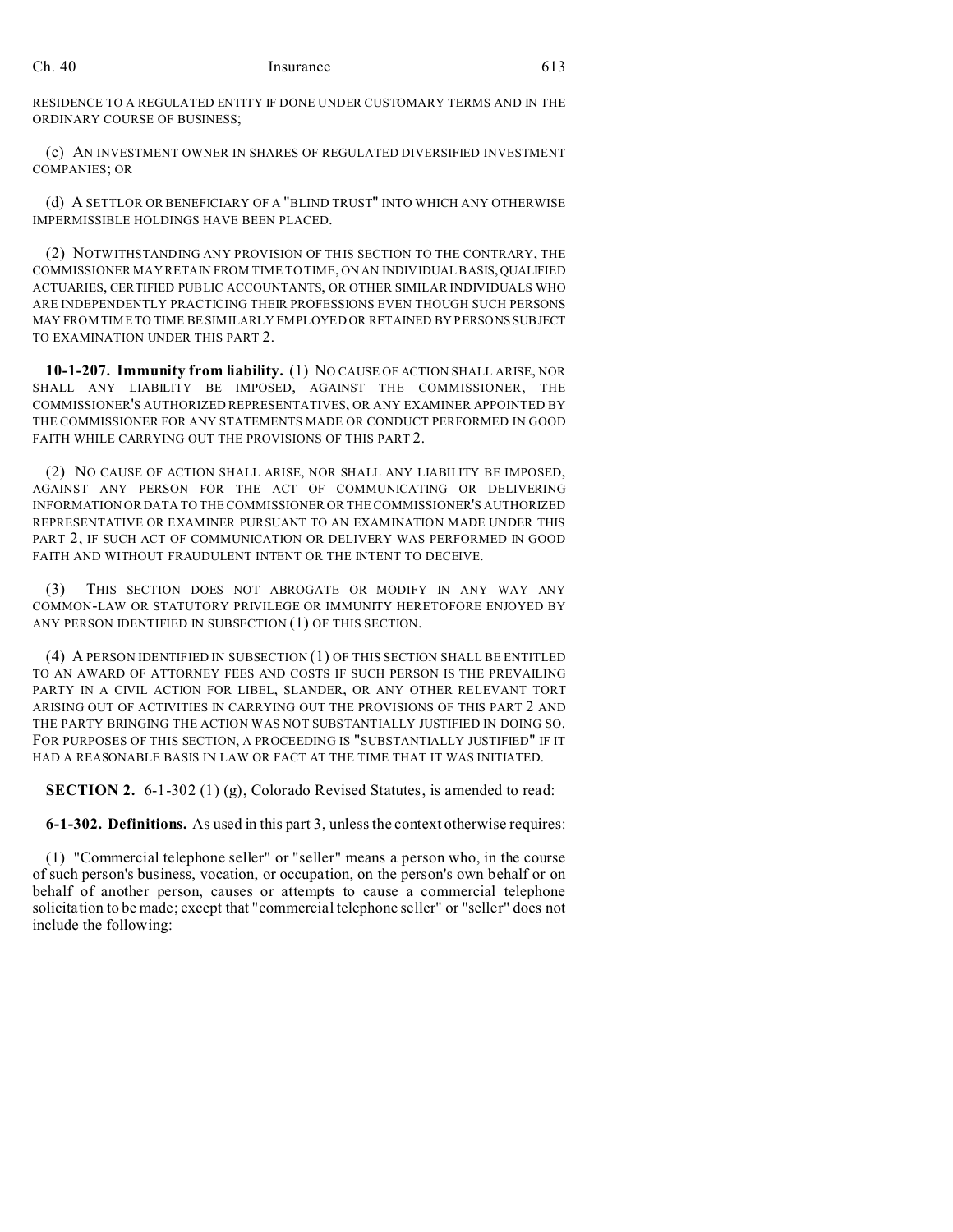RESIDENCE TO A REGULATED ENTITY IF DONE UNDER CUSTOMARY TERMS AND IN THE ORDINARY COURSE OF BUSINESS;

(c) AN INVESTMENT OWNER IN SHARES OF REGULATED DIVERSIFIED INVESTMENT COMPANIES; OR

(d) A SETTLOR OR BENEFICIARY OF A "BLIND TRUST" INTO WHICH ANY OTHERWISE IMPERMISSIBLE HOLDINGS HAVE BEEN PLACED.

(2) NOTWITHSTANDING ANY PROVISION OF THIS SECTION TO THE CONTRARY, THE COMMISSIONER MAY RETAIN FROM TIME TO TIME, ON AN INDIVIDUAL BASIS,QUALIFIED ACTUARIES, CERTIFIED PUBLIC ACCOUNTANTS, OR OTHER SIMILAR INDIVIDUALS WHO ARE INDEPENDENTLY PRACTICING THEIR PROFESSIONS EVEN THOUGH SUCH PERSONS MAY FROM TIME TO TIME BE SIMILARLY EMPLOYED OR RETAINED BY PERSONS SUBJECT TO EXAMINATION UNDER THIS PART 2.

**10-1-207. Immunity from liability.** (1) NO CAUSE OF ACTION SHALL ARISE, NOR SHALL ANY LIABILITY BE IMPOSED, AGAINST THE COMMISSIONER, THE COMMISSIONER'S AUTHORIZED REPRESENTATIVES, OR ANY EXAMINER APPOINTED BY THE COMMISSIONER FOR ANY STATEMENTS MADE OR CONDUCT PERFORMED IN GOOD FAITH WHILE CARRYING OUT THE PROVISIONS OF THIS PART 2.

(2) NO CAUSE OF ACTION SHALL ARISE, NOR SHALL ANY LIABILITY BE IMPOSED, AGAINST ANY PERSON FOR THE ACT OF COMMUNICATING OR DELIVERING INFORMATION OR DATA TO THE COMMISSIONER OR THE COMMISSIONER'S AUTHORIZED REPRESENTATIVE OR EXAMINER PURSUANT TO AN EXAMINATION MADE UNDER THIS PART 2, IF SUCH ACT OF COMMUNICATION OR DELIVERY WAS PERFORMED IN GOOD FAITH AND WITHOUT FRAUDULENT INTENT OR THE INTENT TO DECEIVE.

(3) THIS SECTION DOES NOT ABROGATE OR MODIFY IN ANY WAY ANY COMMON-LAW OR STATUTORY PRIVILEGE OR IMMUNITY HERETOFORE ENJOYED BY ANY PERSON IDENTIFIED IN SUBSECTION (1) OF THIS SECTION.

(4) A PERSON IDENTIFIED IN SUBSECTION (1) OF THIS SECTION SHALL BE ENTITLED TO AN AWARD OF ATTORNEY FEES AND COSTS IF SUCH PERSON IS THE PREVAILING PARTY IN A CIVIL ACTION FOR LIBEL, SLANDER, OR ANY OTHER RELEVANT TORT ARISING OUT OF ACTIVITIES IN CARRYING OUT THE PROVISIONS OF THIS PART 2 AND THE PARTY BRINGING THE ACTION WAS NOT SUBSTANTIALLY JUSTIFIED IN DOING SO. FOR PURPOSES OF THIS SECTION, A PROCEEDING IS "SUBSTANTIALLY JUSTIFIED" IF IT HAD A REASONABLE BASIS IN LAW OR FACT AT THE TIME THAT IT WAS INITIATED.

**SECTION 2.** 6-1-302 (1) (g), Colorado Revised Statutes, is amended to read:

**6-1-302. Definitions.** As used in this part 3, unless the context otherwise requires:

(1) "Commercial telephone seller" or "seller" means a person who, in the course of such person's business, vocation, or occupation, on the person's own behalf or on behalf of another person, causes or attempts to cause a commercial telephone solicitation to be made; except that "commercial telephone seller" or "seller" does not include the following: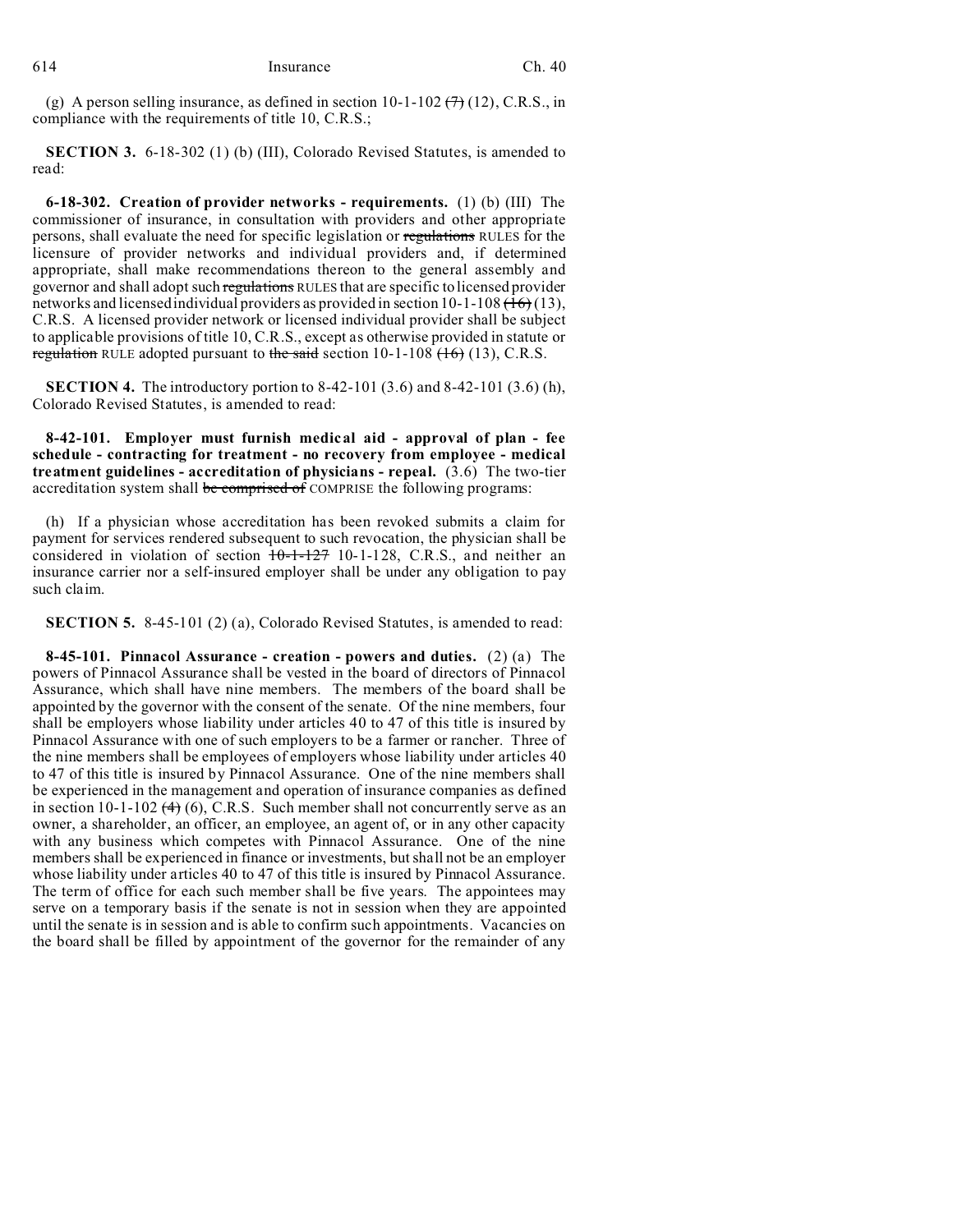(g) A person selling insurance, as defined in section 10-1-102  $(7)$  (12), C.R.S., in compliance with the requirements of title 10, C.R.S.;

**SECTION 3.** 6-18-302 (1) (b) (III), Colorado Revised Statutes, is amended to read:

**6-18-302. Creation of provider networks - requirements.** (1) (b) (III) The commissioner of insurance, in consultation with providers and other appropriate persons, shall evaluate the need for specific legislation or regulations RULES for the licensure of provider networks and individual providers and, if determined appropriate, shall make recommendations thereon to the general assembly and governor and shall adopt such regulations RULES that are specific to licensed provider networks and licensed individual providers as provided in section  $10-1-108$  ( $16$ ) (13), C.R.S. A licensed provider network or licensed individual provider shall be subject to applicable provisions of title 10, C.R.S., except as otherwise provided in statute or regulation RULE adopted pursuant to the said section  $10-1-108$  (16) (13), C.R.S.

**SECTION 4.** The introductory portion to 8-42-101 (3.6) and 8-42-101 (3.6) (h), Colorado Revised Statutes, is amended to read:

**8-42-101. Employer must furnish medical aid - approval of plan - fee schedule - contracting for treatment - no recovery from employee - medical treatment guidelines - accreditation of physicians - repeal.** (3.6) The two-tier accreditation system shall be comprised of COMPRISE the following programs:

(h) If a physician whose accreditation has been revoked submits a claim for payment for services rendered subsequent to such revocation, the physician shall be considered in violation of section  $10-1-127$  10-1-128, C.R.S., and neither an insurance carrier nor a self-insured employer shall be under any obligation to pay such claim.

**SECTION 5.** 8-45-101 (2) (a), Colorado Revised Statutes, is amended to read:

**8-45-101. Pinnacol Assurance - creation - powers and duties.** (2) (a) The powers of Pinnacol Assurance shall be vested in the board of directors of Pinnacol Assurance, which shall have nine members. The members of the board shall be appointed by the governor with the consent of the senate. Of the nine members, four shall be employers whose liability under articles 40 to 47 of this title is insured by Pinnacol Assurance with one of such employers to be a farmer or rancher. Three of the nine members shall be employees of employers whose liability under articles 40 to 47 of this title is insured by Pinnacol Assurance. One of the nine members shall be experienced in the management and operation of insurance companies as defined in section 10-1-102  $(4)$  (6), C.R.S. Such member shall not concurrently serve as an owner, a shareholder, an officer, an employee, an agent of, or in any other capacity with any business which competes with Pinnacol Assurance. One of the nine members shall be experienced in finance or investments, but shall not be an employer whose liability under articles 40 to 47 of this title is insured by Pinnacol Assurance. The term of office for each such member shall be five years. The appointees may serve on a temporary basis if the senate is not in session when they are appointed until the senate is in session and is able to confirm such appointments. Vacancies on the board shall be filled by appointment of the governor for the remainder of any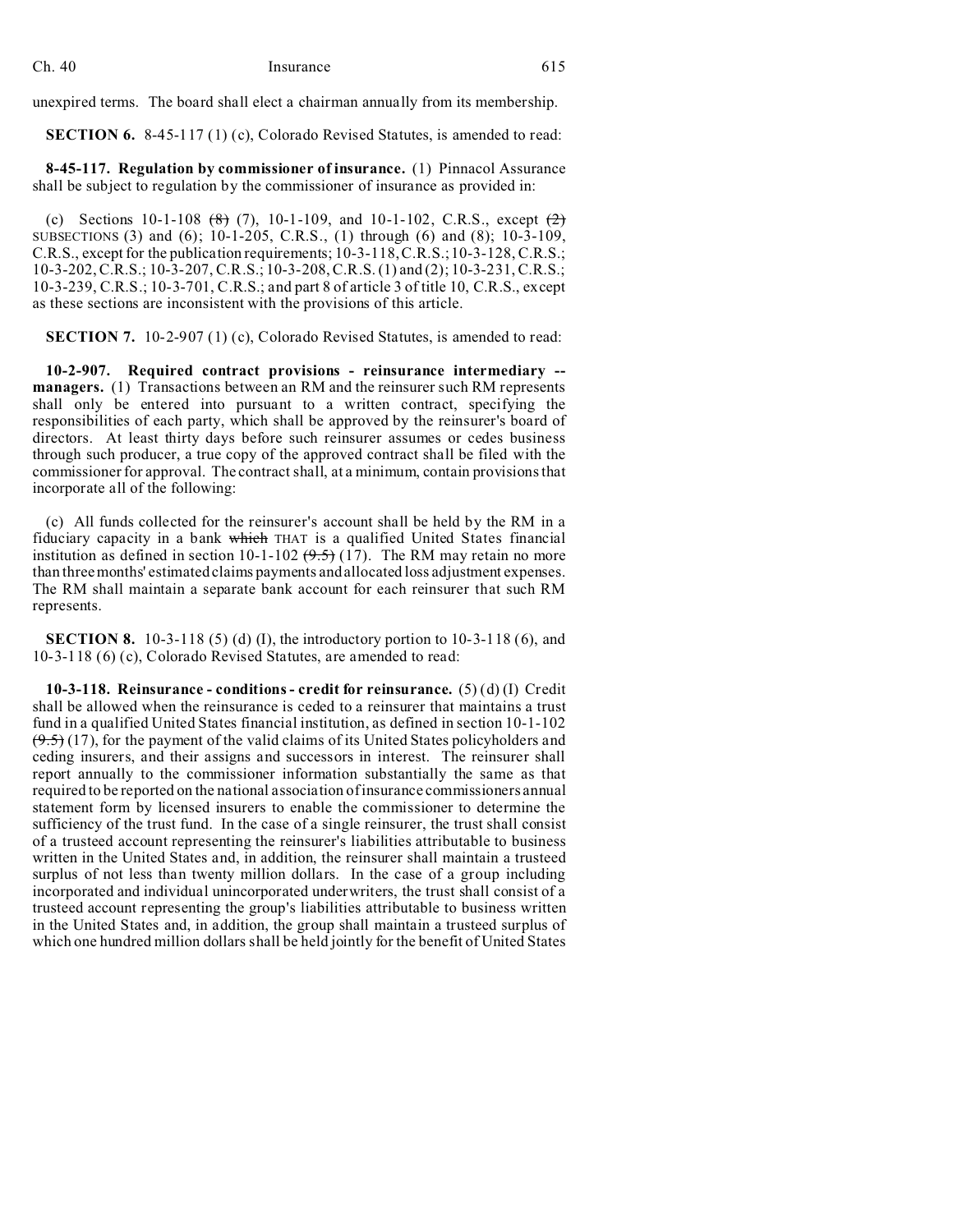unexpired terms. The board shall elect a chairman annually from its membership.

**SECTION 6.** 8-45-117 (1) (c), Colorado Revised Statutes, is amended to read:

**8-45-117. Regulation by commissioner of insurance.** (1) Pinnacol Assurance shall be subject to regulation by the commissioner of insurance as provided in:

(c) Sections 10-1-108  $(8)$  (7), 10-1-109, and 10-1-102, C.R.S., except  $(2)$ SUBSECTIONS (3) and (6); 10-1-205, C.R.S., (1) through (6) and (8); 10-3-109, C.R.S., except for the publication requirements; 10-3-118, C.R.S.; 10-3-128, C.R.S.; 10-3-202, C.R.S.; 10-3-207, C.R.S.; 10-3-208, C.R.S. (1) and (2); 10-3-231, C.R.S.; 10-3-239, C.R.S.; 10-3-701, C.R.S.; and part 8 of article 3 of title 10, C.R.S., except as these sections are inconsistent with the provisions of this article.

**SECTION 7.** 10-2-907 (1) (c), Colorado Revised Statutes, is amended to read:

**10-2-907. Required contract provisions - reinsurance intermediary - managers.** (1) Transactions between an RM and the reinsurer such RM represents shall only be entered into pursuant to a written contract, specifying the responsibilities of each party, which shall be approved by the reinsurer's board of directors. At least thirty days before such reinsurer assumes or cedes business through such producer, a true copy of the approved contract shall be filed with the commissioner for approval. The contract shall, at a minimum, contain provisions that incorporate all of the following:

(c) All funds collected for the reinsurer's account shall be held by the RM in a fiduciary capacity in a bank which THAT is a qualified United States financial institution as defined in section 10-1-102  $(9.5)$  (17). The RM may retain no more than three months' estimated claims payments and allocated loss adjustment expenses. The RM shall maintain a separate bank account for each reinsurer that such RM represents.

**SECTION 8.** 10-3-118 (5) (d) (I), the introductory portion to 10-3-118 (6), and 10-3-118 (6) (c), Colorado Revised Statutes, are amended to read:

**10-3-118. Reinsurance - conditions - credit for reinsurance.** (5) (d) (I) Credit shall be allowed when the reinsurance is ceded to a reinsurer that maintains a trust fund in a qualified United States financial institution, as defined in section 10-1-102  $(9.5)$  (17), for the payment of the valid claims of its United States policyholders and ceding insurers, and their assigns and successors in interest. The reinsurer shall report annually to the commissioner information substantially the same as that required to be reported on the national association of insurance commissioners annual statement form by licensed insurers to enable the commissioner to determine the sufficiency of the trust fund. In the case of a single reinsurer, the trust shall consist of a trusteed account representing the reinsurer's liabilities attributable to business written in the United States and, in addition, the reinsurer shall maintain a trusteed surplus of not less than twenty million dollars. In the case of a group including incorporated and individual unincorporated underwriters, the trust shall consist of a trusteed account representing the group's liabilities attributable to business written in the United States and, in addition, the group shall maintain a trusteed surplus of which one hundred million dollars shall be held jointly for the benefit of United States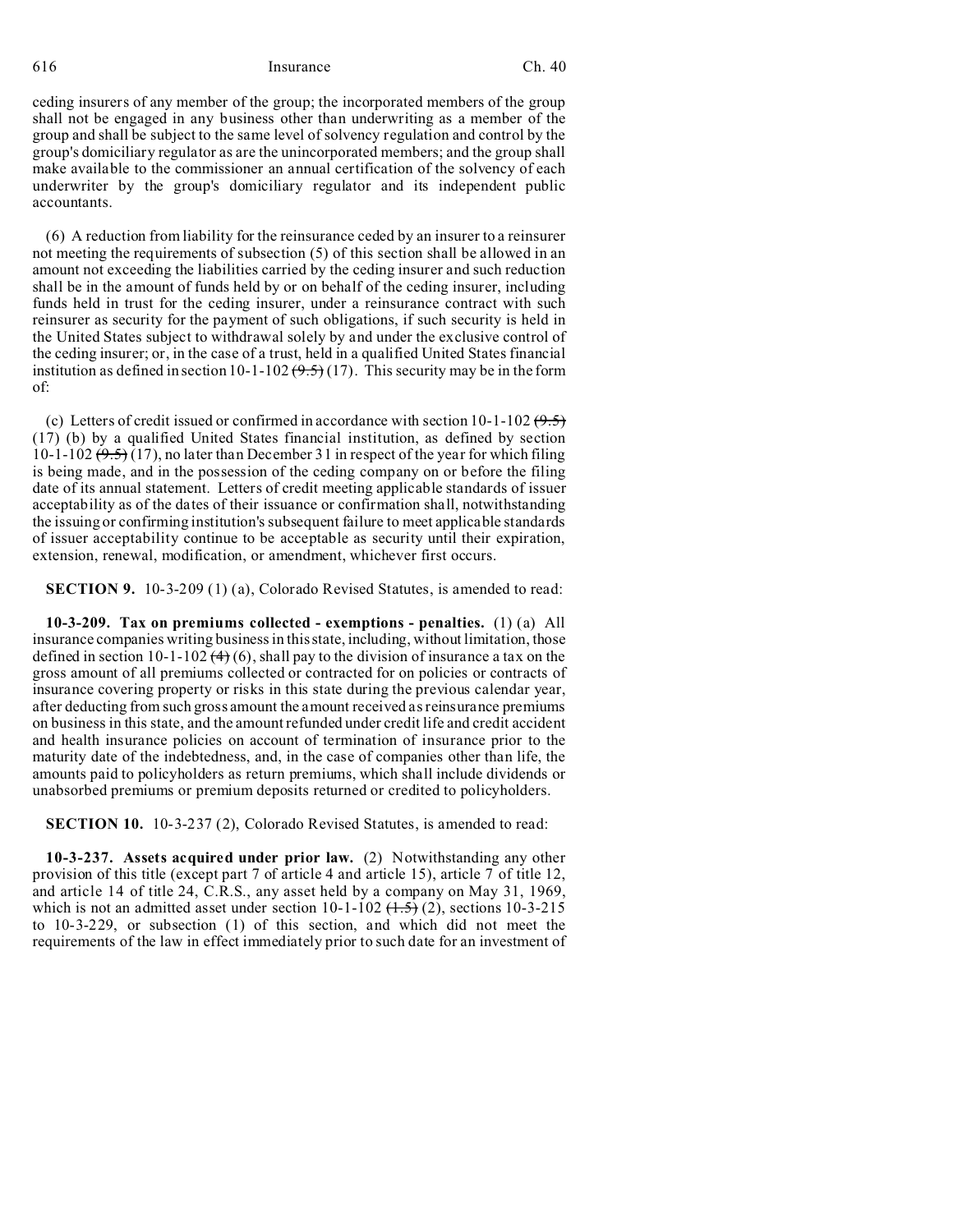ceding insurers of any member of the group; the incorporated members of the group shall not be engaged in any business other than underwriting as a member of the group and shall be subject to the same level of solvency regulation and control by the group's domiciliary regulator as are the unincorporated members; and the group shall make available to the commissioner an annual certification of the solvency of each underwriter by the group's domiciliary regulator and its independent public accountants.

(6) A reduction from liability for the reinsurance ceded by an insurer to a reinsurer not meeting the requirements of subsection (5) of this section shall be allowed in an amount not exceeding the liabilities carried by the ceding insurer and such reduction shall be in the amount of funds held by or on behalf of the ceding insurer, including funds held in trust for the ceding insurer, under a reinsurance contract with such reinsurer as security for the payment of such obligations, if such security is held in the United States subject to withdrawal solely by and under the exclusive control of the ceding insurer; or, in the case of a trust, held in a qualified United States financial institution as defined in section 10-1-102  $(9.5)$  (17). This security may be in the form of:

(c) Letters of credit issued or confirmed in accordance with section  $10-1-102$  (9.5) (17) (b) by a qualified United States financial institution, as defined by section 10-1-102  $(9.5)$  (17), no later than December 31 in respect of the year for which filing is being made, and in the possession of the ceding company on or before the filing date of its annual statement. Letters of credit meeting applicable standards of issuer acceptability as of the dates of their issuance or confirmation shall, notwithstanding the issuing or confirming institution's subsequent failure to meet applicable standards of issuer acceptability continue to be acceptable as security until their expiration, extension, renewal, modification, or amendment, whichever first occurs.

**SECTION 9.** 10-3-209 (1) (a), Colorado Revised Statutes, is amended to read:

**10-3-209. Tax on premiums collected - exemptions - penalties.** (1) (a) All insurance companies writing business in this state, including, without limitation, those defined in section 10-1-102  $(4)$  (6), shall pay to the division of insurance a tax on the gross amount of all premiums collected or contracted for on policies or contracts of insurance covering property or risks in this state during the previous calendar year, after deducting from such gross amount the amount received as reinsurance premiums on business in this state, and the amount refunded under credit life and credit accident and health insurance policies on account of termination of insurance prior to the maturity date of the indebtedness, and, in the case of companies other than life, the amounts paid to policyholders as return premiums, which shall include dividends or unabsorbed premiums or premium deposits returned or credited to policyholders.

**SECTION 10.** 10-3-237 (2), Colorado Revised Statutes, is amended to read:

**10-3-237. Assets acquired under prior law.** (2) Notwithstanding any other provision of this title (except part 7 of article 4 and article 15), article 7 of title 12, and article 14 of title 24, C.R.S., any asset held by a company on May 31, 1969, which is not an admitted asset under section  $10-1-102$   $(1.5)(2)$ , sections 10-3-215 to 10-3-229, or subsection (1) of this section, and which did not meet the requirements of the law in effect immediately prior to such date for an investment of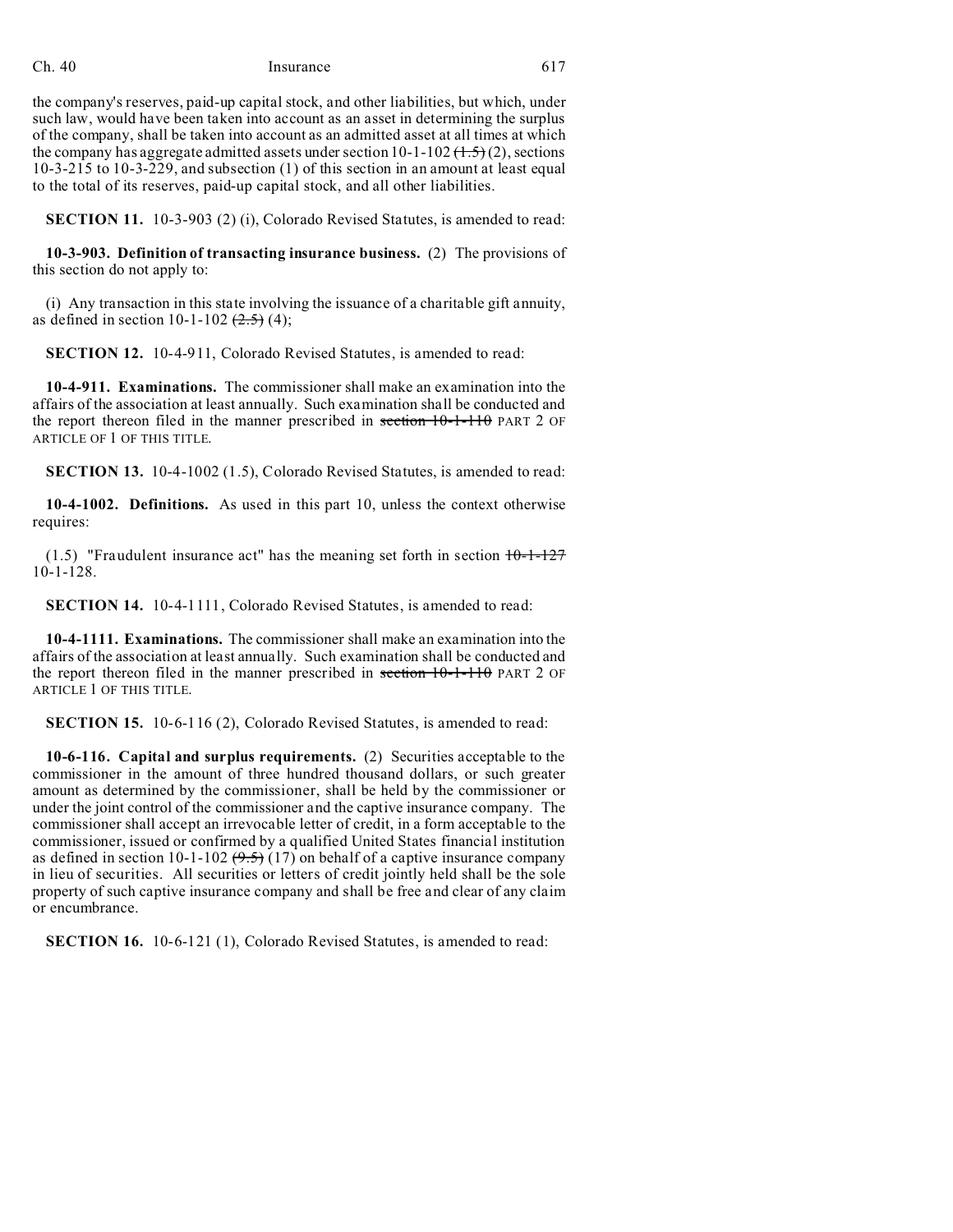the company's reserves, paid-up capital stock, and other liabilities, but which, under such law, would have been taken into account as an asset in determining the surplus of the company, shall be taken into account as an admitted asset at all times at which the company has aggregate admitted assets under section  $10-1-102$   $(\frac{1.5}{\sqrt{2}})$ , sections 10-3-215 to 10-3-229, and subsection (1) of this section in an amount at least equal to the total of its reserves, paid-up capital stock, and all other liabilities.

**SECTION 11.** 10-3-903 (2) (i), Colorado Revised Statutes, is amended to read:

**10-3-903. Definition of transacting insurance business.** (2) The provisions of this section do not apply to:

(i) Any transaction in this state involving the issuance of a charitable gift annuity, as defined in section 10-1-102  $(2.5)$  (4);

**SECTION 12.** 10-4-911, Colorado Revised Statutes, is amended to read:

**10-4-911. Examinations.** The commissioner shall make an examination into the affairs of the association at least annually. Such examination shall be conducted and the report thereon filed in the manner prescribed in section  $10-1-110$  PART 2 OF ARTICLE OF 1 OF THIS TITLE.

**SECTION 13.** 10-4-1002 (1.5), Colorado Revised Statutes, is amended to read:

**10-4-1002. Definitions.** As used in this part 10, unless the context otherwise requires:

(1.5) "Fraudulent insurance act" has the meaning set forth in section  $10-1-127$ 10-1-128.

**SECTION 14.** 10-4-1111, Colorado Revised Statutes, is amended to read:

**10-4-1111. Examinations.** The commissioner shall make an examination into the affairs of the association at least annually. Such examination shall be conducted and the report thereon filed in the manner prescribed in section 10-1-110 PART 2 OF ARTICLE 1 OF THIS TITLE.

**SECTION 15.** 10-6-116 (2), Colorado Revised Statutes, is amended to read:

**10-6-116. Capital and surplus requirements.** (2) Securities acceptable to the commissioner in the amount of three hundred thousand dollars, or such greater amount as determined by the commissioner, shall be held by the commissioner or under the joint control of the commissioner and the captive insurance company. The commissioner shall accept an irrevocable letter of credit, in a form acceptable to the commissioner, issued or confirmed by a qualified United States financial institution as defined in section 10-1-102  $(9.5)$  (17) on behalf of a captive insurance company in lieu of securities. All securities or letters of credit jointly held shall be the sole property of such captive insurance company and shall be free and clear of any claim or encumbrance.

**SECTION 16.** 10-6-121 (1), Colorado Revised Statutes, is amended to read: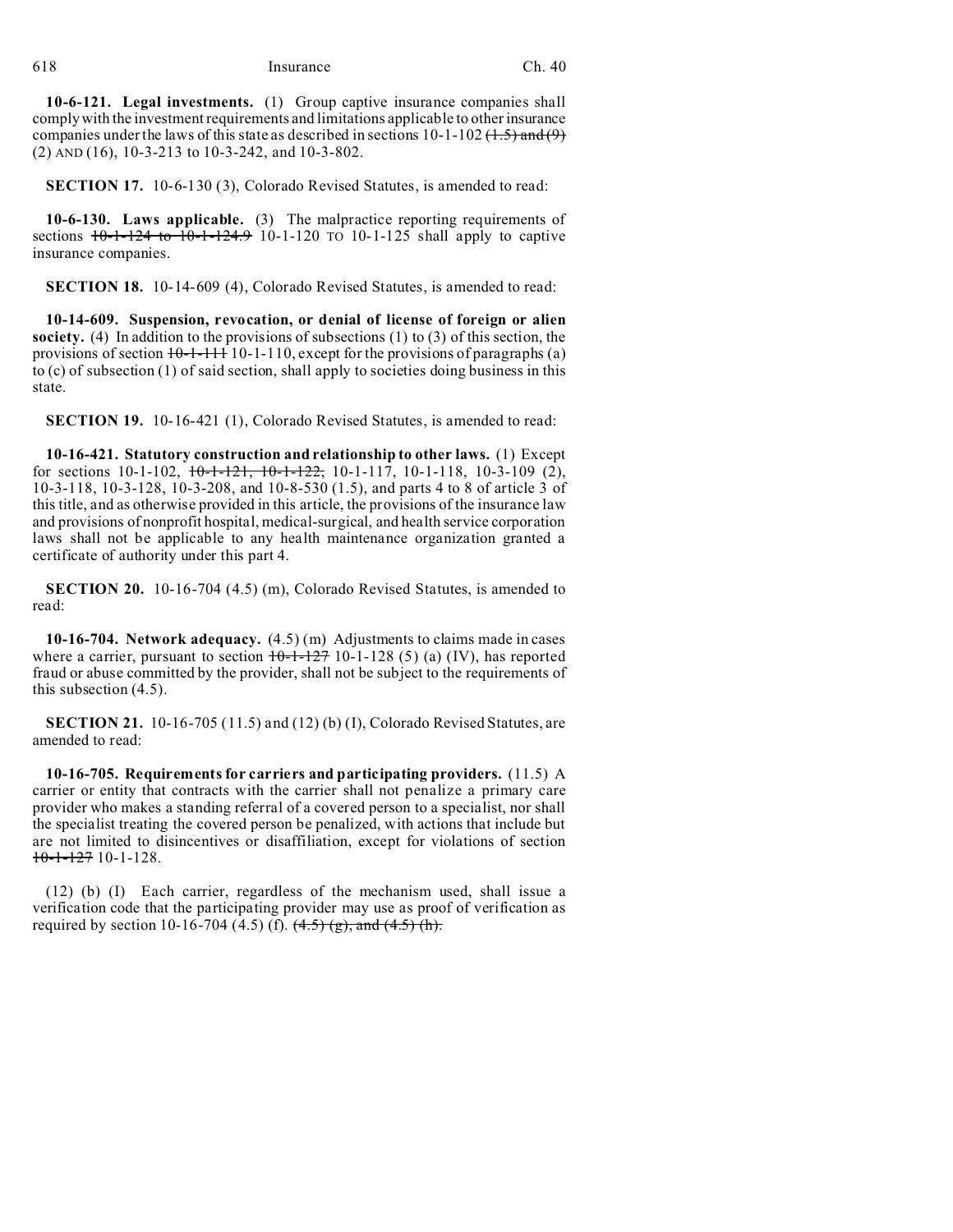**10-6-121. Legal investments.** (1) Group captive insurance companies shall comply with the investment requirements and limitations applicable to other insurance companies under the laws of this state as described in sections  $10-1-102$  (1.5) and (9) (2) AND (16), 10-3-213 to 10-3-242, and 10-3-802.

**SECTION 17.** 10-6-130 (3), Colorado Revised Statutes, is amended to read:

**10-6-130. Laws applicable.** (3) The malpractice reporting requirements of sections  $10-1-124$  to  $10-1-124.9$  10-1-120 TO 10-1-125 shall apply to captive insurance companies.

**SECTION 18.** 10-14-609 (4), Colorado Revised Statutes, is amended to read:

**10-14-609. Suspension, revocation, or denial of license of foreign or alien society.** (4) In addition to the provisions of subsections (1) to (3) of this section, the provisions of section  $10-1-111$ , except for the provisions of paragraphs (a) to (c) of subsection (1) of said section, shall apply to societies doing business in this state.

**SECTION 19.** 10-16-421 (1), Colorado Revised Statutes, is amended to read:

**10-16-421. Statutory construction and relationship to other laws.** (1) Except for sections 10-1-102,  $10-1-121$ ,  $10-1-122$ , 10-1-117, 10-1-118, 10-3-109 (2), 10-3-118, 10-3-128, 10-3-208, and 10-8-530 (1.5), and parts 4 to 8 of article 3 of this title, and as otherwise provided in this article, the provisions of the insurance law and provisions of nonprofit hospital, medical-surgical, and health service corporation laws shall not be applicable to any health maintenance organization granted a certificate of authority under this part 4.

**SECTION 20.** 10-16-704 (4.5) (m), Colorado Revised Statutes, is amended to read:

**10-16-704. Network adequacy.** (4.5) (m) Adjustments to claims made in cases where a carrier, pursuant to section  $10-1-127$  10-1-128 (5) (a) (IV), has reported fraud or abuse committed by the provider, shall not be subject to the requirements of this subsection (4.5).

**SECTION 21.** 10-16-705 (11.5) and (12) (b) (I), Colorado Revised Statutes, are amended to read:

**10-16-705. Requirements for carriers and participating providers.** (11.5) A carrier or entity that contracts with the carrier shall not penalize a primary care provider who makes a standing referral of a covered person to a specialist, nor shall the specialist treating the covered person be penalized, with actions that include but are not limited to disincentives or disaffiliation, except for violations of section  $10-1-127$  10-1-128.

(12) (b) (I) Each carrier, regardless of the mechanism used, shall issue a verification code that the participating provider may use as proof of verification as required by section 10-16-704 (4.5) (f).  $(4.5)$  (g), and  $(4.5)$  (h).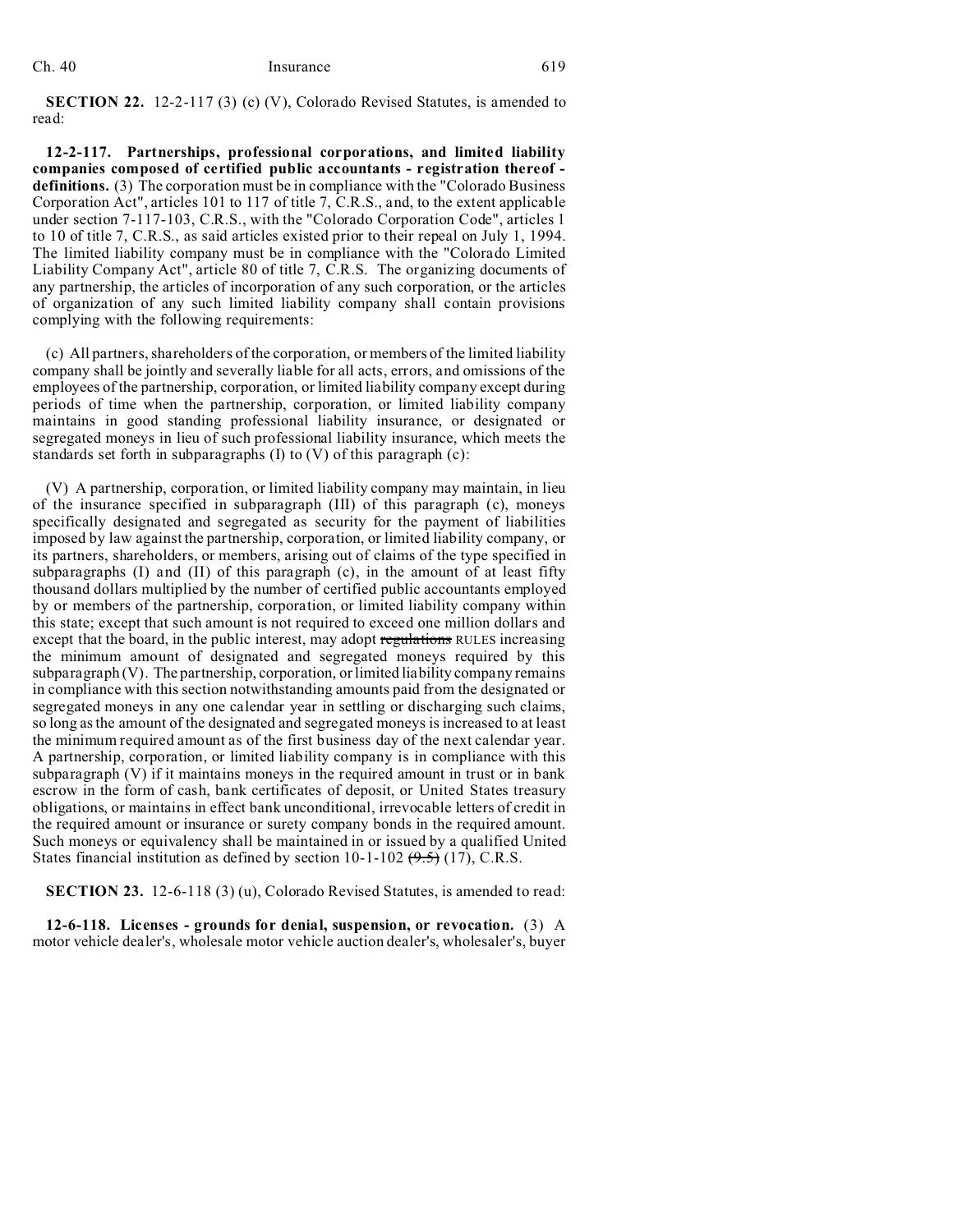**SECTION 22.** 12-2-117 (3) (c) (V), Colorado Revised Statutes, is amended to read:

**12-2-117. Partnerships, professional corporations, and limited liability companies composed of certified public accountants - registration thereof definitions.** (3) The corporation must be in compliance with the "Colorado Business Corporation Act", articles 101 to 117 of title 7, C.R.S., and, to the extent applicable under section 7-117-103, C.R.S., with the "Colorado Corporation Code", articles 1 to 10 of title 7, C.R.S., as said articles existed prior to their repeal on July 1, 1994. The limited liability company must be in compliance with the "Colorado Limited Liability Company Act", article 80 of title 7, C.R.S. The organizing documents of any partnership, the articles of incorporation of any such corporation, or the articles of organization of any such limited liability company shall contain provisions complying with the following requirements:

(c) All partners, shareholders of the corporation, or members of the limited liability company shall be jointly and severally liable for all acts, errors, and omissions of the employees of the partnership, corporation, or limited liability company except during periods of time when the partnership, corporation, or limited liability company maintains in good standing professional liability insurance, or designated or segregated moneys in lieu of such professional liability insurance, which meets the standards set forth in subparagraphs (I) to (V) of this paragraph (c):

(V) A partnership, corporation, or limited liability company may maintain, in lieu of the insurance specified in subparagraph (III) of this paragraph (c), moneys specifically designated and segregated as security for the payment of liabilities imposed by law against the partnership, corporation, or limited liability company, or its partners, shareholders, or members, arising out of claims of the type specified in subparagraphs (I) and (II) of this paragraph (c), in the amount of at least fifty thousand dollars multiplied by the number of certified public accountants employed by or members of the partnership, corporation, or limited liability company within this state; except that such amount is not required to exceed one million dollars and except that the board, in the public interest, may adopt regulations RULES increasing the minimum amount of designated and segregated moneys required by this subparagraph (V). The partnership, corporation, or limited liability company remains in compliance with this section notwithstanding amounts paid from the designated or segregated moneys in any one calendar year in settling or discharging such claims, so long as the amount of the designated and segregated moneys is increased to at least the minimum required amount as of the first business day of the next calendar year. A partnership, corporation, or limited liability company is in compliance with this subparagraph (V) if it maintains moneys in the required amount in trust or in bank escrow in the form of cash, bank certificates of deposit, or United States treasury obligations, or maintains in effect bank unconditional, irrevocable letters of credit in the required amount or insurance or surety company bonds in the required amount. Such moneys or equivalency shall be maintained in or issued by a qualified United States financial institution as defined by section  $10-1-102$   $(9.5)$  (17), C.R.S.

**SECTION 23.** 12-6-118 (3) (u), Colorado Revised Statutes, is amended to read:

**12-6-118. Licenses - grounds for denial, suspension, or revocation.** (3) A motor vehicle dealer's, wholesale motor vehicle auction dealer's, wholesaler's, buyer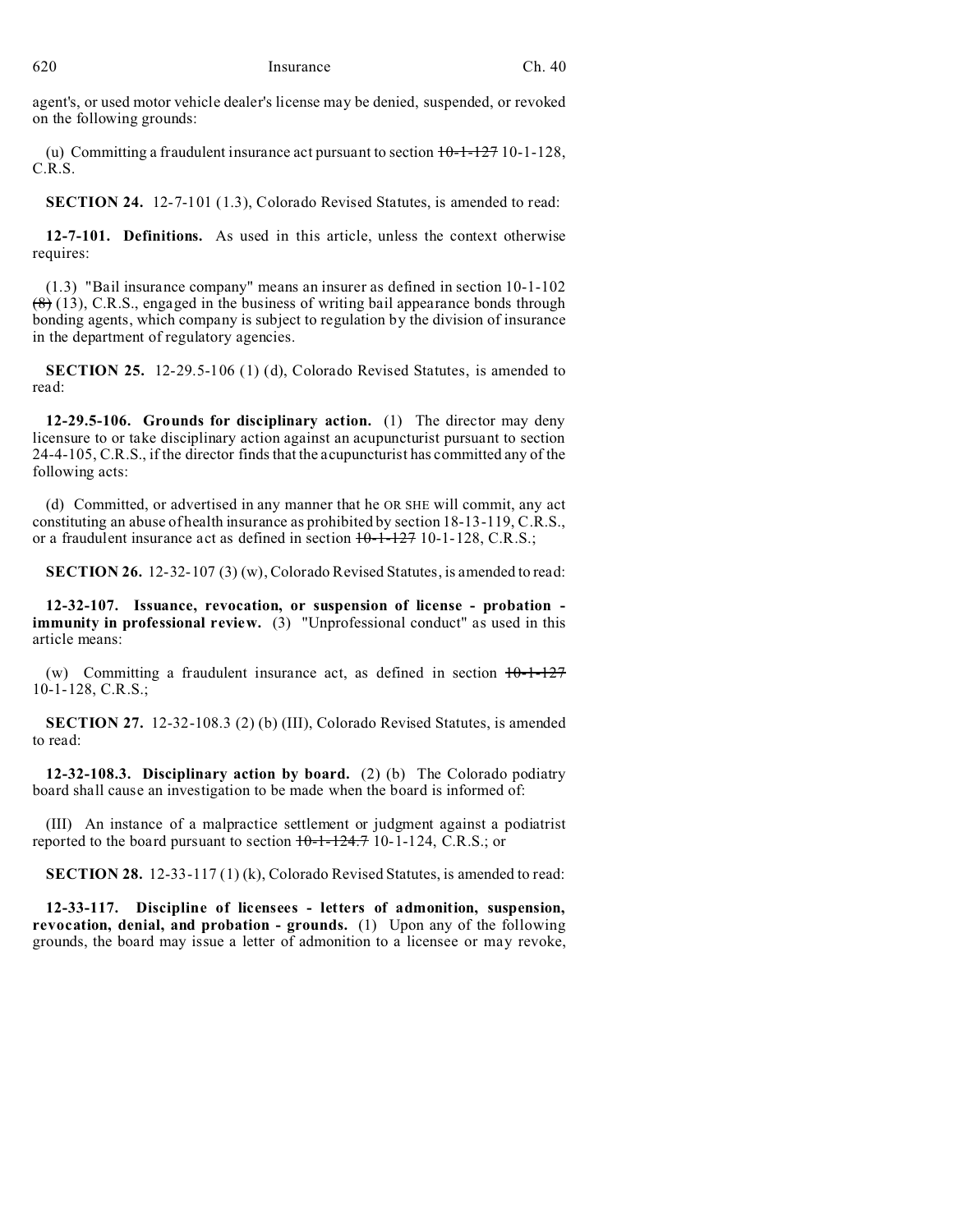agent's, or used motor vehicle dealer's license may be denied, suspended, or revoked on the following grounds:

(u) Committing a fraudulent insurance act pursuant to section  $10-1-127$  10-1-128, C.R.S.

**SECTION 24.** 12-7-101 (1.3), Colorado Revised Statutes, is amended to read:

**12-7-101. Definitions.** As used in this article, unless the context otherwise requires:

(1.3) "Bail insurance company" means an insurer as defined in section 10-1-102  $(8)$  (13), C.R.S., engaged in the business of writing bail appearance bonds through bonding agents, which company is subject to regulation by the division of insurance in the department of regulatory agencies.

**SECTION 25.** 12-29.5-106 (1) (d), Colorado Revised Statutes, is amended to read:

**12-29.5-106. Grounds for disciplinary action.** (1) The director may deny licensure to or take disciplinary action against an acupuncturist pursuant to section 24-4-105, C.R.S., if the director finds that the acupuncturist has committed any of the following acts:

(d) Committed, or advertised in any manner that he OR SHE will commit, any act constituting an abuse of health insurance as prohibited by section 18-13-119, C.R.S., or a fraudulent insurance act as defined in section  $10-1-127$  10-1-128, C.R.S.;

**SECTION 26.** 12-32-107 (3) (w), Colorado Revised Statutes, is amended to read:

**12-32-107. Issuance, revocation, or suspension of license - probation immunity in professional review.** (3) "Unprofessional conduct" as used in this article means:

(w) Committing a fraudulent insurance act, as defined in section  $10-1-127$ 10-1-128, C.R.S.;

**SECTION 27.** 12-32-108.3 (2) (b) (III), Colorado Revised Statutes, is amended to read:

**12-32-108.3. Disciplinary action by board.** (2) (b) The Colorado podiatry board shall cause an investigation to be made when the board is informed of:

(III) An instance of a malpractice settlement or judgment against a podiatrist reported to the board pursuant to section  $10-1-124.7$  10-1-124, C.R.S.; or

**SECTION 28.** 12-33-117 (1) (k), Colorado Revised Statutes, is amended to read:

**12-33-117. Discipline of licensees - letters of admonition, suspension, revocation, denial, and probation - grounds.** (1) Upon any of the following grounds, the board may issue a letter of admonition to a licensee or may revoke,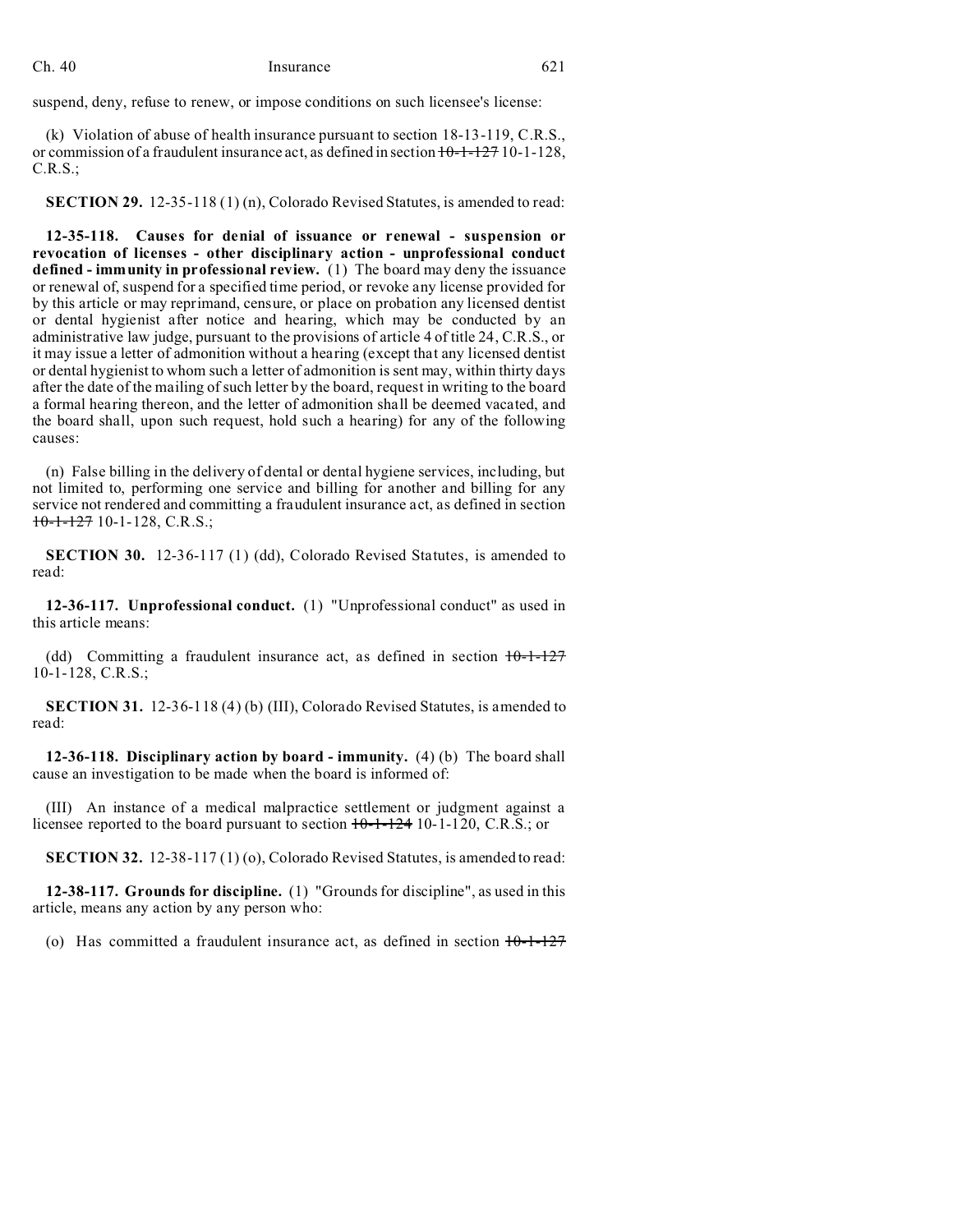suspend, deny, refuse to renew, or impose conditions on such licensee's license:

(k) Violation of abuse of health insurance pursuant to section 18-13-119, C.R.S., or commission of a fraudulent insurance act, as defined in section  $10-1-127$  10-1-128, C.R.S.;

**SECTION 29.** 12-35-118 (1) (n), Colorado Revised Statutes, is amended to read:

**12-35-118. Causes for denial of issuance or renewal - suspension or revocation of licenses - other disciplinary action - unprofessional conduct defined - immunity in professional review.** (1) The board may deny the issuance or renewal of, suspend for a specified time period, or revoke any license provided for by this article or may reprimand, censure, or place on probation any licensed dentist or dental hygienist after notice and hearing, which may be conducted by an administrative law judge, pursuant to the provisions of article 4 of title 24, C.R.S., or it may issue a letter of admonition without a hearing (except that any licensed dentist or dental hygienist to whom such a letter of admonition is sent may, within thirty days after the date of the mailing of such letter by the board, request in writing to the board a formal hearing thereon, and the letter of admonition shall be deemed vacated, and the board shall, upon such request, hold such a hearing) for any of the following causes:

(n) False billing in the delivery of dental or dental hygiene services, including, but not limited to, performing one service and billing for another and billing for any service not rendered and committing a fraudulent insurance act, as defined in section  $10-1-127$  10-1-128, C.R.S.;

**SECTION 30.** 12-36-117 (1) (dd), Colorado Revised Statutes, is amended to read:

**12-36-117. Unprofessional conduct.** (1) "Unprofessional conduct" as used in this article means:

(dd) Committing a fraudulent insurance act, as defined in section  $10-1-127$ 10-1-128, C.R.S.;

**SECTION 31.** 12-36-118 (4) (b) (III), Colorado Revised Statutes, is amended to read:

**12-36-118. Disciplinary action by board - immunity.** (4) (b) The board shall cause an investigation to be made when the board is informed of:

(III) An instance of a medical malpractice settlement or judgment against a licensee reported to the board pursuant to section  $10-1-124$  10-1-120, C.R.S.; or

**SECTION 32.** 12-38-117 (1) (o), Colorado Revised Statutes, is amended to read:

**12-38-117. Grounds for discipline.** (1) "Grounds for discipline", as used in this article, means any action by any person who:

(o) Has committed a fraudulent insurance act, as defined in section  $10-1-127$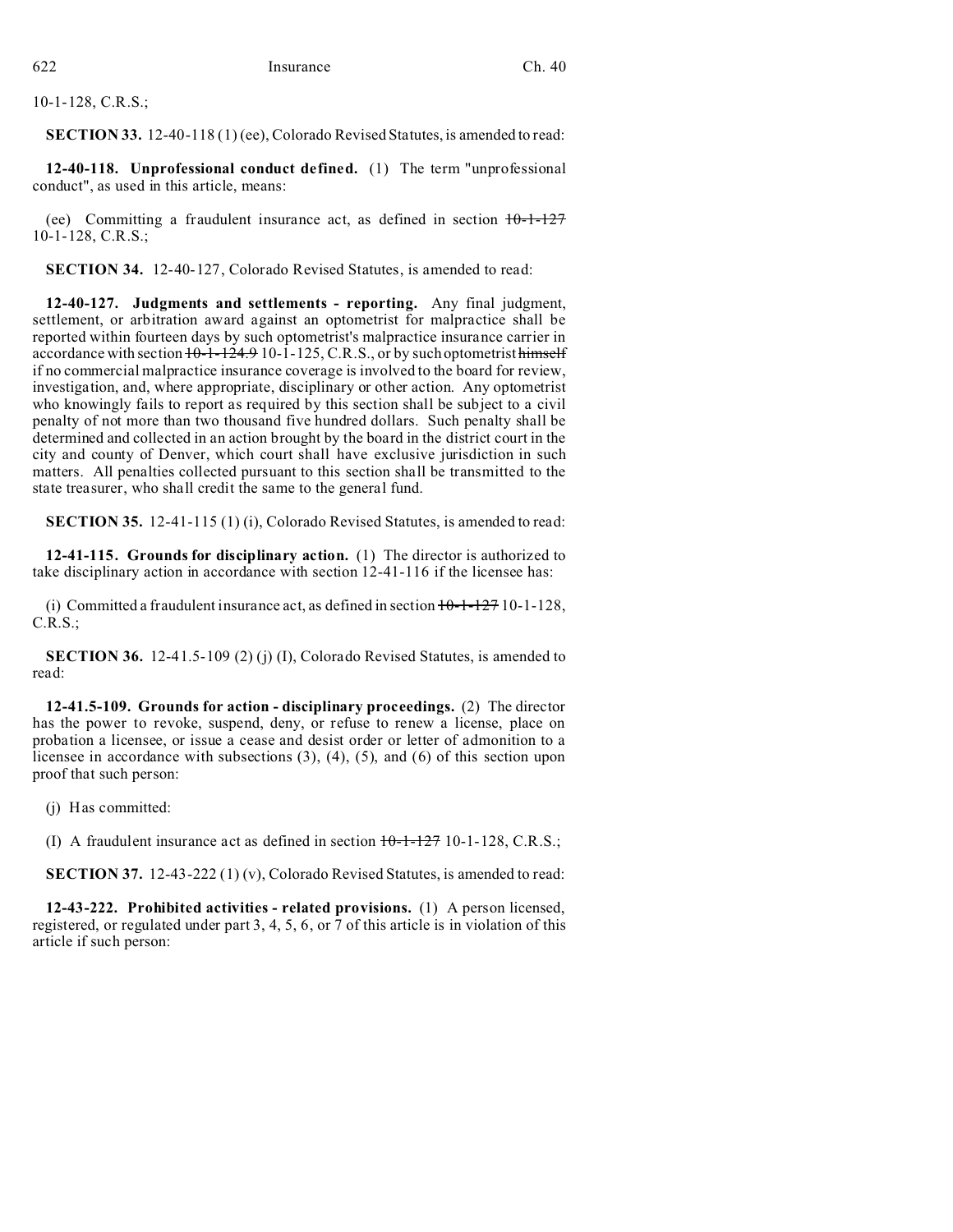10-1-128, C.R.S.;

**SECTION 33.** 12-40-118 (1) (ee), Colorado Revised Statutes, is amended to read:

**12-40-118. Unprofessional conduct defined.** (1) The term "unprofessional conduct", as used in this article, means:

(ee) Committing a fraudulent insurance act, as defined in section  $10-1-127$ 10-1-128, C.R.S.;

**SECTION 34.** 12-40-127, Colorado Revised Statutes, is amended to read:

**12-40-127. Judgments and settlements - reporting.** Any final judgment, settlement, or arbitration award against an optometrist for malpractice shall be reported within fourteen days by such optometrist's malpractice insurance carrier in accordance with section  $10-1-124.9 10-1-125$ , C.R.S., or by such optometrist himself if no commercial malpractice insurance coverage is involved to the board for review, investigation, and, where appropriate, disciplinary or other action. Any optometrist who knowingly fails to report as required by this section shall be subject to a civil penalty of not more than two thousand five hundred dollars. Such penalty shall be determined and collected in an action brought by the board in the district court in the city and county of Denver, which court shall have exclusive jurisdiction in such matters. All penalties collected pursuant to this section shall be transmitted to the state treasurer, who shall credit the same to the general fund.

**SECTION 35.** 12-41-115 (1) (i), Colorado Revised Statutes, is amended to read:

**12-41-115. Grounds for disciplinary action.** (1) The director is authorized to take disciplinary action in accordance with section 12-41-116 if the licensee has:

(i) Committed a fraudulent insurance act, as defined in section  $10-1-127$  10-1-128, C.R.S.;

**SECTION 36.** 12-41.5-109 (2) (j) (I), Colorado Revised Statutes, is amended to read:

**12-41.5-109. Grounds for action - disciplinary proceedings.** (2) The director has the power to revoke, suspend, deny, or refuse to renew a license, place on probation a licensee, or issue a cease and desist order or letter of admonition to a licensee in accordance with subsections (3), (4), (5), and (6) of this section upon proof that such person:

(j) Has committed:

(I) A fraudulent insurance act as defined in section  $10-1-127$  10-1-128, C.R.S.;

**SECTION 37.** 12-43-222 (1) (v), Colorado Revised Statutes, is amended to read:

**12-43-222. Prohibited activities - related provisions.** (1) A person licensed, registered, or regulated under part 3, 4, 5, 6, or 7 of this article is in violation of this article if such person: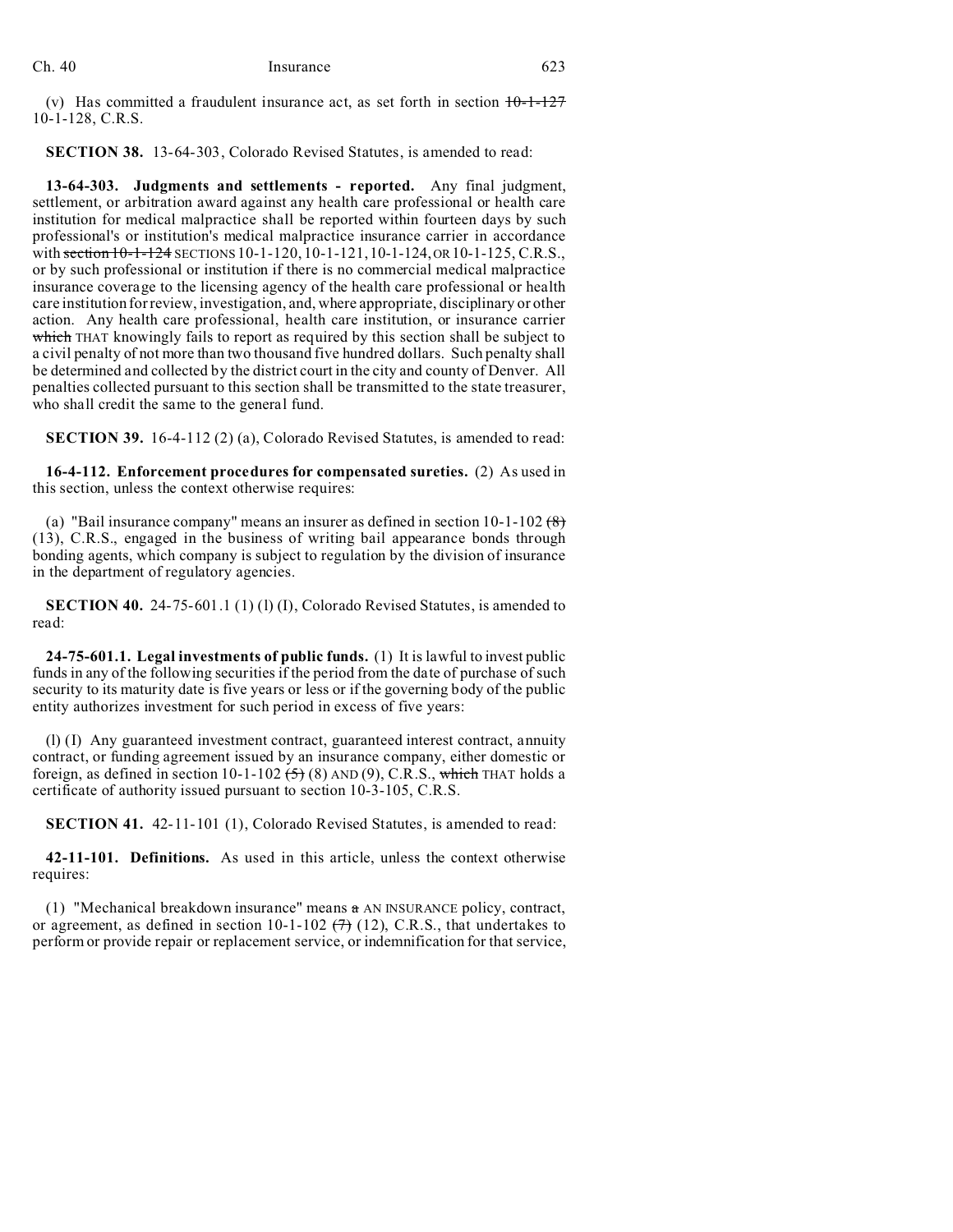| h. | 40 |
|----|----|
|    |    |

(v) Has committed a fraudulent insurance act, as set forth in section  $10-1-127$ 10-1-128, C.R.S.

**SECTION 38.** 13-64-303, Colorado Revised Statutes, is amended to read:

**13-64-303. Judgments and settlements - reported.** Any final judgment, settlement, or arbitration award against any health care professional or health care institution for medical malpractice shall be reported within fourteen days by such professional's or institution's medical malpractice insurance carrier in accordance with section 10-1-124 SECTIONS 10-1-120, 10-1-121, 10-1-124, OR 10-1-125, C.R.S., or by such professional or institution if there is no commercial medical malpractice insurance coverage to the licensing agency of the health care professional or health care institution for review, investigation, and, where appropriate, disciplinary or other action. Any health care professional, health care institution, or insurance carrier which THAT knowingly fails to report as required by this section shall be subject to a civil penalty of not more than two thousand five hundred dollars. Such penalty shall be determined and collected by the district court in the city and county of Denver. All penalties collected pursuant to this section shall be transmitted to the state treasurer, who shall credit the same to the general fund.

**SECTION 39.** 16-4-112 (2) (a), Colorado Revised Statutes, is amended to read:

**16-4-112. Enforcement procedures for compensated sureties.** (2) As used in this section, unless the context otherwise requires:

(a) "Bail insurance company" means an insurer as defined in section  $10-1-102(8)$ (13), C.R.S., engaged in the business of writing bail appearance bonds through bonding agents, which company is subject to regulation by the division of insurance in the department of regulatory agencies.

**SECTION 40.** 24-75-601.1 (1) (1) (I), Colorado Revised Statutes, is amended to read:

**24-75-601.1. Legal investments of public funds.** (1) It is lawful to invest public funds in any of the following securities if the period from the date of purchase of such security to its maturity date is five years or less or if the governing body of the public entity authorizes investment for such period in excess of five years:

(l) (I) Any guaranteed investment contract, guaranteed interest contract, annuity contract, or funding agreement issued by an insurance company, either domestic or foreign, as defined in section 10-1-102  $(5)$  (8) AND (9), C.R.S., which THAT holds a certificate of authority issued pursuant to section 10-3-105, C.R.S.

**SECTION 41.** 42-11-101 (1), Colorado Revised Statutes, is amended to read:

**42-11-101. Definitions.** As used in this article, unless the context otherwise requires:

(1) "Mechanical breakdown insurance" means a AN INSURANCE policy, contract, or agreement, as defined in section 10-1-102  $(7)$  (12), C.R.S., that undertakes to perform or provide repair or replacement service, or indemnification for that service,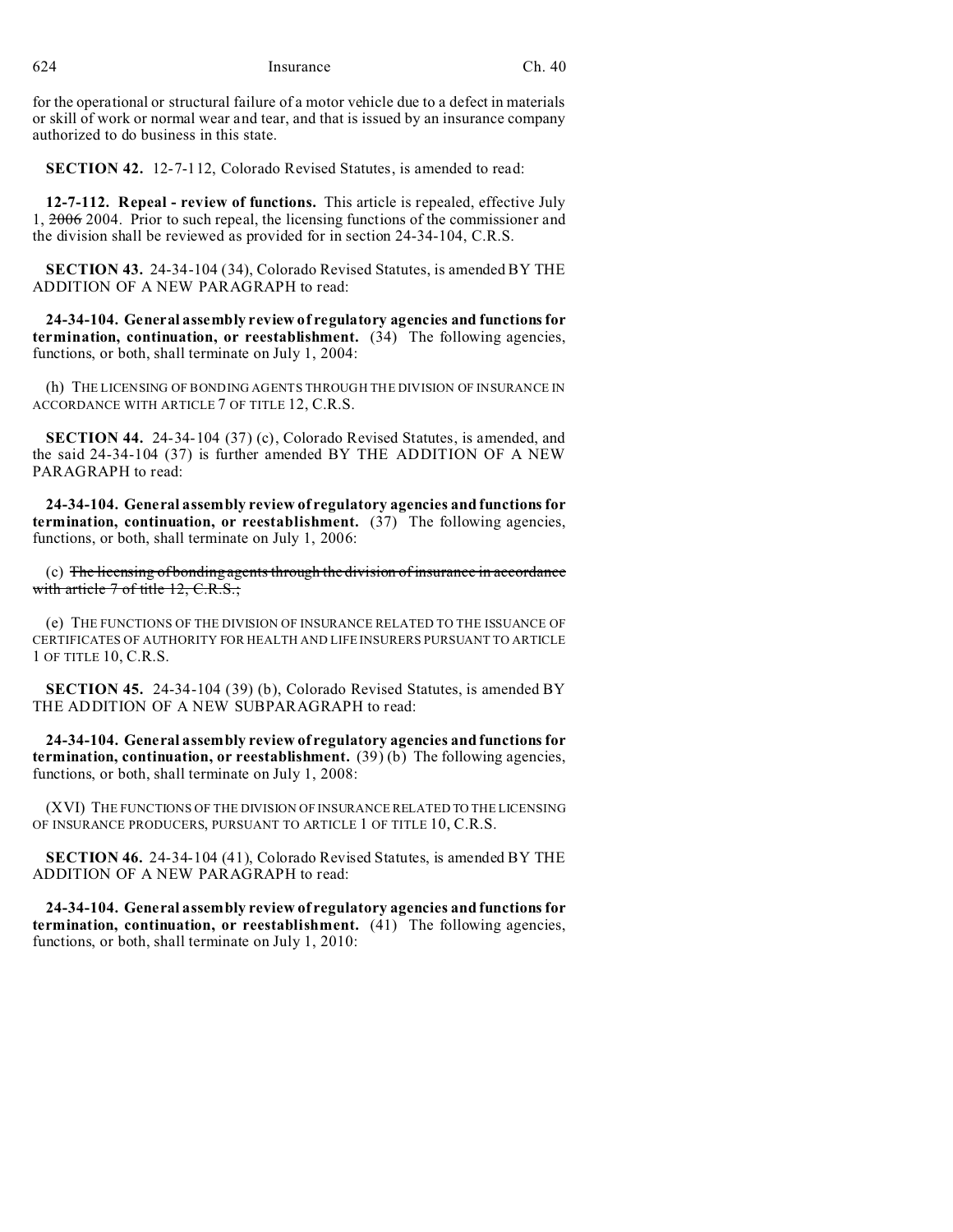for the operational or structural failure of a motor vehicle due to a defect in materials or skill of work or normal wear and tear, and that is issued by an insurance company authorized to do business in this state.

**SECTION 42.** 12-7-112, Colorado Revised Statutes, is amended to read:

**12-7-112. Repeal - review of functions.** This article is repealed, effective July 1, 2006 2004. Prior to such repeal, the licensing functions of the commissioner and the division shall be reviewed as provided for in section 24-34-104, C.R.S.

**SECTION 43.** 24-34-104 (34), Colorado Revised Statutes, is amended BY THE ADDITION OF A NEW PARAGRAPH to read:

**24-34-104. General assembly review of regulatory agencies and functions for termination, continuation, or reestablishment.** (34) The following agencies, functions, or both, shall terminate on July 1, 2004:

(h) THE LICENSING OF BONDING AGENTS THROUGH THE DIVISION OF INSURANCE IN ACCORDANCE WITH ARTICLE 7 OF TITLE 12, C.R.S.

**SECTION 44.** 24-34-104 (37) (c), Colorado Revised Statutes, is amended, and the said 24-34-104 (37) is further amended BY THE ADDITION OF A NEW PARAGRAPH to read:

**24-34-104. General assembly review of regulatory agencies and functions for termination, continuation, or reestablishment.** (37) The following agencies, functions, or both, shall terminate on July 1, 2006:

(c) The licensing of bonding agents through the division of insurance in accordance with article 7 of title 12, C.R.S.;

(e) THE FUNCTIONS OF THE DIVISION OF INSURANCE RELATED TO THE ISSUANCE OF CERTIFICATES OF AUTHORITY FOR HEALTH AND LIFE INSURERS PURSUANT TO ARTICLE 1 OF TITLE 10, C.R.S.

**SECTION 45.** 24-34-104 (39) (b), Colorado Revised Statutes, is amended BY THE ADDITION OF A NEW SUBPARAGRAPH to read:

**24-34-104. General assembly review of regulatory agencies and functions for termination, continuation, or reestablishment.** (39) (b) The following agencies, functions, or both, shall terminate on July 1, 2008:

(XVI) THE FUNCTIONS OF THE DIVISION OF INSURANCE RELATED TO THE LICENSING OF INSURANCE PRODUCERS, PURSUANT TO ARTICLE 1 OF TITLE 10, C.R.S.

**SECTION 46.** 24-34-104 (41), Colorado Revised Statutes, is amended BY THE ADDITION OF A NEW PARAGRAPH to read:

**24-34-104. General assembly review of regulatory agencies and functions for termination, continuation, or reestablishment.** (41) The following agencies, functions, or both, shall terminate on July 1, 2010: